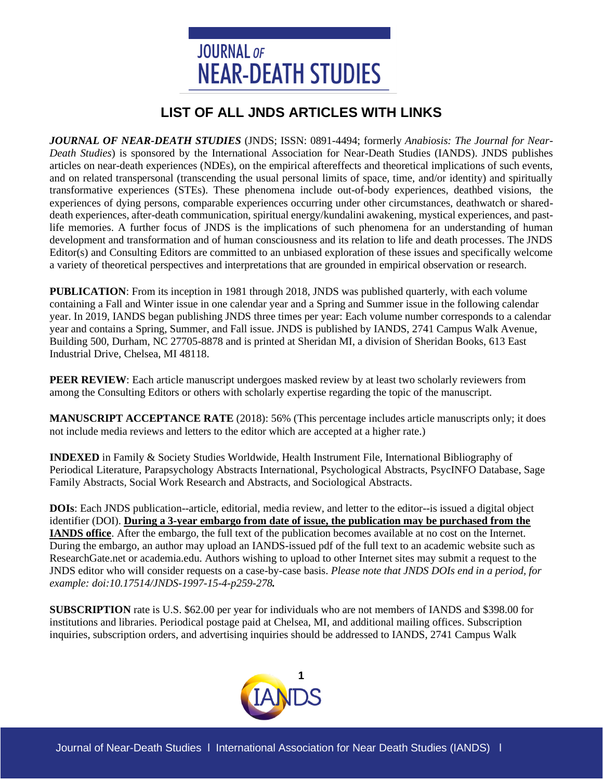

# **LIST OF ALL JNDS ARTICLES WITH LINKS**

*JOURNAL OF NEAR-DEATH STUDIES* (JNDS; ISSN: 0891-4494; formerly *Anabiosis: The Journal for Near-Death Studies*) is sponsored by the International Association for Near-Death Studies (IANDS). JNDS publishes articles on near-death experiences (NDEs), on the empirical aftereffects and theoretical implications of such events, and on related transpersonal (transcending the usual personal limits of space, time, and/or identity) and spiritually transformative experiences (STEs). These phenomena include out-of-body experiences, deathbed visions, the experiences of dying persons, comparable experiences occurring under other circumstances, deathwatch or shareddeath experiences, after-death communication, spiritual energy/kundalini awakening, mystical experiences, and pastlife memories. A further focus of JNDS is the implications of such phenomena for an understanding of human development and transformation and of human consciousness and its relation to life and death processes. The JNDS Editor(s) and Consulting Editors are committed to an unbiased exploration of these issues and specifically welcome a variety of theoretical perspectives and interpretations that are grounded in empirical observation or research.

**PUBLICATION**: From its inception in 1981 through 2018, JNDS was published quarterly, with each volume containing a Fall and Winter issue in one calendar year and a Spring and Summer issue in the following calendar year. In 2019, IANDS began publishing JNDS three times per year: Each volume number corresponds to a calendar year and contains a Spring, Summer, and Fall issue. JNDS is published by IANDS, 2741 Campus Walk Avenue, Building 500, Durham, NC 27705-8878 and is printed at Sheridan MI, a division of Sheridan Books, 613 East Industrial Drive, Chelsea, MI 48118.

**PEER REVIEW:** Each article manuscript undergoes masked review by at least two scholarly reviewers from among the Consulting Editors or others with scholarly expertise regarding the topic of the manuscript.

**MANUSCRIPT ACCEPTANCE RATE** (2018): 56% (This percentage includes article manuscripts only; it does not include media reviews and letters to the editor which are accepted at a higher rate.)

**INDEXED** in Family & Society Studies Worldwide, Health Instrument File, International Bibliography of Periodical Literature, Parapsychology Abstracts International, Psychological Abstracts, PsycINFO Database, Sage Family Abstracts, Social Work Research and Abstracts, and Sociological Abstracts.

**DOIs**: Each JNDS publication--article, editorial, media review, and letter to the editor--is issued a digital object identifier (DOI). **During a 3-year embargo from date of issue, the publication may be purchased from the IANDS office**. After the embargo, the full text of the publication becomes available at no cost on the Internet. During the embargo, an author may upload an IANDS-issued pdf of the full text to an academic website such as ResearchGate.net or academia.edu. Authors wishing to upload to other Internet sites may submit a request to the JNDS editor who will consider requests on a case-by-case basis. *Please note that JNDS DOIs end in a period, for example: doi:10.17514/JNDS-1997-15-4-p259-278.*

**SUBSCRIPTION** rate is U.S. \$62.00 per year for individuals who are not members of IANDS and \$398.00 for institutions and libraries. Periodical postage paid at Chelsea, MI, and additional mailing offices. Subscription inquiries, subscription orders, and advertising inquiries should be addressed to IANDS, 2741 Campus Walk

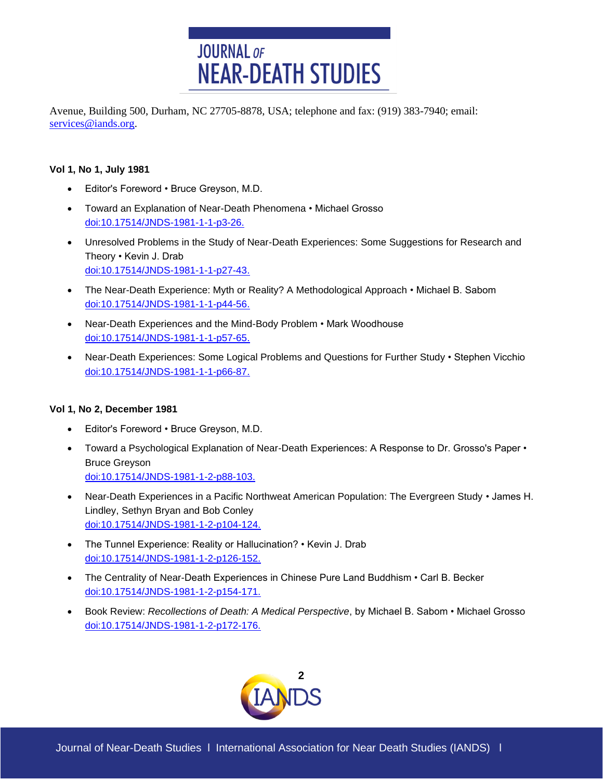

Avenue, Building 500, Durham, NC 27705-8878, USA; telephone and fax: (919) 383-7940; email: [services@iands.org.](mailto:services@iands.org)

#### **Vol 1, No 1, July 1981**

- Editor's Foreword Bruce Greyson, M.D.
- Toward an Explanation of Near-Death Phenomena Michael Grosso [doi:10.17514/JNDS-1981-1-1-p3-26.](http://digital.library.unt.edu/ark:/67531/metadc1051999/)
- Unresolved Problems in the Study of Near-Death Experiences: Some Suggestions for Research and Theory • Kevin J. Drab [doi:10.17514/JNDS-1981-1-1-p27-43.](http://digital.library.unt.edu/ark:/67531/metadc1052011/)
- The Near-Death Experience: Myth or Reality? A Methodological Approach Michael B. Sabom [doi:10.17514/JNDS-1981-1-1-p44-56.](http://digital.library.unt.edu/ark:/67531/metadc1052005/)
- Near-Death Experiences and the Mind-Body Problem Mark Woodhouse [doi:10.17514/JNDS-1981-1-1-p57-65.](http://digital.library.unt.edu/ark:/67531/metadc1051955/)
- Near-Death Experiences: Some Logical Problems and Questions for Further Study Stephen Vicchio [doi:10.17514/JNDS-1981-1-1-p66-87.](http://digital.library.unt.edu/ark:/67531/metadc1051973/)

#### **Vol 1, No 2, December 1981**

- Editor's Foreword Bruce Greyson, M.D.
- Toward a Psychological Explanation of Near-Death Experiences: A Response to Dr. Grosso's Paper Bruce Greyson [doi:10.17514/JNDS-1981-1-2-p88-103.](http://digital.library.unt.edu/ark:/67531/metadc799122/)
- Near-Death Experiences in a Pacific Northweat American Population: The Evergreen Study James H. Lindley, Sethyn Bryan and Bob Conley [doi:10.17514/JNDS-1981-1-2-p104-124.](http://digital.library.unt.edu/ark:/67531/metadc799156/)
- The Tunnel Experience: Reality or Hallucination? Kevin J. Drab [doi:10.17514/JNDS-1981-1-2-p126-152.](http://digital.library.unt.edu/ark:/67531/metadc799010/)
- The Centrality of Near-Death Experiences in Chinese Pure Land Buddhism Carl B. Becker [doi:10.17514/JNDS-1981-1-2-p154-171.](http://digital.library.unt.edu/ark:/67531/metadc799041/)
- Book Review: *Recollections of Death: A Medical Perspective*, by Michael B. Sabom Michael Grosso [doi:10.17514/JNDS-1981-1-2-p172-176.](http://digital.library.unt.edu/ark:/67531/metadc799213/)

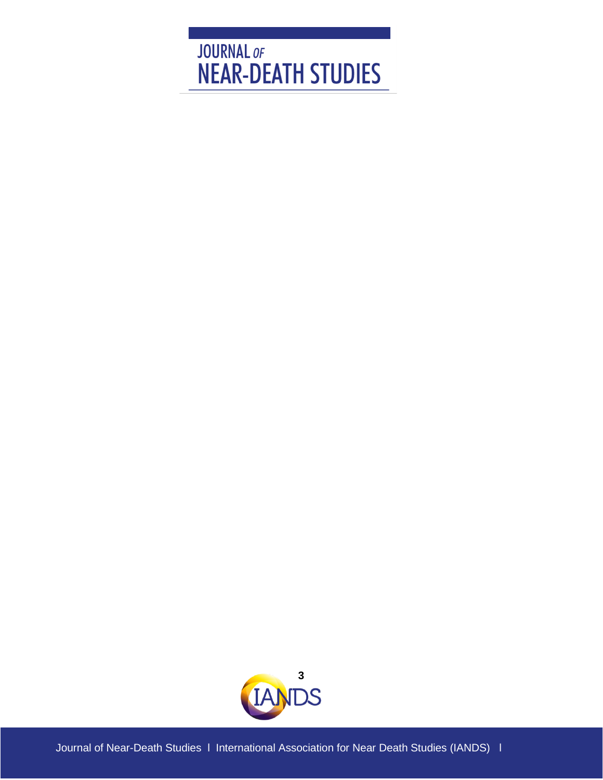# **JOURNAL OF NEAR-DEATH STUDIES**

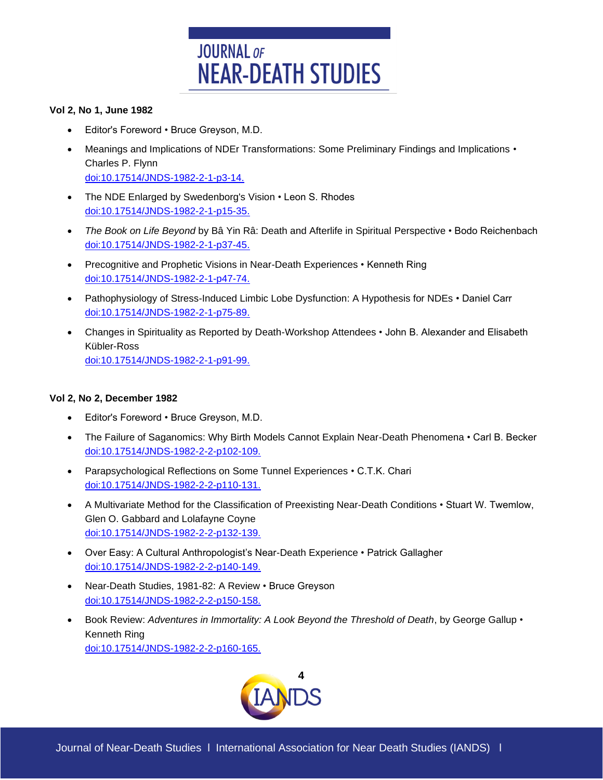

#### **Vol 2, No 1, June 1982**

- Editor's Foreword Bruce Greyson, M.D.
- Meanings and Implications of NDEr Transformations: Some Preliminary Findings and Implications Charles P. Flynn [doi:10.17514/JNDS-1982-2-1-p3-14.](http://digital.library.unt.edu/ark:/67531/metadc1051956/)
- The NDE Enlarged by Swedenborg's Vision Leon S. Rhodes [doi:10.17514/JNDS-1982-2-1-p15-35.](http://digital.library.unt.edu/ark:/67531/metadc1051993/)
- *The Book on Life Beyond* by Bâ Yin Râ: Death and Afterlife in Spiritual Perspective Bodo Reichenbach [doi:10.17514/JNDS-1982-2-1-p37-45.](http://digital.library.unt.edu/ark:/67531/metadc1051959/)
- Precognitive and Prophetic Visions in Near-Death Experiences Kenneth Ring [doi:10.17514/JNDS-1982-2-1-p47-74.](http://digital.library.unt.edu/ark:/67531/metadc1051996/)
- Pathophysiology of Stress-Induced Limbic Lobe Dysfunction: A Hypothesis for NDEs Daniel Carr [doi:10.17514/JNDS-1982-2-1-p75-89.](http://digital.library.unt.edu/ark:/67531/metadc1052014/)
- Changes in Spirituality as Reported by Death-Workshop Attendees John B. Alexander and Elisabeth Kübler-Ross [doi:10.17514/JNDS-1982-2-1-p91-99.](http://digital.library.unt.edu/ark:/67531/metadc1051975/)

#### **Vol 2, No 2, December 1982**

- Editor's Foreword Bruce Greyson, M.D.
- The Failure of Saganomics: Why Birth Models Cannot Explain Near-Death Phenomena Carl B. Becker [doi:10.17514/JNDS-1982-2-2-p102-109.](http://digital.library.unt.edu/ark:/67531/metadc799304/)
- Parapsychological Reflections on Some Tunnel Experiences C.T.K. Chari [doi:10.17514/JNDS-1982-2-2-p110-131.](http://digital.library.unt.edu/ark:/67531/metadc798988/)
- A Multivariate Method for the Classification of Preexisting Near-Death Conditions Stuart W. Twemlow, Glen O. Gabbard and Lolafayne Coyne [doi:10.17514/JNDS-1982-2-2-p132-139.](http://digital.library.unt.edu/ark:/67531/metadc798922/)
- Over Easy: A Cultural Anthropologist's Near-Death Experience Patrick Gallagher [doi:10.17514/JNDS-1982-2-2-p140-149.](http://digital.library.unt.edu/ark:/67531/metadc799298/)
- Near-Death Studies, 1981-82: A Review Bruce Greyson [doi:10.17514/JNDS-1982-2-2-p150-158.](http://digital.library.unt.edu/ark:/67531/metadc799210)
- Book Review: Adventures in Immortality: A Look Beyond the Threshold of Death, by George Gallup Kenneth Ring [doi:10.17514/JNDS-1982-2-2-p160-165.](http://digital.library.unt.edu/ark:/67531/metadc799071/)

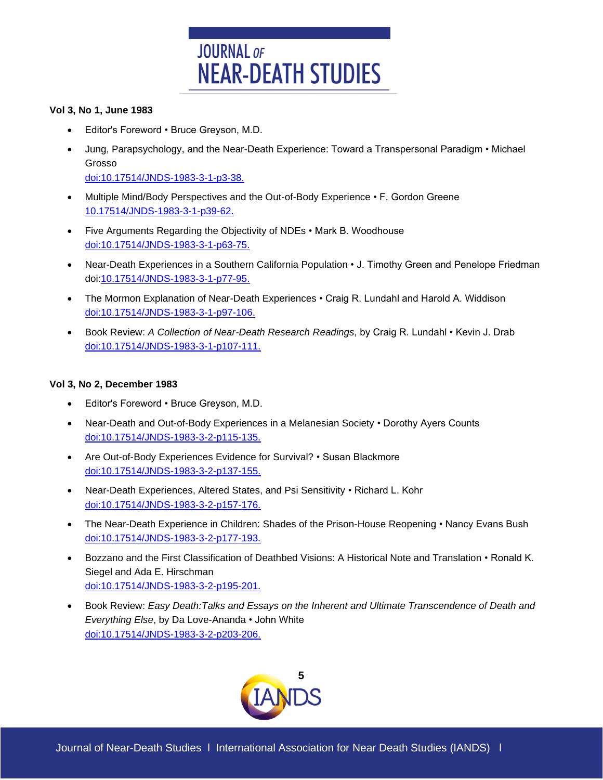

#### **Vol 3, No 1, June 1983**

- Editor's Foreword Bruce Greyson, M.D.
- Jung, Parapsychology, and the Near-Death Experience: Toward a Transpersonal Paradigm Michael Grosso [doi:10.17514/JNDS-1983-3-1-p3-38.](http://digital.library.unt.edu/ark:/67531/metadc1051969/)
- Multiple Mind/Body Perspectives and the Out-of-Body Experience F. Gordon Greene [10.17514/JNDS-1983-3-1-p39-62.](http://digital.library.unt.edu/ark:/67531/metadc1051981/)
- Five Arguments Regarding the Objectivity of NDEs Mark B. Woodhouse [doi:10.17514/JNDS-1983-3-1-p63-75.](http://digital.library.unt.edu/ark:/67531/metadc1051980/)
- Near-Death Experiences in a Southern California Population J. Timothy Green and Penelope Friedman doi[:10.17514/JNDS-1983-3-1-p77-95.](http://digital.library.unt.edu/ark:/67531/metadc1051979/)
- The Mormon Explanation of Near-Death Experiences Craig R. Lundahl and Harold A. Widdison [doi:10.17514/JNDS-1983-3-1-p97-106.](http://digital.library.unt.edu/ark:/67531/metadc1051989/)
- Book Review: *A Collection of Near-Death Research Readings*, by Craig R. Lundahl Kevin J. Drab [doi:10.17514/JNDS-1983-3-1-p107-111.](http://digital.library.unt.edu/ark:/67531/metadc1051995/)

#### **Vol 3, No 2, December 1983**

- Editor's Foreword Bruce Greyson, M.D.
- Near-Death and Out-of-Body Experiences in a Melanesian Society Dorothy Ayers Counts [doi:10.17514/JNDS-1983-3-2-p115-135.](http://digital.library.unt.edu/ark:/67531/metadc798973/)
- Are Out-of-Body Experiences Evidence for Survival? Susan Blackmore [doi:10.17514/JNDS-1983-3-2-p137-155.](http://digital.library.unt.edu/ark:/67531/metadc799265/)
- Near-Death Experiences, Altered States, and Psi Sensitivity Richard L. Kohr [doi:10.17514/JNDS-1983-3-2-p157-176.](http://digital.library.unt.edu/ark:/67531/metadc798956/)
- The Near-Death Experience in Children: Shades of the Prison-House Reopening Nancy Evans Bush [doi:10.17514/JNDS-1983-3-2-p177-193.](http://digital.library.unt.edu/ark:/67531/metadc798982/)
- Bozzano and the First Classification of Deathbed Visions: A Historical Note and Translation Ronald K. Siegel and Ada E. Hirschman [doi:10.17514/JNDS-1983-3-2-p195-201.](http://digital.library.unt.edu/ark:/67531/metadc799114/)
- Book Review: *Easy Death:Talks and Essays on the Inherent and Ultimate Transcendence of Death and Everything Else*, by Da Love-Ananda • John White [doi:10.17514/JNDS-1983-3-2-p203-206.](http://digital.library.unt.edu/ark:/67531/metadc799271/)

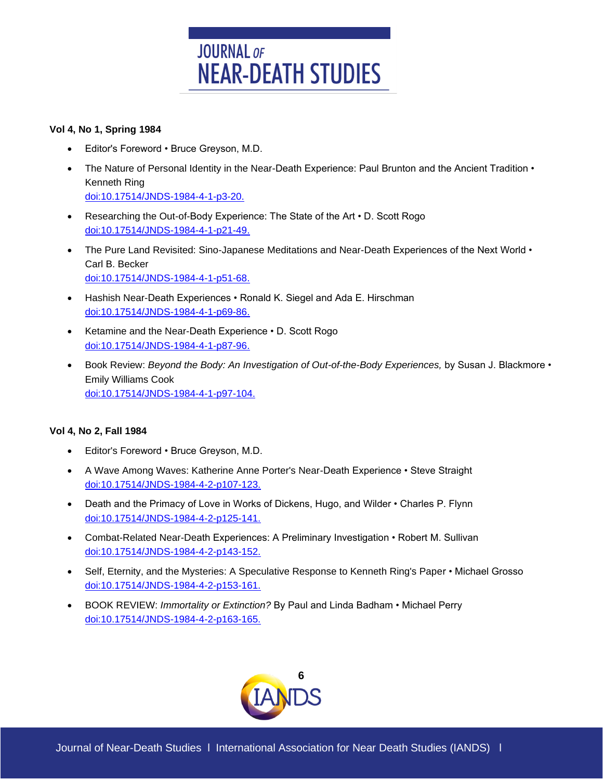# **JOURNAL OF NEAR-DEATH STUDIES**

#### **Vol 4, No 1, Spring 1984**

- Editor's Foreword Bruce Greyson, M.D.
- The Nature of Personal Identity in the Near-Death Experience: Paul Brunton and the Ancient Tradition Kenneth Ring [doi:10.17514/JNDS-1984-4-1-p3-20.](http://digital.library.unt.edu/ark:/67531/metadc1051972/)
- Researching the Out-of-Body Experience: The State of the Art D. Scott Rogo [doi:10.17514/JNDS-1984-4-1-p21-49.](http://digital.library.unt.edu/ark:/67531/metadc1051977/)
- The Pure Land Revisited: Sino-Japanese Meditations and Near-Death Experiences of the Next World Carl B. Becker [doi:10.17514/JNDS-1984-4-1-p51-68.](http://digital.library.unt.edu/ark:/67531/metadc1051963/)
- Hashish Near-Death Experiences Ronald K. Siegel and Ada E. Hirschman [doi:10.17514/JNDS-1984-4-1-p69-86.](http://digital.library.unt.edu/ark:/67531/metadc1052016/)
- Ketamine and the Near-Death Experience D. Scott Rogo [doi:10.17514/JNDS-1984-4-1-p87-96.](http://digital.library.unt.edu/ark:/67531/metadc1052009/)
- Book Review: *Beyond the Body: An Investigation of Out-of-the-Body Experiences,* by Susan J. Blackmore Emily Williams Cook [doi:10.17514/JNDS-1984-4-1-p97-104.](http://digital.library.unt.edu/ark:/67531/metadc1051986/)

# **Vol 4, No 2, Fall 1984**

- Editor's Foreword Bruce Greyson, M.D.
- A Wave Among Waves: Katherine Anne Porter's Near-Death Experience Steve Straight [doi:10.17514/JNDS-1984-4-2-p107-123.](http://digital.library.unt.edu/ark:/67531/metadc1051960/)
- Death and the Primacy of Love in Works of Dickens, Hugo, and Wilder Charles P. Flynn [doi:10.17514/JNDS-1984-4-2-p125-141.](http://digital.library.unt.edu/ark:/67531/metadc1051958/)
- Combat-Related Near-Death Experiences: A Preliminary Investigation Robert M. Sullivan [doi:10.17514/JNDS-1984-4-2-p143-152.](http://digital.library.unt.edu/ark:/67531/metadc1051961/)
- Self, Eternity, and the Mysteries: A Speculative Response to Kenneth Ring's Paper Michael Grosso [doi:10.17514/JNDS-1984-4-2-p153-161.](http://digital.library.unt.edu/ark:/67531/metadc1051997/)
- BOOK REVIEW: *Immortality or Extinction?* By Paul and Linda Badham Michael Perry [doi:10.17514/JNDS-1984-4-2-p163-165.](http://digital.library.unt.edu/ark:/67531/metadc1051998/)

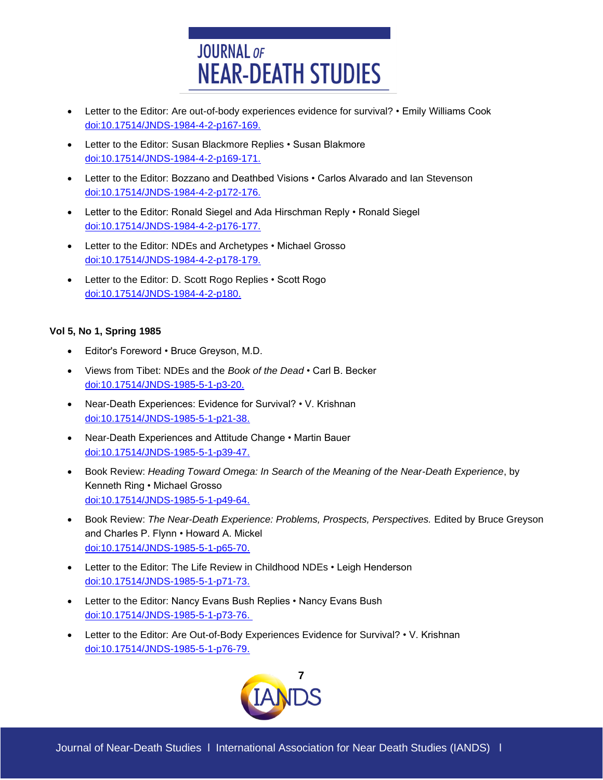

- Letter to the Editor: Are out-of-body experiences evidence for survival? Emily Williams Cook [doi:10.17514/JNDS-1984-4-2-p167-169.](http://digital.library.unt.edu/ark:/67531/metadc1051962/)
- Letter to the Editor: Susan Blackmore Replies Susan Blakmore [doi:10.17514/JNDS-1984-4-2-p169-171.](http://digital.library.unt.edu/ark:/67531/metadc1051968/)
- Letter to the Editor: Bozzano and Deathbed Visions Carlos Alvarado and Ian Stevenson [doi:10.17514/JNDS-1984-4-2-p172-176.](http://digital.library.unt.edu/ark:/67531/metadc1052004/)
- Letter to the Editor: Ronald Siegel and Ada Hirschman Reply Ronald Siegel [doi:10.17514/JNDS-1984-4-2-p176-177.](http://digital.library.unt.edu/ark:/67531/metadc1052001/)
- Letter to the Editor: NDEs and Archetypes Michael Grosso [doi:10.17514/JNDS-1984-4-2-p178-179.](http://digital.library.unt.edu/ark:/67531/metadc1052002/)
- Letter to the Editor: D. Scott Rogo Replies Scott Rogo [doi:10.17514/JNDS-1984-4-2-p180.](http://digital.library.unt.edu/ark:/67531/metadc1051992/)

# **Vol 5, No 1, Spring 1985**

- Editor's Foreword Bruce Greyson, M.D.
- Views from Tibet: NDEs and the *Book of the Dead* Carl B. Becker [doi:10.17514/JNDS-1985-5-1-p3-20.](http://digital.library.unt.edu/ark:/67531/metadc799284/)
- Near-Death Experiences: Evidence for Survival? V. Krishnan [doi:10.17514/JNDS-1985-5-1-p21-38.](http://digital.library.unt.edu/ark:/67531/metadc799061/)
- Near-Death Experiences and Attitude Change Martin Bauer [doi:10.17514/JNDS-1985-5-1-p39-47.](http://digital.library.unt.edu/ark:/67531/metadc799093/)
- Book Review: *Heading Toward Omega: In Search of the Meaning of the Near-Death Experience*, by Kenneth Ring • Michael Grosso [doi:10.17514/JNDS-1985-5-1-p49-64.](http://digital.library.unt.edu/ark:/67531/metadc799031/)
- Book Review: *The Near-Death Experience: Problems, Prospects, Perspectives.* Edited by Bruce Greyson and Charles P. Flynn • Howard A. Mickel [doi:10.17514/JNDS-1985-5-1-p65-70.](http://digital.library.unt.edu/ark:/67531/metadc799219/)
- Letter to the Editor: The Life Review in Childhood NDEs Leigh Henderson [doi:10.17514/JNDS-1985-5-1-p71-73.](http://digital.library.unt.edu/ark:/67531/metadc799164/)
- Letter to the Editor: Nancy Evans Bush Replies Nancy Evans Bush [doi:10.17514/JNDS-1985-5-1-p73-76.](http://digital.library.unt.edu/ark:/67531/metadc938086/)
- Letter to the Editor: Are Out-of-Body Experiences Evidence for Survival? V. Krishnan [doi:10.17514/JNDS-1985-5-1-p76-79.](http://digital.library.unt.edu/ark:/67531/metadc938033/)

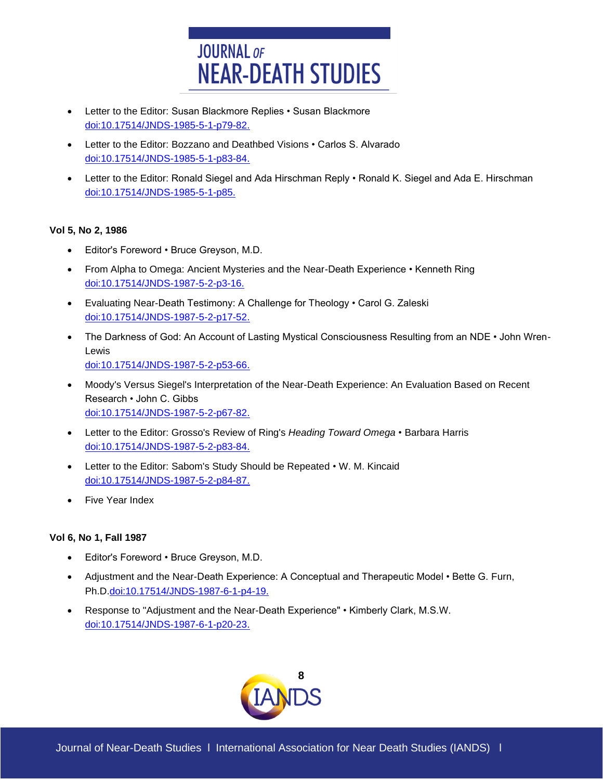

- Letter to the Editor: Susan Blackmore Replies Susan Blackmore [doi:10.17514/JNDS-1985-5-1-p79-82.](http://digital.library.unt.edu/ark:/67531/metadc937975/)
- Letter to the Editor: Bozzano and Deathbed Visions Carlos S. Alvarado [doi:10.17514/JNDS-1985-5-1-p83-84.](http://digital.library.unt.edu/ark:/67531/metadc937991/)
- Letter to the Editor: Ronald Siegel and Ada Hirschman Reply Ronald K. Siegel and Ada E. Hirschman [doi:10.17514/JNDS-1985-5-1-p85.](http://digital.library.unt.edu/ark:/67531/metadc938050/)

#### **Vol 5, No 2, 1986**

- Editor's Foreword Bruce Greyson, M.D.
- From Alpha to Omega: Ancient Mysteries and the Near-Death Experience Kenneth Ring [doi:10.17514/JNDS-1987-5-2-p3-16.](http://digital.library.unt.edu/ark:/67531/metadc799357/)
- Evaluating Near-Death Testimony: A Challenge for Theology Carol G. Zaleski [doi:10.17514/JNDS-1987-5-2-p17-52.](http://digital.library.unt.edu/ark:/67531/metadc799151/)
- The Darkness of God: An Account of Lasting Mystical Consciousness Resulting from an NDE John Wren-Lewis [doi:10.17514/JNDS-1987-5-2-p53-66.](http://digital.library.unt.edu/ark:/67531/metadc799302/)
- Moody's Versus Siegel's Interpretation of the Near-Death Experience: An Evaluation Based on Recent Research • John C. Gibbs [doi:10.17514/JNDS-1987-5-2-p67-82.](http://digital.library.unt.edu/ark:/67531/metadc799212/)
- Letter to the Editor: Grosso's Review of Ring's *Heading Toward Omega* Barbara Harris [doi:10.17514/JNDS-1987-5-2-p83-84.](http://digital.library.unt.edu/ark:/67531/metadc799246/)
- Letter to the Editor: Sabom's Study Should be Repeated *•* W. M. Kincaid [doi:10.17514/JNDS-1987-5-2-p84-87.](http://digital.library.unt.edu/ark:/67531/metadc938022/)
- Five Year Index

#### **Vol 6, No 1, Fall 1987**

- Editor's Foreword Bruce Greyson, M.D.
- Adjustment and the Near-Death Experience: A Conceptual and Therapeutic Model Bette G. Furn, Ph.D[.doi:10.17514/JNDS-1987-6-1-p4-19.](http://digital.library.unt.edu/ark:/67531/metadc1051991/)
- Response to "Adjustment and the Near-Death Experience" Kimberly Clark, M.S.W. [doi:10.17514/JNDS-1987-6-1-p20-23.](http://digital.library.unt.edu/ark:/67531/metadc1052008/)

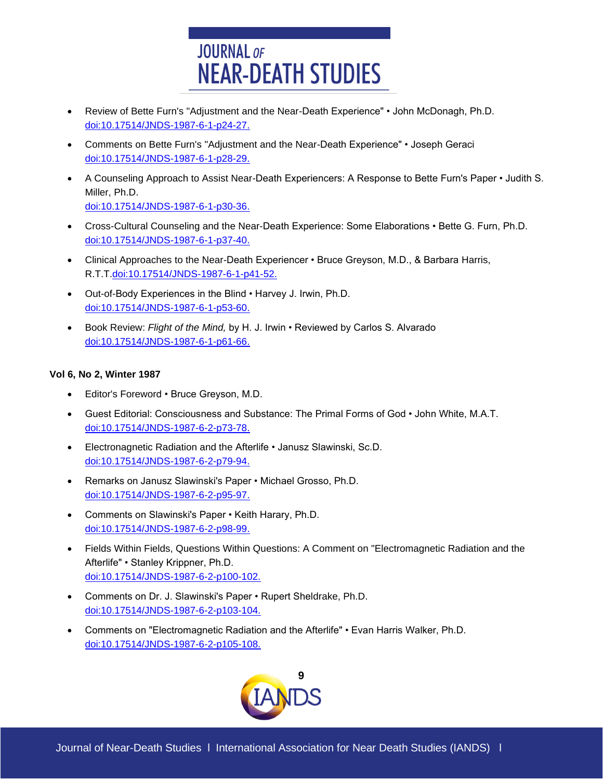

- Review of Bette Furn's "Adjustment and the Near-Death Experience" John McDonagh, Ph.D. [doi:10.17514/JNDS-1987-6-1-p24-27.](http://digital.library.unt.edu/ark:/67531/metadc1051976/)
- Comments on Bette Furn's "Adjustment and the Near-Death Experience" Joseph Geraci [doi:10.17514/JNDS-1987-6-1-p28-29.](http://digital.library.unt.edu/ark:/67531/metadc1051994/)
- A Counseling Approach to Assist Near-Death Experiencers: A Response to Bette Furn's Paper Judith S. Miller, Ph.D. [doi:10.17514/JNDS-1987-6-1-p30-36.](http://digital.library.unt.edu/ark:/67531/metadc1052015/)
- Cross-Cultural Counseling and the Near-Death Experience: Some Elaborations Bette G. Furn, Ph.D. [doi:10.17514/JNDS-1987-6-1-p37-40.](http://digital.library.unt.edu/ark:/67531/metadc1051957/)
- Clinical Approaches to the Near-Death Experiencer Bruce Greyson, M.D., & Barbara Harris, R.T.T[.doi:10.17514/JNDS-1987-6-1-p41-52.](http://digital.library.unt.edu/ark:/67531/metadc1051966/)
- Out-of-Body Experiences in the Blind Harvey J. Irwin, Ph.D. [doi:10.17514/JNDS-1987-6-1-p53-60.](http://digital.library.unt.edu/ark:/67531/metadc1051983/)
- Book Review: *Flight of the Mind,* by H. J. Irwin Reviewed by Carlos S. Alvarado [doi:10.17514/JNDS-1987-6-1-p61-66.](http://digital.library.unt.edu/ark:/67531/metadc1051982/)

#### **Vol 6, No 2, Winter 1987**

- Editor's Foreword Bruce Greyson, M.D.
- Guest Editorial: Consciousness and Substance: The Primal Forms of God John White, M.A.T. [doi:10.17514/JNDS-1987-6-2-p73-78.](http://digital.library.unt.edu/ark:/67531/metadc1051970/)
- Electronagnetic Radiation and the Afterlife Janusz Slawinski, Sc.D. [doi:10.17514/JNDS-1987-6-2-p79-94.](http://digital.library.unt.edu/ark:/67531/metadc1051967/)
- Remarks on Janusz Slawinski's Paper Michael Grosso, Ph.D. [doi:10.17514/JNDS-1987-6-2-p95-97.](http://digital.library.unt.edu/ark:/67531/metadc1051978/)
- Comments on Slawinski's Paper Keith Harary, Ph.D. [doi:10.17514/JNDS-1987-6-2-p98-99.](http://digital.library.unt.edu/ark:/67531/metadc1051971/)
- Fields Within Fields, Questions Within Questions: A Comment on "Electromagnetic Radiation and the Afterlife" • Stanley Krippner, Ph.D. [doi:10.17514/JNDS-1987-6-2-p100-102.](http://digital.library.unt.edu/ark:/67531/metadc1052003/)
- Comments on Dr. J. Slawinski's Paper Rupert Sheldrake, Ph.D. [doi:10.17514/JNDS-1987-6-2-p103-104.](http://digital.library.unt.edu/ark:/67531/metadc1051990/)
- Comments on "Electromagnetic Radiation and the Afterlife" Evan Harris Walker, Ph.D. [doi:10.17514/JNDS-1987-6-2-p105-108.](http://digital.library.unt.edu/ark:/67531/metadc1051984/)

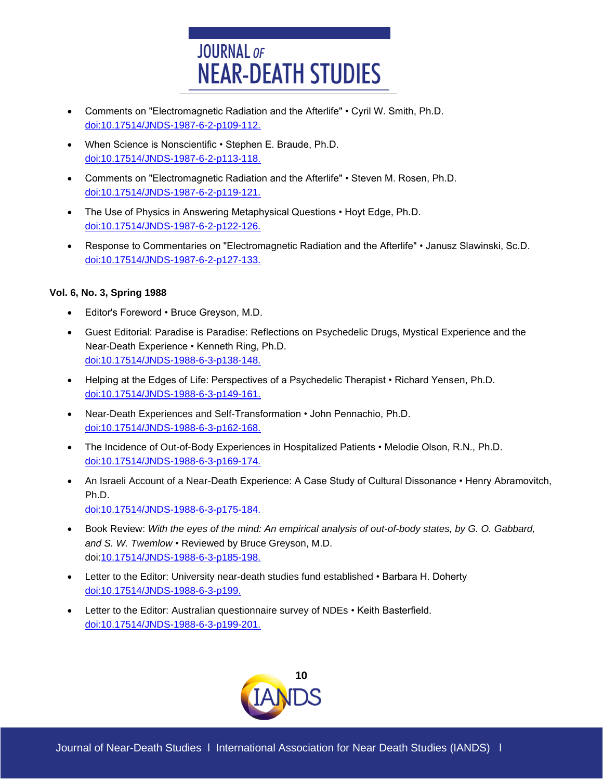

- Comments on "Electromagnetic Radiation and the Afterlife" Cyril W. Smith, Ph.D. [doi:10.17514/JNDS-1987-6-2-p109-112.](http://digital.library.unt.edu/ark:/67531/metadc1051965/)
- When Science is Nonscientific Stephen E. Braude, Ph.D. [doi:10.17514/JNDS-1987-6-2-p113-118.](http://digital.library.unt.edu/ark:/67531/metadc1052006/)
- Comments on "Electromagnetic Radiation and the Afterlife" Steven M. Rosen, Ph.D. [doi:10.17514/JNDS-1987-6-2-p119-121.](http://digital.library.unt.edu/ark:/67531/metadc1052013/)
- The Use of Physics in Answering Metaphysical Questions Hoyt Edge, Ph.D. [doi:10.17514/JNDS-1987-6-2-p122-126.](http://digital.library.unt.edu/ark:/67531/metadc1052000/)
- Response to Commentaries on "Electromagnetic Radiation and the Afterlife" Janusz Slawinski, Sc.D. [doi:10.17514/JNDS-1987-6-2-p127-133.](http://digital.library.unt.edu/ark:/67531/metadc1052012/)

# **Vol. 6, No. 3, Spring 1988**

- Editor's Foreword Bruce Greyson, M.D.
- Guest Editorial: Paradise is Paradise: Reflections on Psychedelic Drugs, Mystical Experience and the Near-Death Experience • Kenneth Ring, Ph.D. [doi:10.17514/JNDS-1988-6-3-p138-148.](http://digital.library.unt.edu/ark:/67531/metadc799268/)
- Helping at the Edges of Life: Perspectives of a Psychedelic Therapist Richard Yensen, Ph.D. [doi:10.17514/JNDS-1988-6-3-p149-161.](http://digital.library.unt.edu/ark:/67531/metadc799023/)
- Near-Death Experiences and Self-Transformation John Pennachio, Ph.D. [doi:10.17514/JNDS-1988-6-3-p162-168.](http://digital.library.unt.edu/ark:/67531/metadc798981/)
- The Incidence of Out-of-Body Experiences in Hospitalized Patients Melodie Olson, R.N., Ph.D. [doi:10.17514/JNDS-1988-6-3-p169-174.](http://digital.library.unt.edu/ark:/67531/metadc799166/)
- An Israeli Account of a Near-Death Experience: A Case Study of Cultural Dissonance Henry Abramovitch, Ph.D.
	- [doi:10.17514/JNDS-1988-6-3-p175-184.](http://digital.library.unt.edu/ark:/67531/metadc799347/)
- Book Review: *With the eyes of the mind: An empirical analysis of out-of-body states, by G. O. Gabbard, and S. W. Twemlow •* Reviewed by Bruce Greyson, M.D. doi[:10.17514/JNDS-1988-6-3-p185-198.](http://digital.library.unt.edu/ark:/67531/metadc799011/)
- Letter to the Editor: University near-death studies fund established Barbara H. Doherty [doi:10.17514/JNDS-1988-6-3-p199.](http://digital.library.unt.edu/ark:/67531/metadc798872/)
- Letter to the Editor: Australian questionnaire survey of NDEs Keith Basterfield. [doi:10.17514/JNDS-1988-6-3-p199-201.](https://digital.library.unt.edu/ark:/67531/metadc938048/)

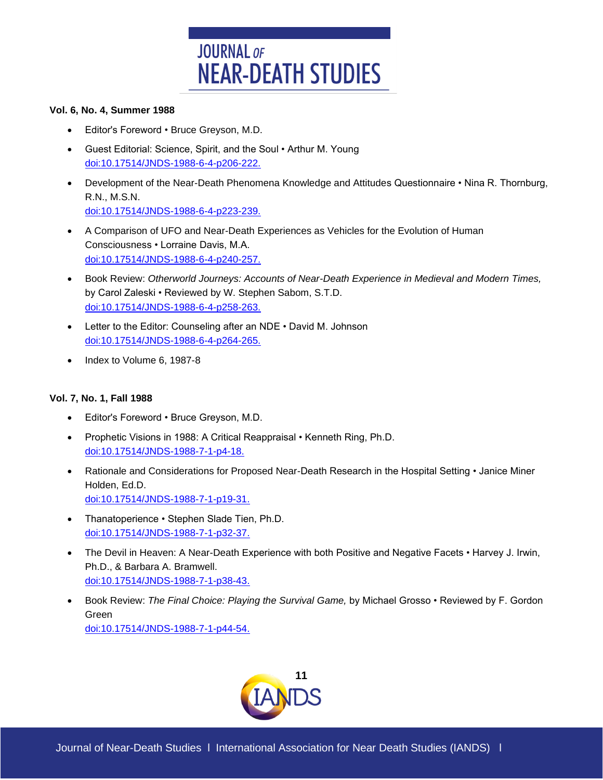

#### **Vol. 6, No. 4, Summer 1988**

- Editor's Foreword Bruce Greyson, M.D.
- Guest Editorial: Science, Spirit, and the Soul Arthur M. Young [doi:10.17514/JNDS-1988-6-4-p206-222.](http://digital.library.unt.edu/ark:/67531/metadc799334/)
- Development of the Near-Death Phenomena Knowledge and Attitudes Questionnaire Nina R. Thornburg, R.N., M.S.N. [doi:10.17514/JNDS-1988-6-4-p223-239.](http://digital.library.unt.edu/ark:/67531/metadc798947/)
- A Comparison of UFO and Near-Death Experiences as Vehicles for the Evolution of Human Consciousness • Lorraine Davis, M.A. [doi:10.17514/JNDS-1988-6-4-p240-257.](http://digital.library.unt.edu/ark:/67531/metadc799343/)
- Book Review: *Otherworld Journeys: Accounts of Near-Death Experience in Medieval and Modern Times,*  by Carol Zaleski • Reviewed by W. Stephen Sabom, S.T.D. [doi:10.17514/JNDS-1988-6-4-p258-263.](http://digital.library.unt.edu/ark:/67531/metadc799242/)
- Letter to the Editor: Counseling after an NDE David M. Johnson [doi:10.17514/JNDS-1988-6-4-p264-265.](http://digital.library.unt.edu/ark:/67531/metadc799216/)
- Index to Volume 6, 1987-8

#### **Vol. 7, No. 1, Fall 1988**

- Editor's Foreword Bruce Greyson, M.D.
- Prophetic Visions in 1988: A Critical Reappraisal Kenneth Ring, Ph.D. [doi:10.17514/JNDS-1988-7-1-p4-18.](http://digital.library.unt.edu/ark:/67531/metadc798876/)
- Rationale and Considerations for Proposed Near-Death Research in the Hospital Setting Janice Miner Holden, Ed.D. [doi:10.17514/JNDS-1988-7-1-p19-31.](http://digital.library.unt.edu/ark:/67531/metadc799190/)
- Thanatoperience Stephen Slade Tien, Ph.D. [doi:10.17514/JNDS-1988-7-1-p32-37.](http://digital.library.unt.edu/ark:/67531/metadc799057/)
- The Devil in Heaven: A Near-Death Experience with both Positive and Negative Facets Harvey J. Irwin, Ph.D., & Barbara A. Bramwell. [doi:10.17514/JNDS-1988-7-1-p38-43.](http://digital.library.unt.edu/ark:/67531/metadc799218/)
- Book Review: *The Final Choice: Playing the Survival Game,* by Michael Grosso Reviewed by F. Gordon Green [doi:10.17514/JNDS-1988-7-1-p44-54.](http://digital.library.unt.edu/ark:/67531/metadc799115/)

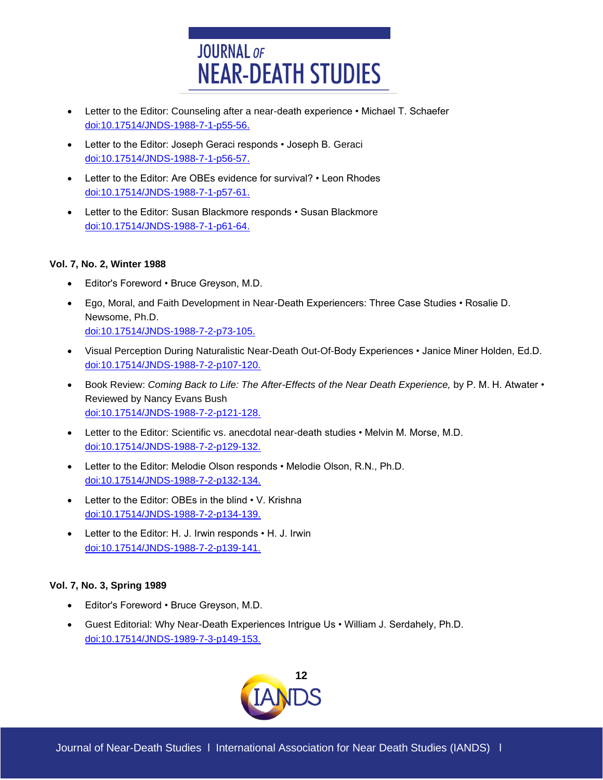

- Letter to the Editor: Counseling after a near-death experience Michael T. Schaefer [doi:10.17514/JNDS-1988-7-1-p55-56.](http://digital.library.unt.edu/ark:/67531/metadc799005/)
- Letter to the Editor: Joseph Geraci responds Joseph B. Geraci [doi:10.17514/JNDS-1988-7-1-p56-57.](https://digital.library.unt.edu/ark:/67531/metadc937992/)
- Letter to the Editor: Are OBEs evidence for survival? Leon Rhodes [doi:10.17514/JNDS-1988-7-1-p57-61.](https://digital.library.unt.edu/ark:/67531/metadc938075/)
- Letter to the Editor: Susan Blackmore responds Susan Blackmore [doi:10.17514/JNDS-1988-7-1-p61-64.](https://digital.library.unt.edu/ark:/67531/metadc938001/)

#### **Vol. 7, No. 2, Winter 1988**

- Editor's Foreword Bruce Greyson, M.D.
- Ego, Moral, and Faith Development in Near-Death Experiencers: Three Case Studies Rosalie D. Newsome, Ph.D. [doi:10.17514/JNDS-1988-7-2-p73-105.](http://digital.library.unt.edu/ark:/67531/metadc799079/)
- Visual Perception During Naturalistic Near-Death Out-Of-Body Experiences Janice Miner Holden, Ed.D. [doi:10.17514/JNDS-1988-7-2-p107-120.](http://digital.library.unt.edu/ark:/67531/metadc799004/)
- Book Review: *Coming Back to Life: The After-Effects of the Near Death Experience,* by P. M. H. Atwater Reviewed by Nancy Evans Bush [doi:10.17514/JNDS-1988-7-2-p121-128.](http://digital.library.unt.edu/ark:/67531/metadc799138/)
- Letter to the Editor: Scientific vs. anecdotal near-death studies Melvin M. Morse, M.D. [doi:10.17514/JNDS-1988-7-2-p129-132.](http://digital.library.unt.edu/ark:/67531/metadc799289/)
- Letter to the Editor: Melodie Olson responds Melodie Olson, R.N., Ph.D. [doi:10.17514/JNDS-1988-7-2-p132-134.](https://digital.library.unt.edu/ark:/67531/metadc938035/)
- Letter to the Editor: OBEs in the blind V. Krishna [doi:10.17514/JNDS-1988-7-2-p134-139.](https://digital.library.unt.edu/ark:/67531/metadc937970/)
- Letter to the Editor: H. J. Irwin responds H. J. Irwin [doi:10.17514/JNDS-1988-7-2-p139-141.](https://digital.library.unt.edu/ark:/67531/metadc938014/)

#### **Vol. 7, No. 3, Spring 1989**

- Editor's Foreword Bruce Greyson, M.D.
- Guest Editorial: Why Near-Death Experiences Intrigue Us William J. Serdahely, Ph.D. [doi:10.17514/JNDS-1989-7-3-p149-153.](http://digital.library.unt.edu/ark:/67531/metadc799098/)

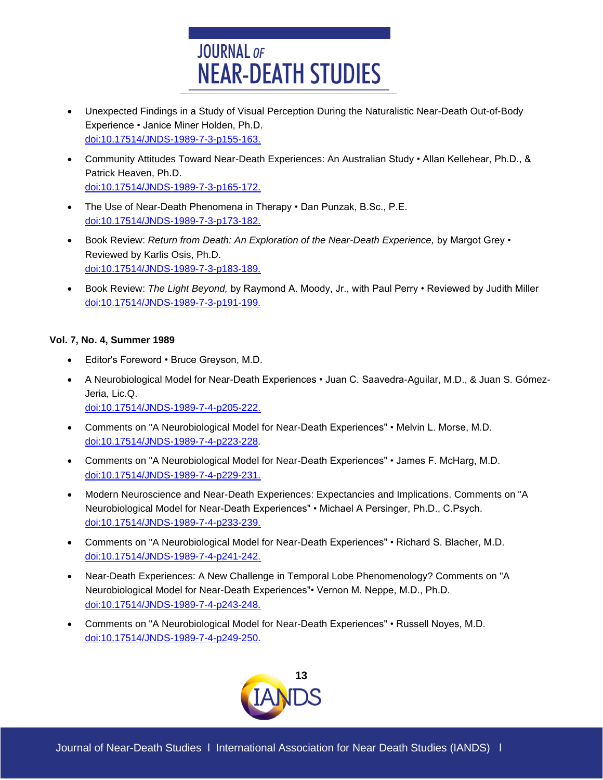

- Unexpected Findings in a Study of Visual Perception During the Naturalistic Near-Death Out-of-Body Experience • Janice Miner Holden, Ph.D. [doi:10.17514/JNDS-1989-7-3-p155-163.](http://digital.library.unt.edu/ark:/67531/metadc799017/)
- Community Attitudes Toward Near-Death Experiences: An Australian Study Allan Kellehear, Ph.D., & Patrick Heaven, Ph.D. [doi:10.17514/JNDS-1989-7-3-p165-172.](http://digital.library.unt.edu/ark:/67531/metadc798893/)
- The Use of Near-Death Phenomena in Therapy Dan Punzak, B.Sc., P.E. [doi:10.17514/JNDS-1989-7-3-p173-182.](http://digital.library.unt.edu/ark:/67531/metadc799177/)
- Book Review: *Return from Death: An Exploration of the Near-Death Experience,* by Margot Grey Reviewed by Karlis Osis, Ph.D. [doi:10.17514/JNDS-1989-7-3-p183-189.](https://iands.org/10.17514/JNDS-1989-7-3-p183-189.)
- Book Review: *The Light Beyond,* by Raymond A. Moody, Jr., with Paul Perry Reviewed by Judith Miller [doi:10.17514/JNDS-1989-7-3-p191-199.](http://digital.library.unt.edu/ark:/67531/metadc799039/)

#### **Vol. 7, No. 4, Summer 1989**

- Editor's Foreword Bruce Greyson, M.D.
- A Neurobiological Model for Near-Death Experiences Juan C. Saavedra-Aguilar, M.D., & Juan S. Gómez-Jeria, Lic.Q. [doi:10.17514/JNDS-1989-7-4-p205-222.](http://digital.library.unt.edu/ark:/67531/metadc799012/)
- Comments on "A Neurobiological Model for Near-Death Experiences" Melvin L. Morse, M.D. [doi:10.17514/JNDS-1989-7-4-p223-228.](http://digital.library.unt.edu/ark:/67531/metadc799293/)
- Comments on "A Neurobiological Model for Near-Death Experiences" James F. McHarg, M.D. [doi:10.17514/JNDS-1989-7-4-p229-231.](http://digital.library.unt.edu/ark:/67531/metadc798901/)
- Modern Neuroscience and Near-Death Experiences: Expectancies and Implications. Comments on "A Neurobiological Model for Near-Death Experiences" • Michael A Persinger, Ph.D., C.Psych. [doi:10.17514/JNDS-1989-7-4-p233-239.](http://digital.library.unt.edu/ark:/67531/metadc799198/)
- Comments on "A Neurobiological Model for Near-Death Experiences" Richard S. Blacher, M.D. [doi:10.17514/JNDS-1989-7-4-p241-242.](http://digital.library.unt.edu/ark:/67531/metadc799097/)
- Near-Death Experiences: A New Challenge in Temporal Lobe Phenomenology? Comments on "A Neurobiological Model for Near-Death Experiences"• Vernon M. Neppe, M.D., Ph.D. [doi:10.17514/JNDS-1989-7-4-p243-248.](http://digital.library.unt.edu/ark:/67531/metadc798932/)
- Comments on "A Neurobiological Model for Near-Death Experiences" Russell Noyes, M.D. [doi:10.17514/JNDS-1989-7-4-p249-250.](http://digital.library.unt.edu/ark:/67531/metadc798970/)

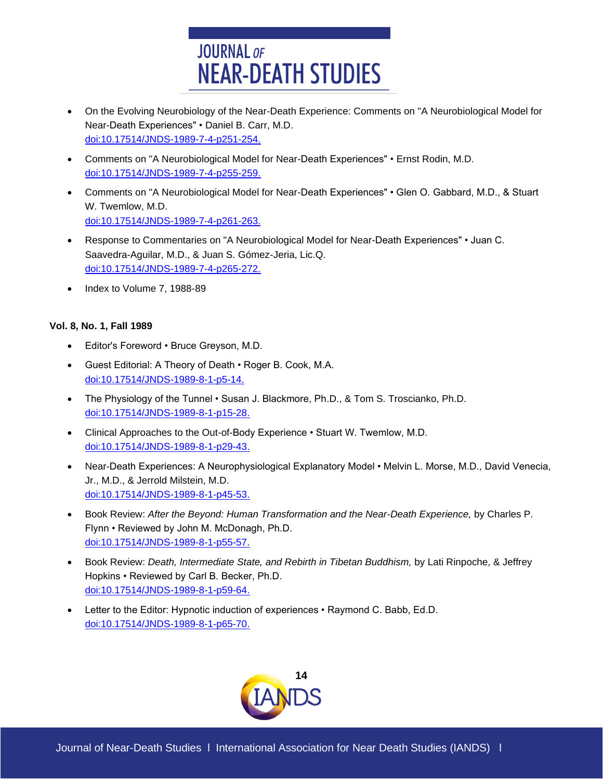

- On the Evolving Neurobiology of the Near-Death Experience: Comments on "A Neurobiological Model for Near-Death Experiences" • Daniel B. Carr, M.D. [doi:10.17514/JNDS-1989-7-4-p251-254.](http://digital.library.unt.edu/ark:/67531/metadc799200/)
- Comments on "A Neurobiological Model for Near-Death Experiences" Ernst Rodin, M.D. [doi:10.17514/JNDS-1989-7-4-p255-259.](http://digital.library.unt.edu/ark:/67531/metadc799149/)
- Comments on "A Neurobiological Model for Near-Death Experiences" Glen O. Gabbard, M.D., & Stuart W. Twemlow, M.D. [doi:10.17514/JNDS-1989-7-4-p261-263.](http://digital.library.unt.edu/ark:/67531/metadc799107/)
- Response to Commentaries on "A Neurobiological Model for Near-Death Experiences" Juan C. Saavedra-Aguilar, M.D., & Juan S. Gómez-Jeria, Lic.Q. [doi:10.17514/JNDS-1989-7-4-p265-272.](http://digital.library.unt.edu/ark:/67531/metadc799280/)
- Index to Volume 7, 1988-89

# **Vol. 8, No. 1, Fall 1989**

- Editor's Foreword Bruce Greyson, M.D.
- Guest Editorial: A Theory of Death Roger B. Cook, M.A. [doi:10.17514/JNDS-1989-8-1-p5-14.](http://digital.library.unt.edu/ark:/67531/metadc799084/)
- The Physiology of the Tunnel Susan J. Blackmore, Ph.D., & Tom S. Troscianko, Ph.D. [doi:10.17514/JNDS-1989-8-1-p15-28.](http://digital.library.unt.edu/ark:/67531/metadc799131/)
- Clinical Approaches to the Out-of-Body Experience Stuart W. Twemlow, M.D. [doi:10.17514/JNDS-1989-8-1-p29-43.](http://digital.library.unt.edu/ark:/67531/metadc798989/)
- Near-Death Experiences: A Neurophysiological Explanatory Model Melvin L. Morse, M.D., David Venecia, Jr., M.D., & Jerrold Milstein, M.D. [doi:10.17514/JNDS-1989-8-1-p45-53.](http://digital.library.unt.edu/ark:/67531/metadc799364/)
- Book Review: *After the Beyond: Human Transformation and the Near-Death Experience,* by Charles P. Flynn • Reviewed by John M. McDonagh, Ph.D. [doi:10.17514/JNDS-1989-8-1-p55-57.](http://digital.library.unt.edu/ark:/67531/metadc799237/)
- Book Review: *Death, Intermediate State, and Rebirth in Tibetan Buddhism,* by Lati Rinpoche, & Jeffrey Hopkins • Reviewed by Carl B. Becker, Ph.D. [doi:10.17514/JNDS-1989-8-1-p59-64.](http://digital.library.unt.edu/ark:/67531/metadc799020/)
- Letter to the Editor: Hypnotic induction of experiences Raymond C. Babb, Ed.D. [doi:10.17514/JNDS-1989-8-1-p65-70.](http://digital.library.unt.edu/ark:/67531/metadc798897/)

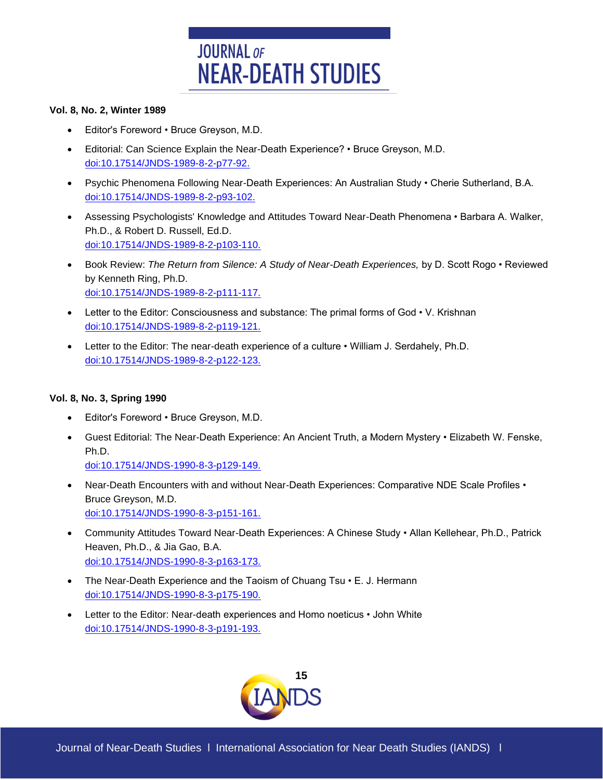

#### **Vol. 8, No. 2, Winter 1989**

- Editor's Foreword Bruce Greyson, M.D.
- Editorial: Can Science Explain the Near-Death Experience? Bruce Greyson, M.D. [doi:10.17514/JNDS-1989-8-2-p77-92.](http://digital.library.unt.edu/ark:/67531/metadc798871/)
- Psychic Phenomena Following Near-Death Experiences: An Australian Study Cherie Sutherland, B.A. [doi:10.17514/JNDS-1989-8-2-p93-102.](http://digital.library.unt.edu/ark:/67531/metadc799362/)
- Assessing Psychologists' Knowledge and Attitudes Toward Near-Death Phenomena Barbara A. Walker, Ph.D., & Robert D. Russell, Ed.D. [doi:10.17514/JNDS-1989-8-2-p103-110.](http://digital.library.unt.edu/ark:/67531/metadc799194/)
- Book Review: *The Return from Silence: A Study of Near-Death Experiences,* by D. Scott Rogo Reviewed by Kenneth Ring, Ph.D. [doi:10.17514/JNDS-1989-8-2-p111-117.](http://digital.library.unt.edu/ark:/67531/metadc799103/)
- Letter to the Editor: Consciousness and substance: The primal forms of God V. Krishnan [doi:10.17514/JNDS-1989-8-2-p119-121.](http://digital.library.unt.edu/ark:/67531/metadc799300/)
- Letter to the Editor: The near-death experience of a culture William J. Serdahely, Ph.D. [doi:10.17514/JNDS-1989-8-2-p122-123.](https://digital.library.unt.edu/ark:/67531/metadc938082/)

#### **Vol. 8, No. 3, Spring 1990**

- Editor's Foreword Bruce Greyson, M.D.
- Guest Editorial: The Near-Death Experience: An Ancient Truth, a Modern Mystery Elizabeth W. Fenske, Ph.D. [doi:10.17514/JNDS-1990-8-3-p129-149.](http://digital.library.unt.edu/ark:/67531/metadc798887/)
- Near-Death Encounters with and without Near-Death Experiences: Comparative NDE Scale Profiles Bruce Greyson, M.D. [doi:10.17514/JNDS-1990-8-3-p151-161.](http://digital.library.unt.edu/ark:/67531/metadc799124/)
- Community Attitudes Toward Near-Death Experiences: A Chinese Study Allan Kellehear, Ph.D., Patrick Heaven, Ph.D., & Jia Gao, B.A. [doi:10.17514/JNDS-1990-8-3-p163-173.](http://digital.library.unt.edu/ark:/67531/metadc799226/)
- The Near-Death Experience and the Taoism of Chuang Tsu E. J. Hermann [doi:10.17514/JNDS-1990-8-3-p175-190.](http://digital.library.unt.edu/ark:/67531/metadc799128/)
- Letter to the Editor: Near-death experiences and Homo noeticus John White [doi:10.17514/JNDS-1990-8-3-p191-193.](http://digital.library.unt.edu/ark:/67531/metadc799283/)

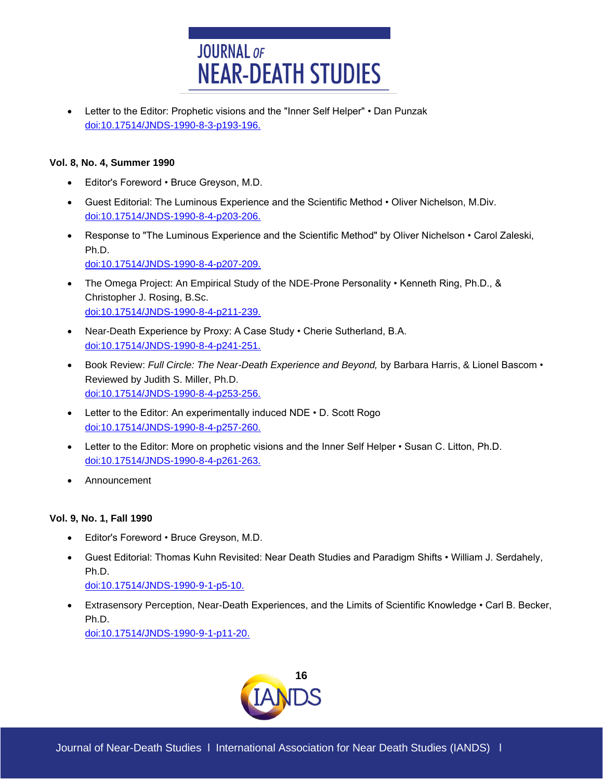

• Letter to the Editor: Prophetic visions and the "Inner Self Helper" • Dan Punzak [doi:10.17514/JNDS-1990-8-3-p193-196.](https://digital.library.unt.edu/ark:/67531/metadc938085/)

#### **Vol. 8, No. 4, Summer 1990**

- Editor's Foreword Bruce Greyson, M.D.
- Guest Editorial: The Luminous Experience and the Scientific Method Oliver Nichelson, M.Div. [doi:10.17514/JNDS-1990-8-4-p203-206.](http://digital.library.unt.edu/ark:/67531/metadc799117/)
- Response to "The Luminous Experience and the Scientific Method" by Oliver Nichelson Carol Zaleski, Ph.D. [doi:10.17514/JNDS-1990-8-4-p207-209.](http://digital.library.unt.edu/ark:/67531/metadc798894/)
- The Omega Project: An Empirical Study of the NDE-Prone Personality Kenneth Ring, Ph.D., & Christopher J. Rosing, B.Sc. [doi:10.17514/JNDS-1990-8-4-p211-239.](http://digital.library.unt.edu/ark:/67531/metadc799026/)
- Near-Death Experience by Proxy: A Case Study Cherie Sutherland, B.A. [doi:10.17514/JNDS-1990-8-4-p241-251.](http://digital.library.unt.edu/ark:/67531/metadc798996/)
- Book Review: *Full Circle: The Near-Death Experience and Beyond,* by Barbara Harris, & Lionel Bascom Reviewed by Judith S. Miller, Ph.D. [doi:10.17514/JNDS-1990-8-4-p253-256.](http://digital.library.unt.edu/ark:/67531/metadc799096/)
- Letter to the Editor: An experimentally induced NDE . D. Scott Rogo [doi:10.17514/JNDS-1990-8-4-p257-260.](http://digital.library.unt.edu/ark:/67531/metadc799116/)
- Letter to the Editor: More on prophetic visions and the Inner Self Helper Susan C. Litton, Ph.D. [doi:10.17514/JNDS-1990-8-4-p261-263.](https://digital.library.unt.edu/ark:/67531/metadc937966/)
- Announcement

#### **Vol. 9, No. 1, Fall 1990**

- Editor's Foreword Bruce Greyson, M.D.
- Guest Editorial: Thomas Kuhn Revisited: Near Death Studies and Paradigm Shifts William J. Serdahely, Ph.D. [doi:10.17514/JNDS-1990-9-1-p5-10.](http://digital.library.unt.edu/ark:/67531/metadc799123/)
- Extrasensory Perception, Near-Death Experiences, and the Limits of Scientific Knowledge Carl B. Becker, Ph.D. [doi:10.17514/JNDS-1990-9-1-p11-20.](http://digital.library.unt.edu/ark:/67531/metadc799152/)

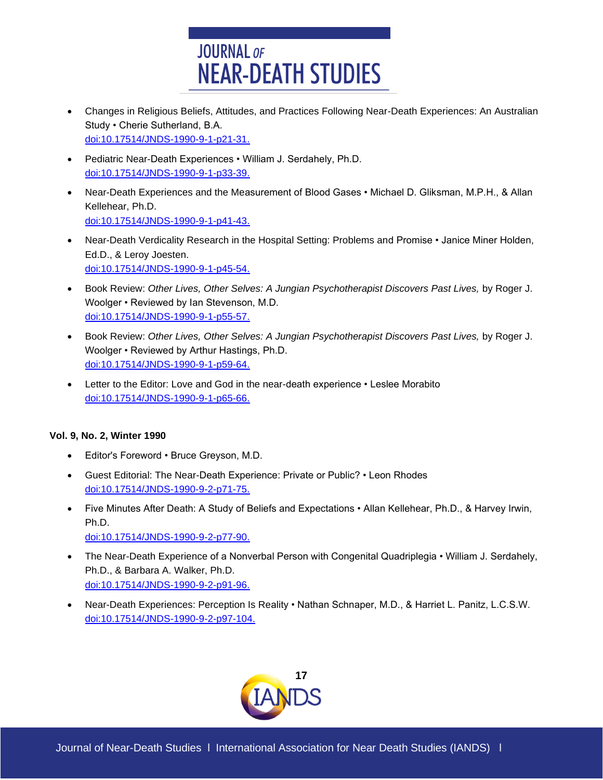

- Changes in Religious Beliefs, Attitudes, and Practices Following Near-Death Experiences: An Australian Study • Cherie Sutherland, B.A. [doi:10.17514/JNDS-1990-9-1-p21-31.](http://digital.library.unt.edu/ark:/67531/metadc799043/)
- Pediatric Near-Death Experiences William J. Serdahely, Ph.D. [doi:10.17514/JNDS-1990-9-1-p33-39.](http://digital.library.unt.edu/ark:/67531/metadc799214/)
- Near-Death Experiences and the Measurement of Blood Gases Michael D. Gliksman, M.P.H., & Allan Kellehear, Ph.D. [doi:10.17514/JNDS-1990-9-1-p41-43.](http://digital.library.unt.edu/ark:/67531/metadc799222/)
- Near-Death Verdicality Research in the Hospital Setting: Problems and Promise Janice Miner Holden, Ed.D., & Leroy Joesten. [doi:10.17514/JNDS-1990-9-1-p45-54.](http://digital.library.unt.edu/ark:/67531/metadc799168/)
- Book Review: *Other Lives, Other Selves: A Jungian Psychotherapist Discovers Past Lives,* by Roger J. Woolger • Reviewed by Ian Stevenson, M.D. [doi:10.17514/JNDS-1990-9-1-p55-57.](http://digital.library.unt.edu/ark:/67531/metadc799234/)
- Book Review: *Other Lives, Other Selves: A Jungian Psychotherapist Discovers Past Lives,* by Roger J. Woolger • Reviewed by Arthur Hastings, Ph.D. [doi:10.17514/JNDS-1990-9-1-p59-64.](http://digital.library.unt.edu/ark:/67531/metadc799337/)
- Letter to the Editor: Love and God in the near-death experience Leslee Morabito [doi:10.17514/JNDS-1990-9-1-p65-66.](http://digital.library.unt.edu/ark:/67531/metadc798976/)

#### **Vol. 9, No. 2, Winter 1990**

- Editor's Foreword Bruce Greyson, M.D.
- Guest Editorial: The Near-Death Experience: Private or Public? Leon Rhodes [doi:10.17514/JNDS-1990-9-2-p71-75.](http://digital.library.unt.edu/ark:/67531/metadc798916/)
- Five Minutes After Death: A Study of Beliefs and Expectations Allan Kellehear, Ph.D., & Harvey Irwin, Ph.D.

[doi:10.17514/JNDS-1990-9-2-p77-90.](http://digital.library.unt.edu/ark:/67531/metadc799316/)

- The Near-Death Experience of a Nonverbal Person with Congenital Quadriplegia William J. Serdahely, Ph.D., & Barbara A. Walker, Ph.D. [doi:10.17514/JNDS-1990-9-2-p91-96.](http://digital.library.unt.edu/ark:/67531/metadc798964/)
- Near-Death Experiences: Perception Is Reality Nathan Schnaper, M.D., & Harriet L. Panitz, L.C.S.W. [doi:10.17514/JNDS-1990-9-2-p97-104.](http://digital.library.unt.edu/ark:/67531/metadc799248/)

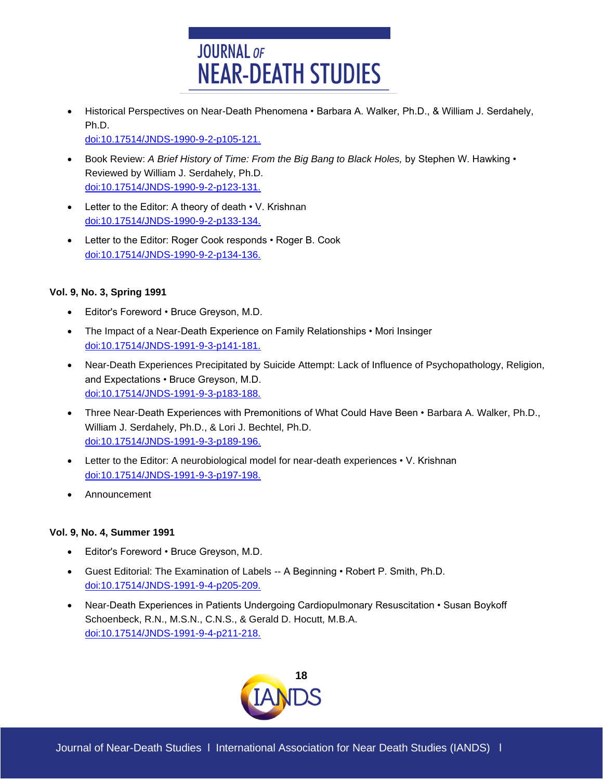

- Historical Perspectives on Near-Death Phenomena Barbara A. Walker, Ph.D., & William J. Serdahely, Ph.D. [doi:10.17514/JNDS-1990-9-2-p105-121.](http://digital.library.unt.edu/ark:/67531/metadc799044/)
- Book Review: *A Brief History of Time: From the Big Bang to Black Holes,* by Stephen W. Hawking Reviewed by William J. Serdahely, Ph.D. [doi:10.17514/JNDS-1990-9-2-p123-131.](https://digital.library.unt.edu/ark:/67531/metadc799269/)
- Letter to the Editor: A theory of death V. Krishnan [doi:10.17514/JNDS-1990-9-2-p133-134.](http://digital.library.unt.edu/ark:/67531/metadc799297/)
- Letter to the Editor: Roger Cook responds Roger B. Cook [doi:10.17514/JNDS-1990-9-2-p134-136.](https://digital.library.unt.edu/ark:/67531/metadc937974/)

# **Vol. 9, No. 3, Spring 1991**

- Editor's Foreword Bruce Greyson, M.D.
- The Impact of a Near-Death Experience on Family Relationships Mori Insinger [doi:10.17514/JNDS-1991-9-3-p141-181.](http://digital.library.unt.edu/ark:/67531/metadc799176/)
- Near-Death Experiences Precipitated by Suicide Attempt: Lack of Influence of Psychopathology, Religion, and Expectations • Bruce Greyson, M.D. [doi:10.17514/JNDS-1991-9-3-p183-188.](http://digital.library.unt.edu/ark:/67531/metadc799225/)
- Three Near-Death Experiences with Premonitions of What Could Have Been Barbara A. Walker, Ph.D., William J. Serdahely, Ph.D., & Lori J. Bechtel, Ph.D. [doi:10.17514/JNDS-1991-9-3-p189-196.](http://digital.library.unt.edu/ark:/67531/metadc799332/)
- Letter to the Editor: A neurobiological model for near-death experiences V. Krishnan [doi:10.17514/JNDS-1991-9-3-p197-198.](http://digital.library.unt.edu/ark:/67531/metadc799202/)
- Announcement

#### **Vol. 9, No. 4, Summer 1991**

- Editor's Foreword Bruce Greyson, M.D.
- Guest Editorial: The Examination of Labels -- A Beginning Robert P. Smith, Ph.D. [doi:10.17514/JNDS-1991-9-4-p205-209.](http://digital.library.unt.edu/ark:/67531/metadc799000/)
- Near-Death Experiences in Patients Undergoing Cardiopulmonary Resuscitation Susan Boykoff Schoenbeck, R.N., M.S.N., C.N.S., & Gerald D. Hocutt, M.B.A. [doi:10.17514/JNDS-1991-9-4-p211-218.](http://digital.library.unt.edu/ark:/67531/metadc799322/)

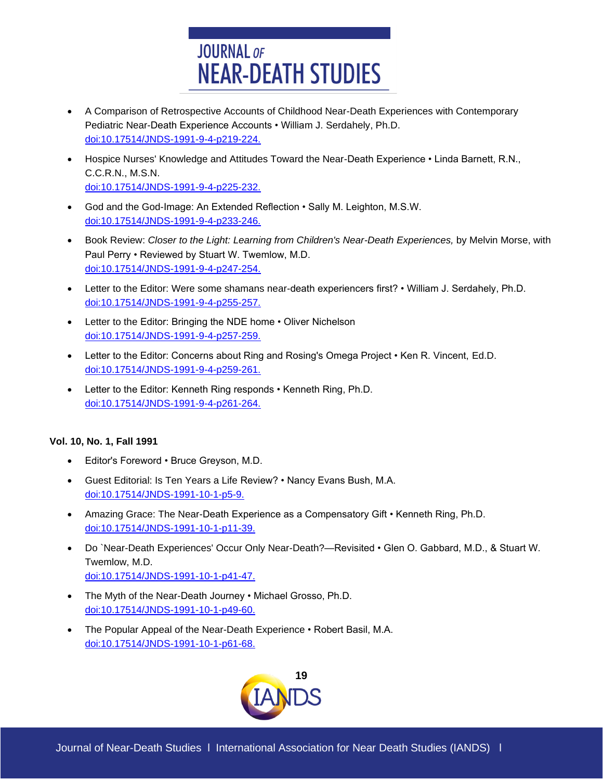

- A Comparison of Retrospective Accounts of Childhood Near-Death Experiences with Contemporary Pediatric Near-Death Experience Accounts • William J. Serdahely, Ph.D. [doi:10.17514/JNDS-1991-9-4-p219-224.](http://digital.library.unt.edu/ark:/67531/metadc798983/)
- Hospice Nurses' Knowledge and Attitudes Toward the Near-Death Experience Linda Barnett, R.N., C.C.R.N., M.S.N. [doi:10.17514/JNDS-1991-9-4-p225-232.](http://digital.library.unt.edu/ark:/67531/metadc799055/)
- God and the God-Image: An Extended Reflection Sally M. Leighton, M.S.W. [doi:10.17514/JNDS-1991-9-4-p233-246.](http://digital.library.unt.edu/ark:/67531/metadc798958/)
- Book Review: *Closer to the Light: Learning from Children's Near-Death Experiences,* by Melvin Morse, with Paul Perry • Reviewed by Stuart W. Twemlow, M.D. [doi:10.17514/JNDS-1991-9-4-p247-254.](http://digital.library.unt.edu/ark:/67531/metadc799073/)
- Letter to the Editor: Were some shamans near-death experiencers first? William J. Serdahely, Ph.D. [doi:10.17514/JNDS-1991-9-4-p255-257.](http://digital.library.unt.edu/ark:/67531/metadc798890/)
- Letter to the Editor: Bringing the NDE home Oliver Nichelson [doi:10.17514/JNDS-1991-9-4-p257-259.](https://digital.library.unt.edu/ark:/67531/metadc938036/)
- Letter to the Editor: Concerns about Ring and Rosing's Omega Project Ken R. Vincent, Ed.D. [doi:10.17514/JNDS-1991-9-4-p259-261.](https://digital.library.unt.edu/ark:/67531/metadc937994/)
- Letter to the Editor: Kenneth Ring responds Kenneth Ring, Ph.D. [doi:10.17514/JNDS-1991-9-4-p261-264.](https://digital.library.unt.edu/ark:/67531/metadc938000/)

#### **Vol. 10, No. 1, Fall 1991**

- Editor's Foreword Bruce Greyson, M.D.
- Guest Editorial: Is Ten Years a Life Review? Nancy Evans Bush, M.A. [doi:10.17514/JNDS-1991-10-1-p5-9.](http://digital.library.unt.edu/ark:/67531/metadc798878/)
- Amazing Grace: The Near-Death Experience as a Compensatory Gift Kenneth Ring, Ph.D. [doi:10.17514/JNDS-1991-10-1-p11-39.](http://digital.library.unt.edu/ark:/67531/metadc798950/)
- Do `Near-Death Experiences' Occur Only Near-Death?—Revisited Glen O. Gabbard, M.D., & Stuart W. Twemlow, M.D. [doi:10.17514/JNDS-1991-10-1-p41-47.](http://digital.library.unt.edu/ark:/67531/metadc799256/)
- The Myth of the Near-Death Journey Michael Grosso, Ph.D. [doi:10.17514/JNDS-1991-10-1-p49-60.](http://digital.library.unt.edu/ark:/67531/metadc799318/)
- The Popular Appeal of the Near-Death Experience Robert Basil, M.A. [doi:10.17514/JNDS-1991-10-1-p61-68.](http://digital.library.unt.edu/ark:/67531/metadc799313/)

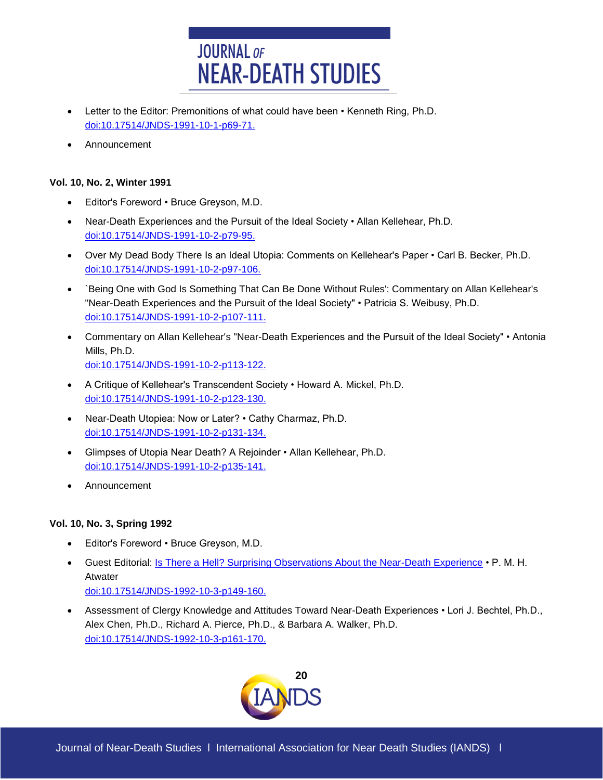

- Letter to the Editor: Premonitions of what could have been Kenneth Ring, Ph.D. [doi:10.17514/JNDS-1991-10-1-p69-71.](http://digital.library.unt.edu/ark:/67531/metadc798917/)
- Announcement

#### **Vol. 10, No. 2, Winter 1991**

- Editor's Foreword Bruce Greyson, M.D.
- Near-Death Experiences and the Pursuit of the Ideal Society Allan Kellehear, Ph.D. [doi:10.17514/JNDS-1991-10-2-p79-95.](http://digital.library.unt.edu/ark:/67531/metadc799204/)
- Over My Dead Body There Is an Ideal Utopia: Comments on Kellehear's Paper Carl B. Becker, Ph.D. [doi:10.17514/JNDS-1991-10-2-p97-106.](http://digital.library.unt.edu/ark:/67531/metadc799276/)
- `Being One with God Is Something That Can Be Done Without Rules': Commentary on Allan Kellehear's "Near-Death Experiences and the Pursuit of the Ideal Society" • Patricia S. Weibusy, Ph.D. [doi:10.17514/JNDS-1991-10-2-p107-111.](http://digital.library.unt.edu/ark:/67531/metadc799260/)
- Commentary on Allan Kellehear's "Near-Death Experiences and the Pursuit of the Ideal Society" Antonia Mills, Ph.D. [doi:10.17514/JNDS-1991-10-2-p113-122.](http://digital.library.unt.edu/ark:/67531/metadc799231/)
- A Critique of Kellehear's Transcendent Society Howard A. Mickel, Ph.D. [doi:10.17514/JNDS-1991-10-2-p123-130.](http://digital.library.unt.edu/ark:/67531/metadc799342/)
- Near-Death Utopiea: Now or Later? Cathy Charmaz, Ph.D. [doi:10.17514/JNDS-1991-10-2-p131-134.](http://digital.library.unt.edu/ark:/67531/metadc798903/)
- Glimpses of Utopia Near Death? A Rejoinder Allan Kellehear, Ph.D. [doi:10.17514/JNDS-1991-10-2-p135-141.](http://digital.library.unt.edu/ark:/67531/metadc798979/)
- Announcement

#### **Vol. 10, No. 3, Spring 1992**

- Editor's Foreword Bruce Greyson, M.D.
- Guest Editorial: [Is There a Hell? Surprising Observations About the Near-Death Experience](http://www.cinemind.com/atwater/hell.html) P. M. H. Atwater [doi:10.17514/JNDS-1992-10-3-p149-160.](http://digital.library.unt.edu/ark:/67531/metadc799241/)
- Assessment of Clergy Knowledge and Attitudes Toward Near-Death Experiences Lori J. Bechtel, Ph.D., Alex Chen, Ph.D., Richard A. Pierce, Ph.D., & Barbara A. Walker, Ph.D. [doi:10.17514/JNDS-1992-10-3-p161-170.](http://digital.library.unt.edu/ark:/67531/metadc799179/)

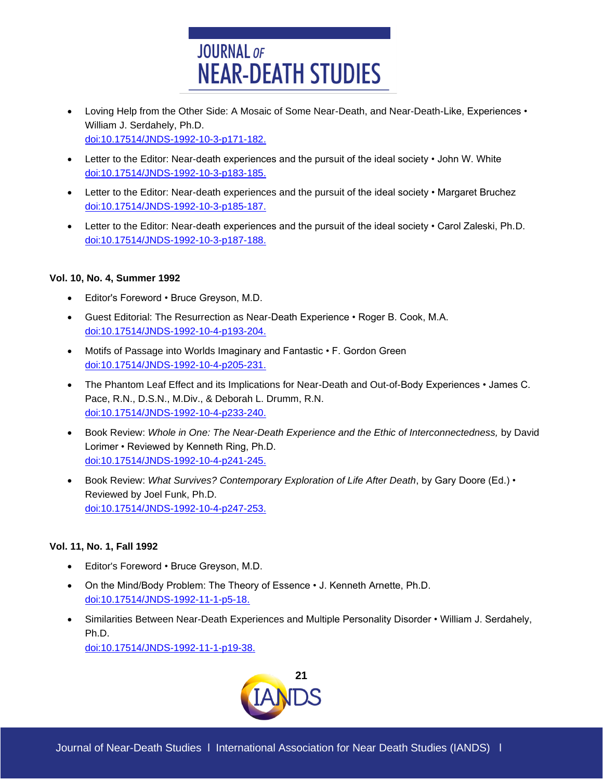

- Loving Help from the Other Side: A Mosaic of Some Near-Death, and Near-Death-Like, Experiences William J. Serdahely, Ph.D. [doi:10.17514/JNDS-1992-10-3-p171-182.](http://digital.library.unt.edu/ark:/67531/metadc799215/)
- Letter to the Editor: Near-death experiences and the pursuit of the ideal society John W. White [doi:10.17514/JNDS-1992-10-3-p183-185.](http://digital.library.unt.edu/ark:/67531/metadc799027/)
- Letter to the Editor: Near-death experiences and the pursuit of the ideal society Margaret Bruchez [doi:10.17514/JNDS-1992-10-3-p185-187.](https://digital.library.unt.edu/ark:/67531/metadc938064/)
- Letter to the Editor: Near-death experiences and the pursuit of the ideal society Carol Zaleski, Ph.D. [doi:10.17514/JNDS-1992-10-3-p187-188.](https://digital.library.unt.edu/ark:/67531/metadc938011/)

#### **Vol. 10, No. 4, Summer 1992**

- Editor's Foreword Bruce Greyson, M.D.
- Guest Editorial: The Resurrection as Near-Death Experience Roger B. Cook, M.A. [doi:10.17514/JNDS-1992-10-4-p193-204.](http://digital.library.unt.edu/ark:/67531/metadc799303/)
- Motifs of Passage into Worlds Imaginary and Fantastic F. Gordon Green [doi:10.17514/JNDS-1992-10-4-p205-231.](http://digital.library.unt.edu/ark:/67531/metadc799046/)
- The Phantom Leaf Effect and its Implications for Near-Death and Out-of-Body Experiences James C. Pace, R.N., D.S.N., M.Div., & Deborah L. Drumm, R.N. [doi:10.17514/JNDS-1992-10-4-p233-240.](http://digital.library.unt.edu/ark:/67531/metadc799133/)
- Book Review: *Whole in One: The Near-Death Experience and the Ethic of Interconnectedness,* by David Lorimer • Reviewed by Kenneth Ring, Ph.D. [doi:10.17514/JNDS-1992-10-4-p241-245.](http://digital.library.unt.edu/ark:/67531/metadc799172/)
- Book Review: *What Survives? Contemporary Exploration of Life After Death*, by Gary Doore (Ed.) Reviewed by Joel Funk, Ph.D. [doi:10.17514/JNDS-1992-10-4-p247-253.](http://digital.library.unt.edu/ark:/67531/metadc799066/)

#### **Vol. 11, No. 1, Fall 1992**

- Editor's Foreword Bruce Greyson, M.D.
- On the Mind/Body Problem: The Theory of Essence J. Kenneth Arnette, Ph.D. [doi:10.17514/JNDS-1992-11-1-p5-18.](http://digital.library.unt.edu/ark:/67531/metadc798993/)
- Similarities Between Near-Death Experiences and Multiple Personality Disorder William J. Serdahely, Ph.D.

[doi:10.17514/JNDS-1992-11-1-p19-38.](http://digital.library.unt.edu/ark:/67531/metadc799089/)

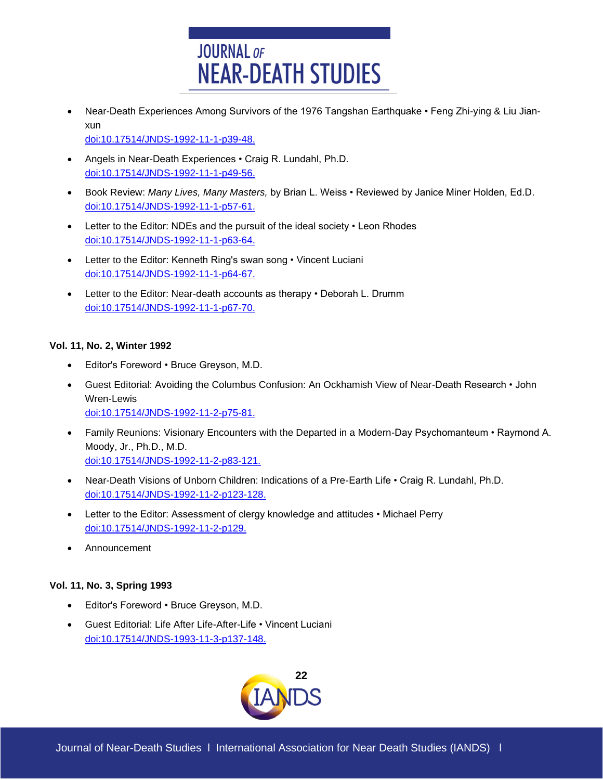

- Near-Death Experiences Among Survivors of the 1976 Tangshan Earthquake Feng Zhi-ying & Liu Jianxun [doi:10.17514/JNDS-1992-11-1-p39-48.](http://digital.library.unt.edu/ark:/67531/metadc799015/)
- Angels in Near-Death Experiences Craig R. Lundahl, Ph.D. [doi:10.17514/JNDS-1992-11-1-p49-56.](http://digital.library.unt.edu/ark:/67531/metadc798908/)
- Book Review: *Many Lives, Many Masters,* by Brian L. Weiss Reviewed by Janice Miner Holden, Ed.D. [doi:10.17514/JNDS-1992-11-1-p57-61.](http://digital.library.unt.edu/ark:/67531/metadc799082/)
- Letter to the Editor: NDEs and the pursuit of the ideal society Leon Rhodes [doi:10.17514/JNDS-1992-11-1-p63-64.](http://digital.library.unt.edu/ark:/67531/metadc799349/)
- Letter to the Editor: Kenneth Ring's swan song Vincent Luciani [doi:10.17514/JNDS-1992-11-1-p64-67.](https://digital.library.unt.edu/ark:/67531/metadc938025/)
- Letter to the Editor: Near-death accounts as therapy . Deborah L. Drumm [doi:10.17514/JNDS-1992-11-1-p67-70.](https://digital.library.unt.edu/ark:/67531/metadc938042/)

#### **Vol. 11, No. 2, Winter 1992**

- Editor's Foreword Bruce Greyson, M.D.
- Guest Editorial: Avoiding the Columbus Confusion: An Ockhamish View of Near-Death Research John Wren-Lewis [doi:10.17514/JNDS-1992-11-2-p75-81.](http://digital.library.unt.edu/ark:/67531/metadc799030/)
- Family Reunions: Visionary Encounters with the Departed in a Modern-Day Psychomanteum Raymond A. Moody, Jr., Ph.D., M.D. [doi:10.17514/JNDS-1992-11-2-p83-121.](http://digital.library.unt.edu/ark:/67531/metadc799174/)
- Near-Death Visions of Unborn Children: Indications of a Pre-Earth Life Craig R. Lundahl, Ph.D. [doi:10.17514/JNDS-1992-11-2-p123-128.](http://digital.library.unt.edu/ark:/67531/metadc798997/)
- Letter to the Editor: Assessment of clergy knowledge and attitudes Michael Perry [doi:10.17514/JNDS-1992-11-2-p129.](http://digital.library.unt.edu/ark:/67531/metadc799257/)
- Announcement

#### **Vol. 11, No. 3, Spring 1993**

- Editor's Foreword Bruce Greyson, M.D.
- Guest Editorial: Life After Life-After-Life Vincent Luciani [doi:10.17514/JNDS-1993-11-3-p137-148.](http://digital.library.unt.edu/ark:/67531/metadc799048/)

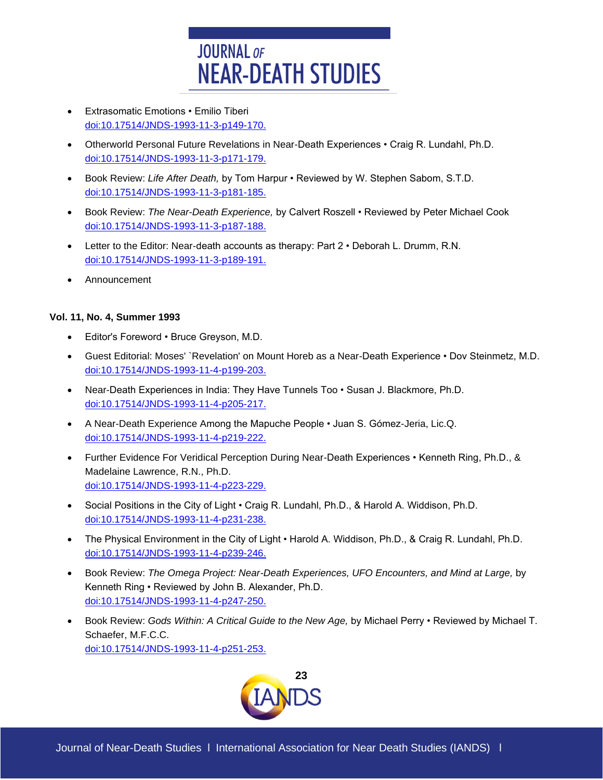

- Extrasomatic Emotions Emilio Tiberi [doi:10.17514/JNDS-1993-11-3-p149-170.](http://digital.library.unt.edu/ark:/67531/metadc799272/)
- Otherworld Personal Future Revelations in Near-Death Experiences Craig R. Lundahl, Ph.D. [doi:10.17514/JNDS-1993-11-3-p171-179.](http://digital.library.unt.edu/ark:/67531/metadc799051/)
- Book Review: *Life After Death,* by Tom Harpur Reviewed by W. Stephen Sabom, S.T.D. [doi:10.17514/JNDS-1993-11-3-p181-185.](http://digital.library.unt.edu/ark:/67531/metadc799045/)
- Book Review: *The Near-Death Experience,* by Calvert Roszell Reviewed by Peter Michael Cook [doi:10.17514/JNDS-1993-11-3-p187-188.](http://digital.library.unt.edu/ark:/67531/metadc798978/)
- Letter to the Editor: Near-death accounts as therapy: Part 2 Deborah L. Drumm, R.N. [doi:10.17514/JNDS-1993-11-3-p189-191.](http://digital.library.unt.edu/ark:/67531/metadc799223/)
- Announcement

# **Vol. 11, No. 4, Summer 1993**

- Editor's Foreword Bruce Greyson, M.D.
- Guest Editorial: Moses' `Revelation' on Mount Horeb as a Near-Death Experience Dov Steinmetz, M.D. [doi:10.17514/JNDS-1993-11-4-p199-203.](http://digital.library.unt.edu/ark:/67531/metadc798907/)
- Near-Death Experiences in India: They Have Tunnels Too Susan J. Blackmore, Ph.D. [doi:10.17514/JNDS-1993-11-4-p205-217.](http://digital.library.unt.edu/ark:/67531/metadc799366/)
- A Near-Death Experience Among the Mapuche People Juan S. Gómez-Jeria, Lic.Q. [doi:10.17514/JNDS-1993-11-4-p219-222.](http://digital.library.unt.edu/ark:/67531/metadc798972/)
- Further Evidence For Veridical Perception During Near-Death Experiences Kenneth Ring, Ph.D., & Madelaine Lawrence, R.N., Ph.D. [doi:10.17514/JNDS-1993-11-4-p223-229.](http://digital.library.unt.edu/ark:/67531/metadc799169/)
- Social Positions in the City of Light Craig R. Lundahl, Ph.D., & Harold A. Widdison, Ph.D. [doi:10.17514/JNDS-1993-11-4-p231-238.](http://digital.library.unt.edu/ark:/67531/metadc799252/)
- The Physical Environment in the City of Light Harold A. Widdison, Ph.D., & Craig R. Lundahl, Ph.D. [doi:10.17514/JNDS-1993-11-4-p239-246.](http://digital.library.unt.edu/ark:/67531/metadc799365/)
- Book Review: *The Omega Project: Near-Death Experiences, UFO Encounters, and Mind at Large,* by Kenneth Ring • Reviewed by John B. Alexander, Ph.D. [doi:10.17514/JNDS-1993-11-4-p247-250.](http://digital.library.unt.edu/ark:/67531/metadc799361/)
- Book Review: *Gods Within: A Critical Guide to the New Age,* by Michael Perry Reviewed by Michael T. Schaefer, M.F.C.C. [doi:10.17514/JNDS-1993-11-4-p251-253.](http://digital.library.unt.edu/ark:/67531/metadc799146/)

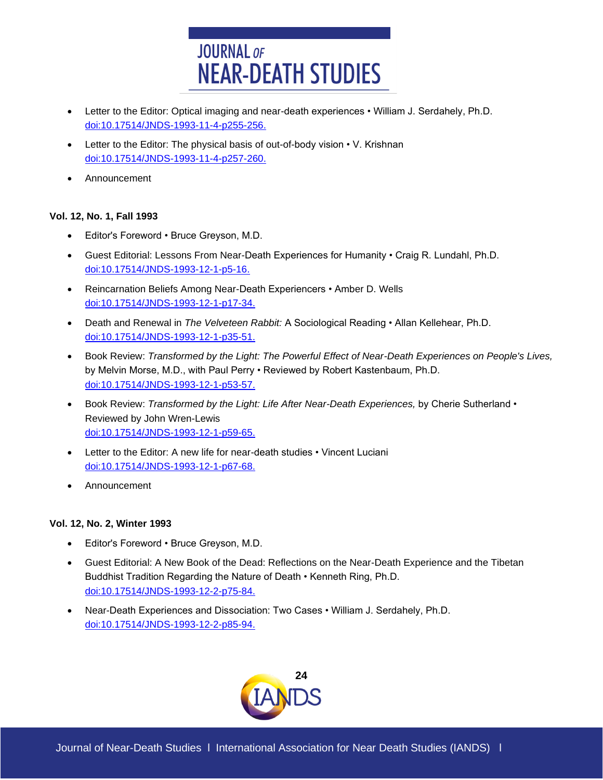

- Letter to the Editor: Optical imaging and near-death experiences William J. Serdahely, Ph.D. [doi:10.17514/JNDS-1993-11-4-p255-256.](http://digital.library.unt.edu/ark:/67531/metadc799007/)
- Letter to the Editor: The physical basis of out-of-body vision V. Krishnan [doi:10.17514/JNDS-1993-11-4-p257-260.](https://digital.library.unt.edu/ark:/67531/metadc938026/)
- Announcement

#### **Vol. 12, No. 1, Fall 1993**

- Editor's Foreword Bruce Greyson, M.D.
- Guest Editorial: Lessons From Near-Death Experiences for Humanity Craig R. Lundahl, Ph.D. [doi:10.17514/JNDS-1993-12-1-p5-16.](http://digital.library.unt.edu/ark:/67531/metadc799295/)
- Reincarnation Beliefs Among Near-Death Experiencers Amber D. Wells [doi:10.17514/JNDS-1993-12-1-p17-34.](http://digital.library.unt.edu/ark:/67531/metadc798906/)
- Death and Renewal in *The Velveteen Rabbit:* A Sociological Reading Allan Kellehear, Ph.D. [doi:10.17514/JNDS-1993-12-1-p35-51.](http://digital.library.unt.edu/ark:/67531/metadc799238/)
- Book Review: *Transformed by the Light: The Powerful Effect of Near-Death Experiences on People's Lives,*  by Melvin Morse, M.D., with Paul Perry • Reviewed by Robert Kastenbaum, Ph.D. [doi:10.17514/JNDS-1993-12-1-p53-57.](http://digital.library.unt.edu/ark:/67531/metadc798998/)
- Book Review: *Transformed by the Light: Life After Near-Death Experiences,* by Cherie Sutherland Reviewed by John Wren-Lewis [doi:10.17514/JNDS-1993-12-1-p59-65.](http://digital.library.unt.edu/ark:/67531/metadc799209/)
- Letter to the Editor: A new life for near-death studies Vincent Luciani [doi:10.17514/JNDS-1993-12-1-p67-68.](http://digital.library.unt.edu/ark:/67531/metadc798909/)
- Announcement

#### **Vol. 12, No. 2, Winter 1993**

- Editor's Foreword Bruce Greyson, M.D.
- Guest Editorial: A New Book of the Dead: Reflections on the Near-Death Experience and the Tibetan Buddhist Tradition Regarding the Nature of Death • Kenneth Ring, Ph.D. [doi:10.17514/JNDS-1993-12-2-p75-84.](http://digital.library.unt.edu/ark:/67531/metadc798999/)
- Near-Death Experiences and Dissociation: Two Cases William J. Serdahely, Ph.D. [doi:10.17514/JNDS-1993-12-2-p85-94.](http://digital.library.unt.edu/ark:/67531/metadc798929/)

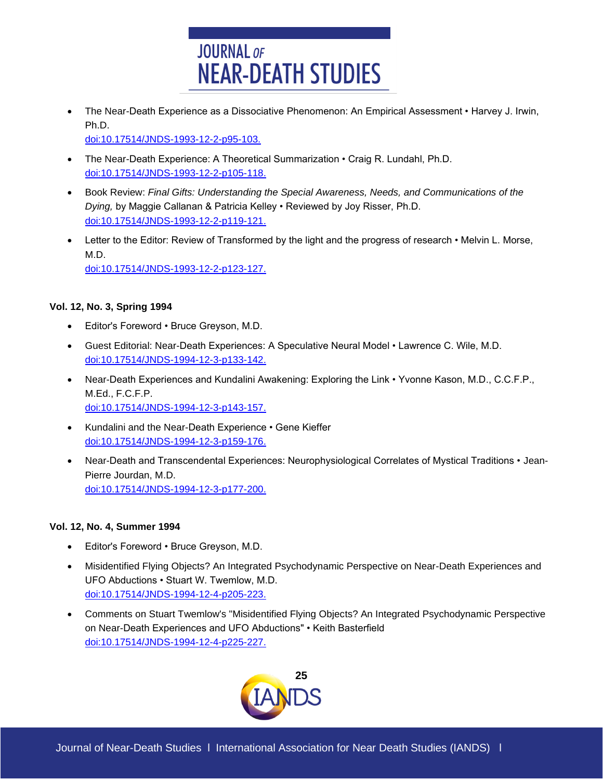

- The Near-Death Experience as a Dissociative Phenomenon: An Empirical Assessment Harvey J. Irwin, Ph.D. [doi:10.17514/JNDS-1993-12-2-p95-103.](http://digital.library.unt.edu/ark:/67531/metadc799308/)
- The Near-Death Experience: A Theoretical Summarization Craig R. Lundahl, Ph.D. [doi:10.17514/JNDS-1993-12-2-p105-118.](http://digital.library.unt.edu/ark:/67531/metadc799141/)
- Book Review: *Final Gifts: Understanding the Special Awareness, Needs, and Communications of the Dying,* by Maggie Callanan & Patricia Kelley • Reviewed by Joy Risser, Ph.D. [doi:10.17514/JNDS-1993-12-2-p119-121.](http://digital.library.unt.edu/ark:/67531/metadc799197/)
- Letter to the Editor: Review of Transformed by the light and the progress of research Melvin L. Morse, M.D. [doi:10.17514/JNDS-1993-12-2-p123-127.](http://digital.library.unt.edu/ark:/67531/metadc798951/)

#### **Vol. 12, No. 3, Spring 1994**

- Editor's Foreword Bruce Greyson, M.D.
- Guest Editorial: Near-Death Experiences: A Speculative Neural Model Lawrence C. Wile, M.D. [doi:10.17514/JNDS-1994-12-3-p133-142.](http://digital.library.unt.edu/ark:/67531/metadc799314/)
- Near-Death Experiences and Kundalini Awakening: Exploring the Link Yvonne Kason, M.D., C.C.F.P., M.Ed., F.C.F.P. [doi:10.17514/JNDS-1994-12-3-p143-157.](http://digital.library.unt.edu/ark:/67531/metadc798977/)
- Kundalini and the Near-Death Experience Gene Kieffer [doi:10.17514/JNDS-1994-12-3-p159-176.](http://digital.library.unt.edu/ark:/67531/metadc799329/)
- Near-Death and Transcendental Experiences: Neurophysiological Correlates of Mystical Traditions Jean-Pierre Jourdan, M.D. [doi:10.17514/JNDS-1994-12-3-p177-200.](http://digital.library.unt.edu/ark:/67531/metadc799081/)

#### **Vol. 12, No. 4, Summer 1994**

- Editor's Foreword Bruce Greyson, M.D.
- Misidentified Flying Objects? An Integrated Psychodynamic Perspective on Near-Death Experiences and UFO Abductions • Stuart W. Twemlow, M.D. [doi:10.17514/JNDS-1994-12-4-p205-223.](http://digital.library.unt.edu/ark:/67531/metadc799132/)
- Comments on Stuart Twemlow's "Misidentified Flying Objects? An Integrated Psychodynamic Perspective on Near-Death Experiences and UFO Abductions" • Keith Basterfield [doi:10.17514/JNDS-1994-12-4-p225-227.](http://digital.library.unt.edu/ark:/67531/metadc799126/)

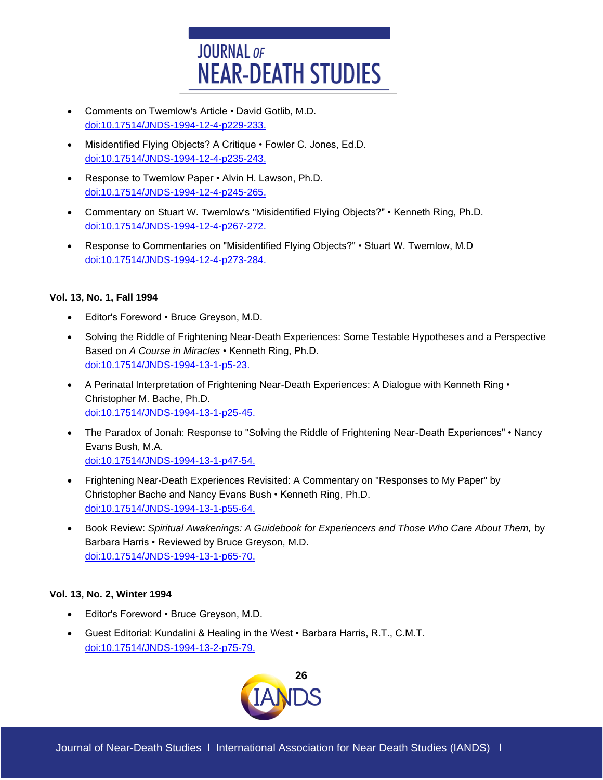

- Comments on Twemlow's Article David Gotlib, M.D. [doi:10.17514/JNDS-1994-12-4-p229-233.](http://digital.library.unt.edu/ark:/67531/metadc799321/)
- Misidentified Flying Objects? A Critique Fowler C. Jones, Ed.D. [doi:10.17514/JNDS-1994-12-4-p235-243.](http://digital.library.unt.edu/ark:/67531/metadc799290/)
- Response to Twemlow Paper Alvin H. Lawson, Ph.D. [doi:10.17514/JNDS-1994-12-4-p245-265.](http://digital.library.unt.edu/ark:/67531/metadc798896/)
- Commentary on Stuart W. Twemlow's "Misidentified Flying Objects?" Kenneth Ring, Ph.D. [doi:10.17514/JNDS-1994-12-4-p267-272.](http://digital.library.unt.edu/ark:/67531/metadc799052/)
- Response to Commentaries on "Misidentified Flying Objects?" Stuart W. Twemlow, M.D [doi:10.17514/JNDS-1994-12-4-p273-284.](http://digital.library.unt.edu/ark:/67531/metadc798913/)

# **Vol. 13, No. 1, Fall 1994**

- Editor's Foreword Bruce Greyson, M.D.
- Solving the Riddle of Frightening Near-Death Experiences: Some Testable Hypotheses and a Perspective Based on *A Course in Miracles* • Kenneth Ring, Ph.D. [doi:10.17514/JNDS-1994-13-1-p5-23.](http://digital.library.unt.edu/ark:/67531/metadc798961/)
- A Perinatal Interpretation of Frightening Near-Death Experiences: A Dialogue with Kenneth Ring Christopher M. Bache, Ph.D. [doi:10.17514/JNDS-1994-13-1-p25-45.](http://digital.library.unt.edu/ark:/67531/metadc799267/)
- The Paradox of Jonah: Response to "Solving the Riddle of Frightening Near-Death Experiences" Nancy Evans Bush, M.A. [doi:10.17514/JNDS-1994-13-1-p47-54.](http://digital.library.unt.edu/ark:/67531/metadc799068/)
- Frightening Near-Death Experiences Revisited: A Commentary on "Responses to My Paper" by Christopher Bache and Nancy Evans Bush • Kenneth Ring, Ph.D. [doi:10.17514/JNDS-1994-13-1-p55-64.](http://digital.library.unt.edu/ark:/67531/metadc799299/)
- Book Review: *Spiritual Awakenings: A Guidebook for Experiencers and Those Who Care About Them,* by Barbara Harris • Reviewed by Bruce Greyson, M.D. [doi:10.17514/JNDS-1994-13-1-p65-70.](http://digital.library.unt.edu/ark:/67531/metadc798942/)

# **Vol. 13, No. 2, Winter 1994**

- Editor's Foreword Bruce Greyson, M.D.
- Guest Editorial: Kundalini & Healing in the West Barbara Harris, R.T., C.M.T. [doi:10.17514/JNDS-1994-13-2-p75-79.](http://digital.library.unt.edu/ark:/67531/metadc799203/)

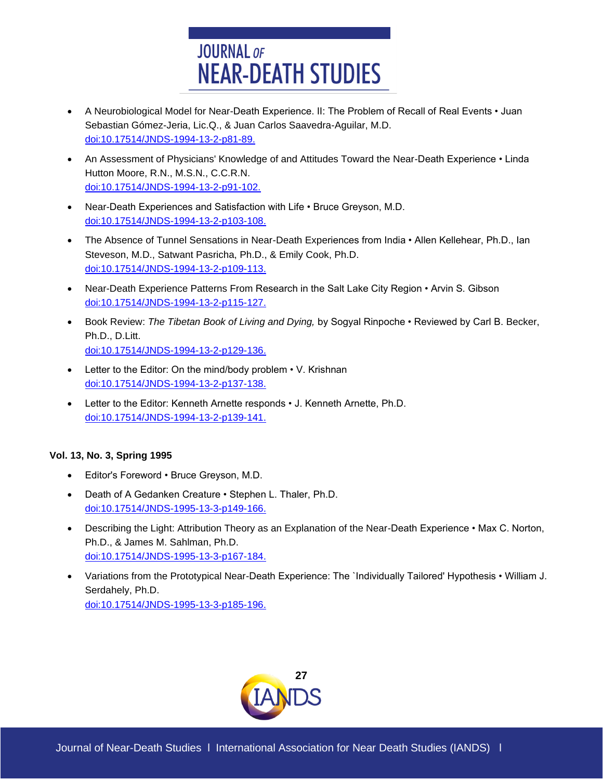

- A Neurobiological Model for Near-Death Experience. II: The Problem of Recall of Real Events Juan Sebastian Gómez-Jeria, Lic.Q., & Juan Carlos Saavedra-Aguilar, M.D. [doi:10.17514/JNDS-1994-13-2-p81-89.](http://digital.library.unt.edu/ark:/67531/metadc799139/)
- An Assessment of Physicians' Knowledge of and Attitudes Toward the Near-Death Experience Linda Hutton Moore, R.N., M.S.N., C.C.R.N. [doi:10.17514/JNDS-1994-13-2-p91-102.](http://digital.library.unt.edu/ark:/67531/metadc799171/)
- Near-Death Experiences and Satisfaction with Life Bruce Greyson, M.D. [doi:10.17514/JNDS-1994-13-2-p103-108.](http://digital.library.unt.edu/ark:/67531/metadc799014/)
- The Absence of Tunnel Sensations in Near-Death Experiences from India Allen Kellehear, Ph.D., Ian Steveson, M.D., Satwant Pasricha, Ph.D., & Emily Cook, Ph.D. [doi:10.17514/JNDS-1994-13-2-p109-113.](http://digital.library.unt.edu/ark:/67531/metadc799049/)
- Near-Death Experience Patterns From Research in the Salt Lake City Region Arvin S. Gibson [doi:10.17514/JNDS-1994-13-2-p115-127.](http://digital.library.unt.edu/ark:/67531/metadc799183/)
- Book Review: *The Tibetan Book of Living and Dying,* by Sogyal Rinpoche Reviewed by Carl B. Becker, Ph.D., D.Litt. [doi:10.17514/JNDS-1994-13-2-p129-136.](http://digital.library.unt.edu/ark:/67531/metadc799227/)
- Letter to the Editor: On the mind/body problem V. Krishnan [doi:10.17514/JNDS-1994-13-2-p137-138.](http://digital.library.unt.edu/ark:/67531/metadc799273/)
- Letter to the Editor: Kenneth Arnette responds J. Kenneth Arnette, Ph.D. [doi:10.17514/JNDS-1994-13-2-p139-141.](https://digital.library.unt.edu/ark:/67531/metadc938040/)

#### **Vol. 13, No. 3, Spring 1995**

- Editor's Foreword Bruce Greyson, M.D.
- Death of A Gedanken Creature Stephen L. Thaler, Ph.D. [doi:10.17514/JNDS-1995-13-3-p149-166.](http://digital.library.unt.edu/ark:/67531/metadc799355/)
- Describing the Light: Attribution Theory as an Explanation of the Near-Death Experience Max C. Norton, Ph.D., & James M. Sahlman, Ph.D. [doi:10.17514/JNDS-1995-13-3-p167-184.](http://digital.library.unt.edu/ark:/67531/metadc798938/)
- Variations from the Prototypical Near-Death Experience: The `Individually Tailored' Hypothesis William J. Serdahely, Ph.D. [doi:10.17514/JNDS-1995-13-3-p185-196.](http://digital.library.unt.edu/ark:/67531/metadc799188/)

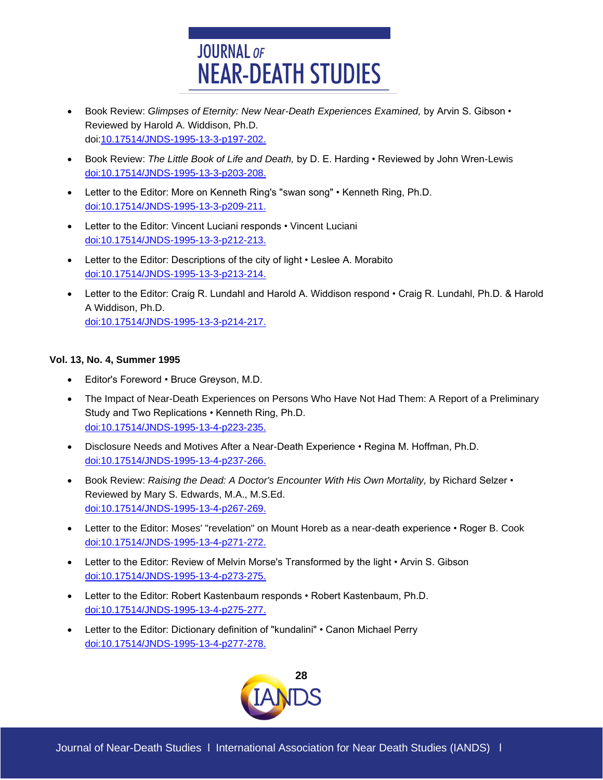

- Book Review: *Glimpses of Eternity: New Near-Death Experiences Examined,* by Arvin S. Gibson Reviewed by Harold A. Widdison, Ph.D. doi[:10.17514/JNDS-1995-13-3-p197-202.](http://digital.library.unt.edu/ark:/67531/metadc798931/)
- Book Review: *The Little Book of Life and Death,* by D. E. Harding Reviewed by John Wren-Lewis [doi:10.17514/JNDS-1995-13-3-p203-208.](http://digital.library.unt.edu/ark:/67531/metadc799078/)
- Letter to the Editor: More on Kenneth Ring's "swan song" Kenneth Ring, Ph.D. [doi:10.17514/JNDS-1995-13-3-p209-211.](http://digital.library.unt.edu/ark:/67531/metadc799134/)
- Letter to the Editor: Vincent Luciani responds Vincent Luciani [doi:10.17514/JNDS-1995-13-3-p212-213.](https://digital.library.unt.edu/ark:/67531/metadc938019/)
- Letter to the Editor: Descriptions of the city of light Leslee A. Morabito [doi:10.17514/JNDS-1995-13-3-p213-214.](https://digital.library.unt.edu/ark:/67531/metadc937971/)
- Letter to the Editor: Craig R. Lundahl and Harold A. Widdison respond Craig R. Lundahl, Ph.D. & Harold A Widdison, Ph.D. [doi:10.17514/JNDS-1995-13-3-p214-217.](https://digital.library.unt.edu/ark:/67531/metadc938059/)

#### **Vol. 13, No. 4, Summer 1995**

- Editor's Foreword Bruce Greyson, M.D.
- The Impact of Near-Death Experiences on Persons Who Have Not Had Them: A Report of a Preliminary Study and Two Replications • Kenneth Ring, Ph.D. [doi:10.17514/JNDS-1995-13-4-p223-235.](http://digital.library.unt.edu/ark:/67531/metadc799331/)
- Disclosure Needs and Motives After a Near-Death Experience Regina M. Hoffman, Ph.D. [doi:10.17514/JNDS-1995-13-4-p237-266.](http://digital.library.unt.edu/ark:/67531/metadc799109/)
- Book Review: *Raising the Dead: A Doctor's Encounter With His Own Mortality,* by Richard Selzer Reviewed by Mary S. Edwards, M.A., M.S.Ed. [doi:10.17514/JNDS-1995-13-4-p267-269.](http://digital.library.unt.edu/ark:/67531/metadc799339/)
- Letter to the Editor: Moses' "revelation" on Mount Horeb as a near-death experience Roger B. Cook [doi:10.17514/JNDS-1995-13-4-p271-272.](http://digital.library.unt.edu/ark:/67531/metadc799310/)
- Letter to the Editor: Review of Melvin Morse's Transformed by the light Arvin S. Gibson [doi:10.17514/JNDS-1995-13-4-p273-275.](https://digital.library.unt.edu/ark:/67531/metadc937965/)
- Letter to the Editor: Robert Kastenbaum responds Robert Kastenbaum, Ph.D. [doi:10.17514/JNDS-1995-13-4-p275-277.](https://digital.library.unt.edu/ark:/67531/metadc938073/)
- Letter to the Editor: Dictionary definition of "kundalini" Canon Michael Perry [doi:10.17514/JNDS-1995-13-4-p277-278.](https://digital.library.unt.edu/ark:/67531/metadc937999/)

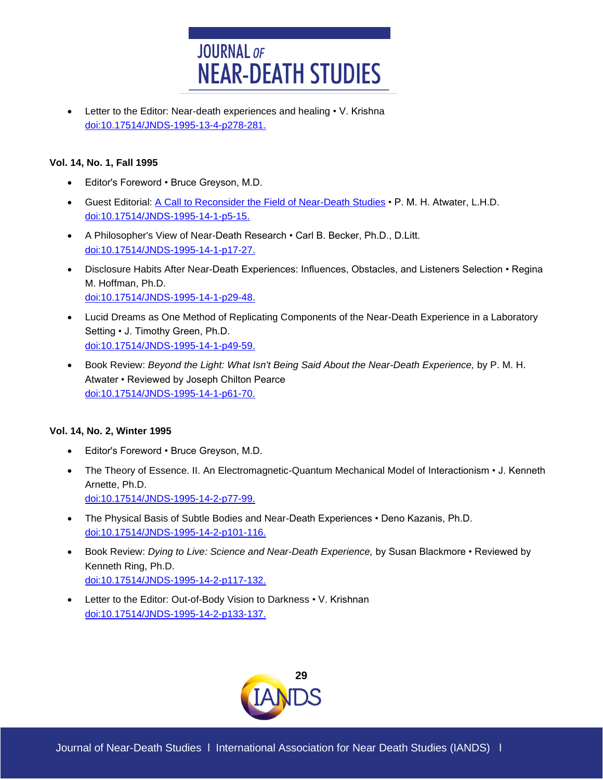

• Letter to the Editor: Near-death experiences and healing • V. Krishna [doi:10.17514/JNDS-1995-13-4-p278-281.](https://digital.library.unt.edu/ark:/67531/metadc937986/)

#### **Vol. 14, No. 1, Fall 1995**

- Editor's Foreword Bruce Greyson, M.D.
- Guest Editorial: [A Call to Reconsider the Field of Near-Death Studies](http://www.cinemind.com/atwater/recon.html) . P. M. H. Atwater, L.H.D. [doi:10.17514/JNDS-1995-14-1-p5-15.](http://digital.library.unt.edu/ark:/67531/metadc799036/)
- A Philosopher's View of Near-Death Research Carl B. Becker, Ph.D., D.Litt. [doi:10.17514/JNDS-1995-14-1-p17-27.](http://digital.library.unt.edu/ark:/67531/metadc799148/)
- Disclosure Habits After Near-Death Experiences: Influences, Obstacles, and Listeners Selection Regina M. Hoffman, Ph.D. [doi:10.17514/JNDS-1995-14-1-p29-48.](http://digital.library.unt.edu/ark:/67531/metadc799228/)
- Lucid Dreams as One Method of Replicating Components of the Near-Death Experience in a Laboratory Setting • J. Timothy Green, Ph.D. [doi:10.17514/JNDS-1995-14-1-p49-59.](http://digital.library.unt.edu/ark:/67531/metadc798889/)
- Book Review: *Beyond the Light: What Isn't Being Said About the Near-Death Experience,* by P. M. H. Atwater • Reviewed by Joseph Chilton Pearce [doi:10.17514/JNDS-1995-14-1-p61-70.](http://digital.library.unt.edu/ark:/67531/metadc799192/)

#### **Vol. 14, No. 2, Winter 1995**

- Editor's Foreword Bruce Greyson, M.D.
- The Theory of Essence. II. An Electromagnetic-Quantum Mechanical Model of Interactionism J. Kenneth Arnette, Ph.D. [doi:10.17514/JNDS-1995-14-2-p77-99.](http://digital.library.unt.edu/ark:/67531/metadc799040/)
- The Physical Basis of Subtle Bodies and Near-Death Experiences Deno Kazanis, Ph.D. [doi:10.17514/JNDS-1995-14-2-p101-116.](http://digital.library.unt.edu/ark:/67531/metadc799120/)
- Book Review: *Dying to Live: Science and Near-Death Experience,* by Susan Blackmore Reviewed by Kenneth Ring, Ph.D. [doi:10.17514/JNDS-1995-14-2-p117-132.](http://digital.library.unt.edu/ark:/67531/metadc799064/)
- Letter to the Editor: Out-of-Body Vision to Darkness . V. Krishnan [doi:10.17514/JNDS-1995-14-2-p133-137.](http://digital.library.unt.edu/ark:/67531/metadc799032/)

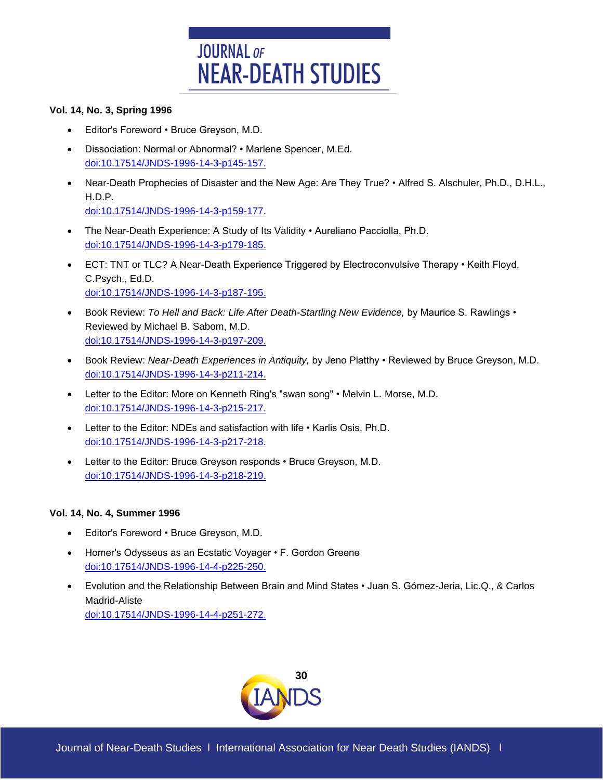

#### **Vol. 14, No. 3, Spring 1996**

- Editor's Foreword Bruce Greyson, M.D.
- Dissociation: Normal or Abnormal? Marlene Spencer, M.Ed. [doi:10.17514/JNDS-1996-14-3-p145-157.](http://digital.library.unt.edu/ark:/67531/metadc799105/)
- Near-Death Prophecies of Disaster and the New Age: Are They True? Alfred S. Alschuler, Ph.D., D.H.L., H.D.P. [doi:10.17514/JNDS-1996-14-3-p159-177.](http://digital.library.unt.edu/ark:/67531/metadc799088/)
- The Near-Death Experience: A Study of Its Validity Aureliano Pacciolla, Ph.D. [doi:10.17514/JNDS-1996-14-3-p179-185.](http://digital.library.unt.edu/ark:/67531/metadc799059/)
- ECT: TNT or TLC? A Near-Death Experience Triggered by Electroconvulsive Therapy Keith Floyd, C.Psych., Ed.D. [doi:10.17514/JNDS-1996-14-3-p187-195.](http://digital.library.unt.edu/ark:/67531/metadc799243/)
- Book Review: *To Hell and Back: Life After Death-Startling New Evidence,* by Maurice S. Rawlings Reviewed by Michael B. Sabom, M.D. [doi:10.17514/JNDS-1996-14-3-p197-209.](http://digital.library.unt.edu/ark:/67531/metadc799305/)
- Book Review: *Near-Death Experiences in Antiquity,* by Jeno Platthy Reviewed by Bruce Greyson, M.D. [doi:10.17514/JNDS-1996-14-3-p211-214.](http://digital.library.unt.edu/ark:/67531/metadc799205/)
- Letter to the Editor: More on Kenneth Ring's "swan song" Melvin L. Morse, M.D. [doi:10.17514/JNDS-1996-14-3-p215-217.](http://digital.library.unt.edu/ark:/67531/metadc799341/)
- Letter to the Editor: NDEs and satisfaction with life Karlis Osis, Ph.D. [doi:10.17514/JNDS-1996-14-3-p217-218.](https://digital.library.unt.edu/ark:/67531/metadc938052/)
- Letter to the Editor: Bruce Greyson responds Bruce Greyson, M.D. [doi:10.17514/JNDS-1996-14-3-p218-219.](https://digital.library.unt.edu/ark:/67531/metadc938023/)

#### **Vol. 14, No. 4, Summer 1996**

- Editor's Foreword Bruce Greyson, M.D.
- Homer's Odysseus as an Ecstatic Voyager F. Gordon Greene [doi:10.17514/JNDS-1996-14-4-p225-250.](http://digital.library.unt.edu/ark:/67531/metadc799034/)
- Evolution and the Relationship Between Brain and Mind States Juan S. Gómez-Jeria, Lic.Q., & Carlos Madrid-Aliste [doi:10.17514/JNDS-1996-14-4-p251-272.](http://digital.library.unt.edu/ark:/67531/metadc799143/)

**30**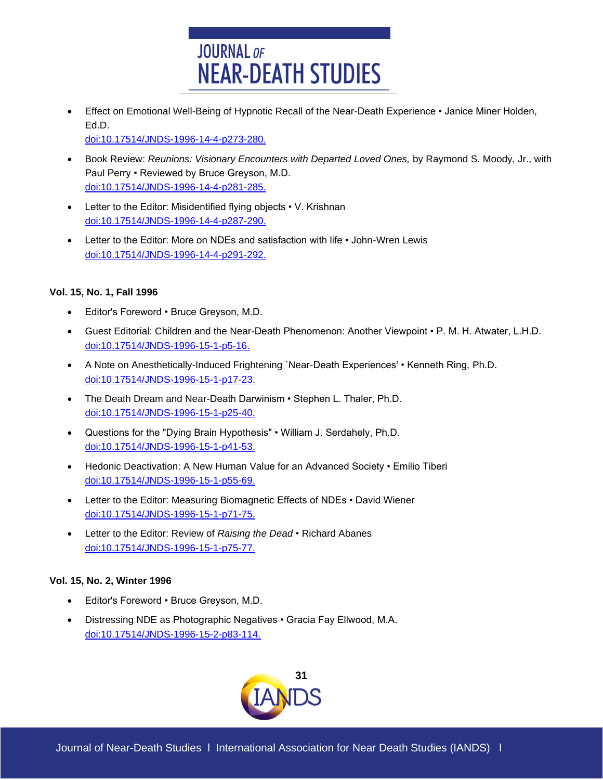

- Effect on Emotional Well-Being of Hypnotic Recall of the Near-Death Experience Janice Miner Holden, Ed.D. [doi:10.17514/JNDS-1996-14-4-p273-280.](http://digital.library.unt.edu/ark:/67531/metadc799094/)
- Book Review: *Reunions: Visionary Encounters with Departed Loved Ones,* by Raymond S. Moody, Jr., with Paul Perry • Reviewed by Bruce Greyson, M.D. [doi:10.17514/JNDS-1996-14-4-p281-285.](http://digital.library.unt.edu/ark:/67531/metadc798952/)
- Letter to the Editor: Misidentified flying objects V. Krishnan [doi:10.17514/JNDS-1996-14-4-p287-290.](http://digital.library.unt.edu/ark:/67531/metadc799309/)
- Letter to the Editor: More on NDEs and satisfaction with life John-Wren Lewis [doi:10.17514/JNDS-1996-14-4-p291-292.](https://digital.library.unt.edu/ark:/67531/metadc938067/)

# **Vol. 15, No. 1, Fall 1996**

- Editor's Foreword Bruce Greyson, M.D.
- Guest Editorial: Children and the Near-Death Phenomenon: Another Viewpoint P. M. H. Atwater, L.H.D. [doi:10.17514/JNDS-1996-15-1-p5-16.](http://digital.library.unt.edu/ark:/67531/metadc1051988/)
- A Note on Anesthetically-Induced Frightening `Near-Death Experiences' Kenneth Ring, Ph.D. [doi:10.17514/JNDS-1996-15-1-p17-23.](http://digital.library.unt.edu/ark:/67531/metadc1052010/)
- The Death Dream and Near-Death Darwinism Stephen L. Thaler, Ph.D. [doi:10.17514/JNDS-1996-15-1-p25-40.](http://digital.library.unt.edu/ark:/67531/metadc1051964/)
- Questions for the "Dying Brain Hypothesis" William J. Serdahely, Ph.D. [doi:10.17514/JNDS-1996-15-1-p41-53.](http://digital.library.unt.edu/ark:/67531/metadc1051987/)
- Hedonic Deactivation: A New Human Value for an Advanced Society Emilio Tiberi [doi:10.17514/JNDS-1996-15-1-p55-69.](http://digital.library.unt.edu/ark:/67531/metadc1051985/)
- Letter to the Editor: Measuring Biomagnetic Effects of NDEs David Wiener [doi:10.17514/JNDS-1996-15-1-p71-75.](http://digital.library.unt.edu/ark:/67531/metadc1052007/)
- Letter to the Editor: Review of *Raising the Dead •* Richard Abanes [doi:10.17514/JNDS-1996-15-1-p75-77.](http://digital.library.unt.edu/ark:/67531/metadc1051974/)

#### **Vol. 15, No. 2, Winter 1996**

- Editor's Foreword Bruce Greyson, M.D.
- Distressing NDE as Photographic Negatives Gracia Fay Ellwood, M.A. [doi:10.17514/JNDS-1996-15-2-p83-114.](http://digital.library.unt.edu/ark:/67531/metadc798985/)

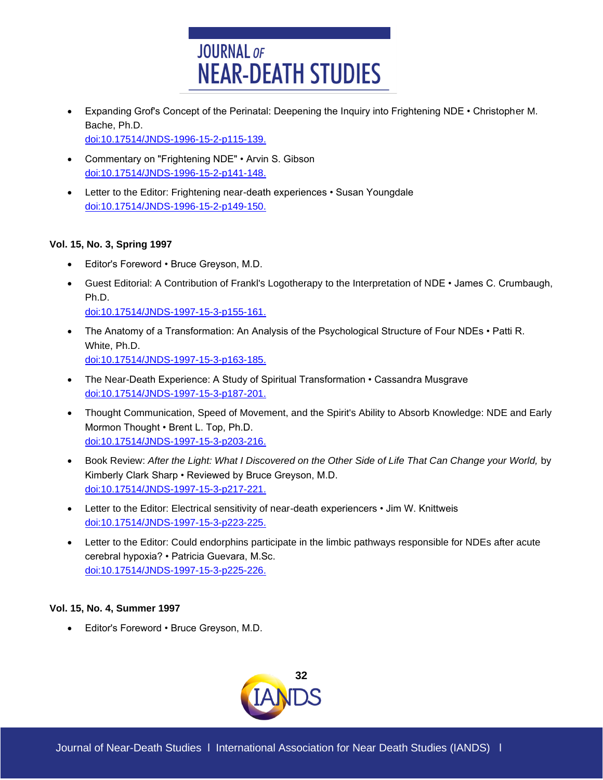

- Expanding Grof's Concept of the Perinatal: Deepening the Inquiry into Frightening NDE Christopher M. Bache, Ph.D. [doi:10.17514/JNDS-1996-15-2-p115-139.](http://digital.library.unt.edu/ark:/67531/metadc799147/)
- Commentary on "Frightening NDE" Arvin S. Gibson [doi:10.17514/JNDS-1996-15-2-p141-148.](http://digital.library.unt.edu/ark:/67531/metadc799367/)
- Letter to the Editor: Frightening near-death experiences Susan Youngdale [doi:10.17514/JNDS-1996-15-2-p149-150.](http://digital.library.unt.edu/ark:/67531/metadc799253/)

#### **Vol. 15, No. 3, Spring 1997**

- Editor's Foreword Bruce Greyson, M.D.
- Guest Editorial: A Contribution of Frankl's Logotherapy to the Interpretation of NDE James C. Crumbaugh, Ph.D. [doi:10.17514/JNDS-1997-15-3-p155-161.](http://digital.library.unt.edu/ark:/67531/metadc798870/)
- The Anatomy of a Transformation: An Analysis of the Psychological Structure of Four NDEs Patti R. White, Ph.D. [doi:10.17514/JNDS-1997-15-3-p163-185.](http://digital.library.unt.edu/ark:/67531/metadc799335/)
- The Near-Death Experience: A Study of Spiritual Transformation Cassandra Musgrave [doi:10.17514/JNDS-1997-15-3-p187-201.](http://digital.library.unt.edu/ark:/67531/metadc799346/)
- Thought Communication, Speed of Movement, and the Spirit's Ability to Absorb Knowledge: NDE and Early Mormon Thought • Brent L. Top, Ph.D. [doi:10.17514/JNDS-1997-15-3-p203-216.](http://digital.library.unt.edu/ark:/67531/metadc799178/)
- Book Review: *After the Light: What I Discovered on the Other Side of Life That Can Change your World,* by Kimberly Clark Sharp • Reviewed by Bruce Greyson, M.D. [doi:10.17514/JNDS-1997-15-3-p217-221.](http://digital.library.unt.edu/ark:/67531/metadc799180/)
- Letter to the Editor: Electrical sensitivity of near-death experiencers Jim W. Knittweis [doi:10.17514/JNDS-1997-15-3-p223-225.](http://digital.library.unt.edu/ark:/67531/metadc799307/)
- Letter to the Editor: Could endorphins participate in the limbic pathways responsible for NDEs after acute cerebral hypoxia? • Patricia Guevara, M.Sc. [doi:10.17514/JNDS-1997-15-3-p225-226.](https://digital.library.unt.edu/ark:/67531/metadc938072/)

#### **Vol. 15, No. 4, Summer 1997**

• Editor's Foreword • Bruce Greyson, M.D.

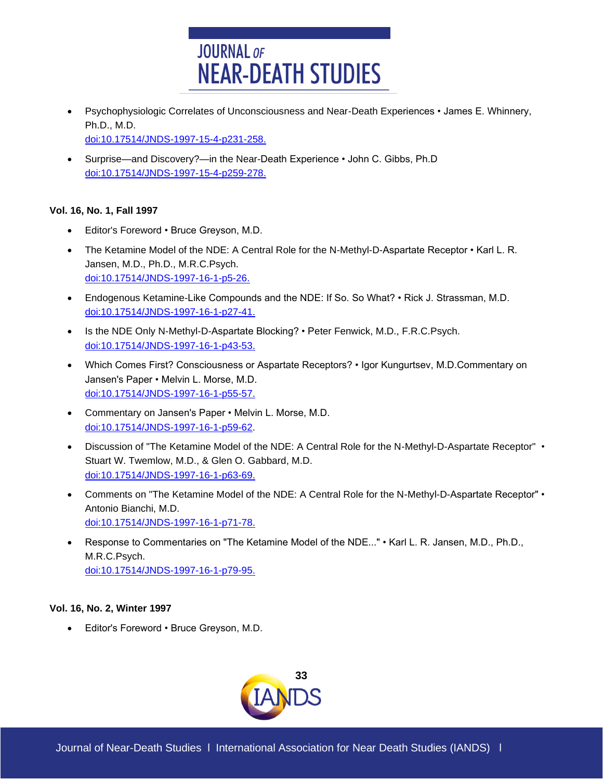

- Psychophysiologic Correlates of Unconsciousness and Near-Death Experiences James E. Whinnery, Ph.D., M.D. [doi:10.17514/JNDS-1997-15-4-p231-258.](http://digital.library.unt.edu/ark:/67531/metadc798874/)
- Surprise—and Discovery?—in the Near-Death Experience John C. Gibbs, Ph.D [doi:10.17514/JNDS-1997-15-4-p259-278.](http://digital.library.unt.edu/ark:/67531/metadc799187/)

#### **Vol. 16, No. 1, Fall 1997**

- Editor's Foreword Bruce Greyson, M.D.
- The Ketamine Model of the NDE: A Central Role for the N-Methyl-D-Aspartate Receptor Karl L. R. Jansen, M.D., Ph.D., M.R.C.Psych. [doi:10.17514/JNDS-1997-16-1-p5-26.](http://digital.library.unt.edu/ark:/67531/metadc799042/)
- Endogenous Ketamine-Like Compounds and the NDE: If So. So What? Rick J. Strassman, M.D. [doi:10.17514/JNDS-1997-16-1-p27-41.](http://digital.library.unt.edu/ark:/67531/metadc799090/)
- Is the NDE Only N-Methyl-D-Aspartate Blocking? Peter Fenwick, M.D., F.R.C.Psych. [doi:10.17514/JNDS-1997-16-1-p43-53.](http://digital.library.unt.edu/ark:/67531/metadc799245/)
- Which Comes First? Consciousness or Aspartate Receptors? Igor Kungurtsev, M.D.Commentary on Jansen's Paper • Melvin L. Morse, M.D. [doi:10.17514/JNDS-1997-16-1-p55-57.](http://digital.library.unt.edu/ark:/67531/metadc799285/)
- Commentary on Jansen's Paper Melvin L. Morse, M.D. [doi:10.17514/JNDS-1997-16-1-p59-62.](http://digital.library.unt.edu/ark:/67531/metadc799018/)
- Discussion of "The Ketamine Model of the NDE: A Central Role for the N-Methyl-D-Aspartate Receptor" Stuart W. Twemlow, M.D., & Glen O. Gabbard, M.D. [doi:10.17514/JNDS-1997-16-1-p63-69.](http://digital.library.unt.edu/ark:/67531/metadc799261/)
- Comments on "The Ketamine Model of the NDE: A Central Role for the N-Methyl-D-Aspartate Receptor" Antonio Bianchi, M.D. [doi:10.17514/JNDS-1997-16-1-p71-78.](http://digital.library.unt.edu/ark:/67531/metadc798994/)
- Response to Commentaries on "The Ketamine Model of the NDE..." Karl L. R. Jansen, M.D., Ph.D., M.R.C.Psych. [doi:10.17514/JNDS-1997-16-1-p79-95.](http://digital.library.unt.edu/ark:/67531/metadc799063/)

#### **Vol. 16, No. 2, Winter 1997**

• Editor's Foreword • Bruce Greyson, M.D.

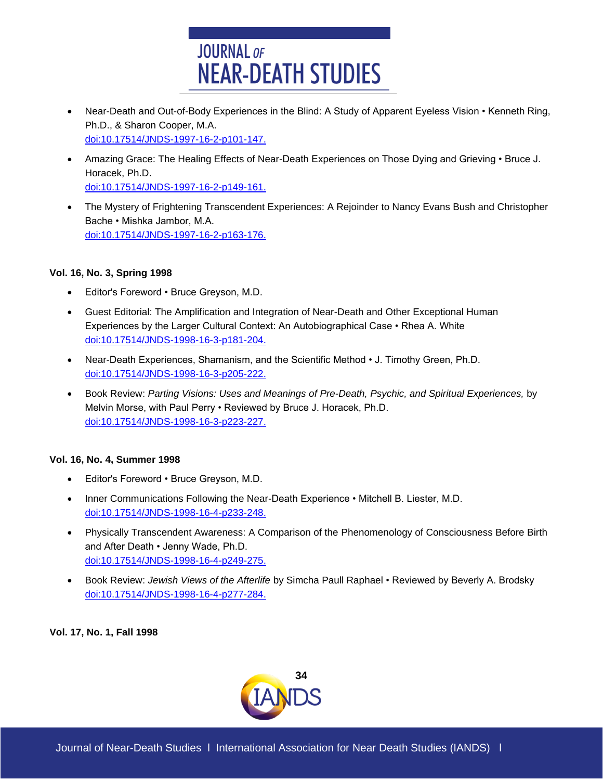

- Near-Death and Out-of-Body Experiences in the Blind: A Study of Apparent Eyeless Vision Kenneth Ring, Ph.D., & Sharon Cooper, M.A. [doi:10.17514/JNDS-1997-16-2-p101-147.](http://digital.library.unt.edu/ark:/67531/metadc799333/)
- Amazing Grace: The Healing Effects of Near-Death Experiences on Those Dying and Grieving Bruce J. Horacek, Ph.D. [doi:10.17514/JNDS-1997-16-2-p149-161.](http://digital.library.unt.edu/ark:/67531/metadc799244/)
- The Mystery of Frightening Transcendent Experiences: A Rejoinder to Nancy Evans Bush and Christopher Bache • Mishka Jambor, M.A. [doi:10.17514/JNDS-1997-16-2-p163-176.](http://digital.library.unt.edu/ark:/67531/metadc799186/)

#### **Vol. 16, No. 3, Spring 1998**

- Editor's Foreword Bruce Greyson, M.D.
- Guest Editorial: The Amplification and Integration of Near-Death and Other Exceptional Human Experiences by the Larger Cultural Context: An Autobiographical Case • Rhea A. White [doi:10.17514/JNDS-1998-16-3-p181-204.](http://digital.library.unt.edu/ark:/67531/metadc798957/)
- Near-Death Experiences, Shamanism, and the Scientific Method J. Timothy Green, Ph.D. [doi:10.17514/JNDS-1998-16-3-p205-222.](http://digital.library.unt.edu/ark:/67531/metadc798905/)
- Book Review: *Parting Visions: Uses and Meanings of Pre-Death, Psychic, and Spiritual Experiences,* by Melvin Morse, with Paul Perry • Reviewed by Bruce J. Horacek, Ph.D. [doi:10.17514/JNDS-1998-16-3-p223-227.](http://digital.library.unt.edu/ark:/67531/metadc799075/)

#### **Vol. 16, No. 4, Summer 1998**

- Editor's Foreword Bruce Greyson, M.D.
- Inner Communications Following the Near-Death Experience Mitchell B. Liester, M.D. [doi:10.17514/JNDS-1998-16-4-p233-248.](http://digital.library.unt.edu/ark:/67531/metadc799330/)
- Physically Transcendent Awareness: A Comparison of the Phenomenology of Consciousness Before Birth and After Death • Jenny Wade, Ph.D. [doi:10.17514/JNDS-1998-16-4-p249-275.](http://digital.library.unt.edu/ark:/67531/metadc798945/)
- Book Review: *Jewish Views of the Afterlife* by Simcha Paull Raphael Reviewed by Beverly A. Brodsky [doi:10.17514/JNDS-1998-16-4-p277-284.](http://digital.library.unt.edu/ark:/67531/metadc799006/)

#### **Vol. 17, No. 1, Fall 1998**

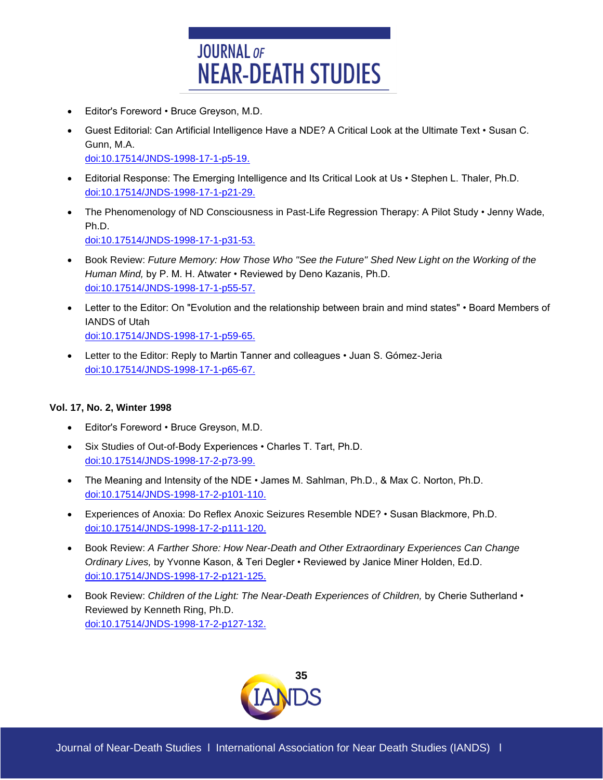

- Editor's Foreword Bruce Greyson, M.D.
- Guest Editorial: Can Artificial Intelligence Have a NDE? A Critical Look at the Ultimate Text Susan C. Gunn, M.A. [doi:10.17514/JNDS-1998-17-1-p5-19.](http://digital.library.unt.edu/ark:/67531/metadc799112/)
- Editorial Response: The Emerging Intelligence and Its Critical Look at Us Stephen L. Thaler, Ph.D. [doi:10.17514/JNDS-1998-17-1-p21-29.](http://digital.library.unt.edu/ark:/67531/metadc799108/)
- The Phenomenology of ND Consciousness in Past-Life Regression Therapy: A Pilot Study Jenny Wade, Ph.D. [doi:10.17514/JNDS-1998-17-1-p31-53.](http://digital.library.unt.edu/ark:/67531/metadc799033/)
- Book Review: *Future Memory: How Those Who "See the Future" Shed New Light on the Working of the Human Mind,* by P. M. H. Atwater • Reviewed by Deno Kazanis, Ph.D. [doi:10.17514/JNDS-1998-17-1-p55-57.](http://digital.library.unt.edu/ark:/67531/metadc799021/)
- Letter to the Editor: On "Evolution and the relationship between brain and mind states" Board Members of IANDS of Utah [doi:10.17514/JNDS-1998-17-1-p59-65.](http://digital.library.unt.edu/ark:/67531/metadc799155/)
- Letter to the Editor: Reply to Martin Tanner and colleagues Juan S. Gómez-Jeria [doi:10.17514/JNDS-1998-17-1-p65-67.](https://digital.library.unt.edu/ark:/67531/metadc937987/)

#### **Vol. 17, No. 2, Winter 1998**

- Editor's Foreword Bruce Greyson, M.D.
- Six Studies of Out-of-Body Experiences Charles T. Tart, Ph.D. [doi:10.17514/JNDS-1998-17-2-p73-99.](http://digital.library.unt.edu/ark:/67531/metadc799368/)
- The Meaning and Intensity of the NDE James M. Sahlman, Ph.D., & Max C. Norton, Ph.D. [doi:10.17514/JNDS-1998-17-2-p101-110.](http://digital.library.unt.edu/ark:/67531/metadc799195/)
- Experiences of Anoxia: Do Reflex Anoxic Seizures Resemble NDE? Susan Blackmore, Ph.D. [doi:10.17514/JNDS-1998-17-2-p111-120.](http://digital.library.unt.edu/ark:/67531/metadc799352/)
- Book Review: *A Farther Shore: How Near-Death and Other Extraordinary Experiences Can Change Ordinary Lives,* by Yvonne Kason, & Teri Degler • Reviewed by Janice Miner Holden, Ed.D. [doi:10.17514/JNDS-1998-17-2-p121-125.](http://digital.library.unt.edu/ark:/67531/metadc798877/)
- Book Review: *Children of the Light: The Near-Death Experiences of Children,* by Cherie Sutherland Reviewed by Kenneth Ring, Ph.D. [doi:10.17514/JNDS-1998-17-2-p127-132.](http://digital.library.unt.edu/ark:/67531/metadc799312/)

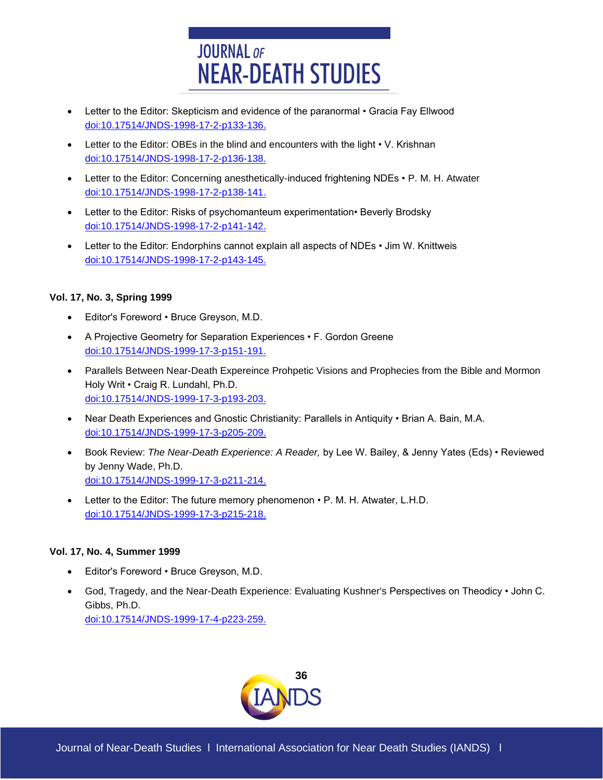

- Letter to the Editor: Skepticism and evidence of the paranormal Gracia Fay Ellwood [doi:10.17514/JNDS-1998-17-2-p133-136.](http://digital.library.unt.edu/ark:/67531/metadc799264/)
- Letter to the Editor: OBEs in the blind and encounters with the light V. Krishnan [doi:10.17514/JNDS-1998-17-2-p136-138.](https://digital.library.unt.edu/ark:/67531/metadc938028/)
- Letter to the Editor: Concerning anesthetically-induced frightening NDEs P. M. H. Atwater [doi:10.17514/JNDS-1998-17-2-p138-141.](https://digital.library.unt.edu/ark:/67531/metadc938057/)
- Letter to the Editor: Risks of psychomanteum experimentation• Beverly Brodsky [doi:10.17514/JNDS-1998-17-2-p141-142.](https://digital.library.unt.edu/ark:/67531/metadc937972/)
- Letter to the Editor: Endorphins cannot explain all aspects of NDEs Jim W. Knittweis [doi:10.17514/JNDS-1998-17-2-p143-145.](https://digital.library.unt.edu/ark:/67531/metadc938027/)

#### **Vol. 17, No. 3, Spring 1999**

- Editor's Foreword Bruce Greyson, M.D.
- A Projective Geometry for Separation Experiences F. Gordon Greene [doi:10.17514/JNDS-1999-17-3-p151-191.](http://digital.library.unt.edu/ark:/67531/metadc799239/)
- Parallels Between Near-Death Expereince Prohpetic Visions and Prophecies from the Bible and Mormon Holy Writ • Craig R. Lundahl, Ph.D. [doi:10.17514/JNDS-1999-17-3-p193-203.](http://digital.library.unt.edu/ark:/67531/metadc798933/)
- Near Death Experiences and Gnostic Christianity: Parallels in Antiquity Brian A. Bain, M.A. [doi:10.17514/JNDS-1999-17-3-p205-209.](http://digital.library.unt.edu/ark:/67531/metadc799083/)
- Book Review: *The Near-Death Experience: A Reader,* by Lee W. Bailey, & Jenny Yates (Eds) Reviewed by Jenny Wade, Ph.D. [doi:10.17514/JNDS-1999-17-3-p211-214.](http://digital.library.unt.edu/ark:/67531/metadc799262/)
- Letter to the Editor: The future memory phenomenon P. M. H. Atwater, L.H.D. [doi:10.17514/JNDS-1999-17-3-p215-218.](http://digital.library.unt.edu/ark:/67531/metadc799160/)

# **Vol. 17, No. 4, Summer 1999**

- Editor's Foreword Bruce Greyson, M.D.
- God, Tragedy, and the Near-Death Experience: Evaluating Kushner's Perspectives on Theodicy John C. Gibbs, Ph.D. [doi:10.17514/JNDS-1999-17-4-p223-259.](http://digital.library.unt.edu/ark:/67531/metadc799199/)

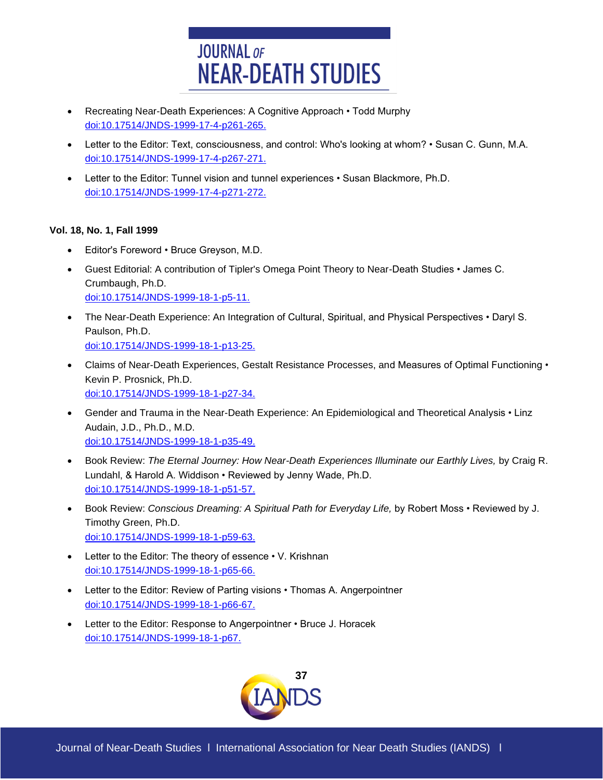

- Recreating Near-Death Experiences: A Cognitive Approach Todd Murphy [doi:10.17514/JNDS-1999-17-4-p261-265.](http://digital.library.unt.edu/ark:/67531/metadc799189/)
- Letter to the Editor: Text, consciousness, and control: Who's looking at whom? Susan C. Gunn, M.A. [doi:10.17514/JNDS-1999-17-4-p267-271.](http://digital.library.unt.edu/ark:/67531/metadc799001/)
- Letter to the Editor: Tunnel vision and tunnel experiences Susan Blackmore, Ph.D. [doi:10.17514/JNDS-1999-17-4-p271-272.](https://digital.library.unt.edu/ark:/67531/metadc938046/)

### **Vol. 18, No. 1, Fall 1999**

- Editor's Foreword Bruce Greyson, M.D.
- Guest Editorial: A contribution of Tipler's Omega Point Theory to Near-Death Studies James C. Crumbaugh, Ph.D. [doi:10.17514/JNDS-1999-18-1-p5-11.](http://digital.library.unt.edu/ark:/67531/metadc798959/)
- The Near-Death Experience: An Integration of Cultural, Spiritual, and Physical Perspectives Daryl S. Paulson, Ph.D. [doi:10.17514/JNDS-1999-18-1-p13-25.](http://digital.library.unt.edu/ark:/67531/metadc798928/)
- Claims of Near-Death Experiences, Gestalt Resistance Processes, and Measures of Optimal Functioning Kevin P. Prosnick, Ph.D. [doi:10.17514/JNDS-1999-18-1-p27-34.](http://digital.library.unt.edu/ark:/67531/metadc799035/)
- Gender and Trauma in the Near-Death Experience: An Epidemiological and Theoretical Analysis Linz Audain, J.D., Ph.D., M.D. [doi:10.17514/JNDS-1999-18-1-p35-49.](http://digital.library.unt.edu/ark:/67531/metadc799050/)
- Book Review: The Eternal Journey: How Near-Death Experiences Illuminate our Earthly Lives, by Craig R. Lundahl, & Harold A. Widdison • Reviewed by Jenny Wade, Ph.D. [doi:10.17514/JNDS-1999-18-1-p51-57.](http://digital.library.unt.edu/ark:/67531/metadc799338/)
- Book Review: *Conscious Dreaming: A Spiritual Path for Everyday Life,* by Robert Moss Reviewed by J. Timothy Green, Ph.D. [doi:10.17514/JNDS-1999-18-1-p59-63.](http://digital.library.unt.edu/ark:/67531/metadc799106/)
- Letter to the Editor: The theory of essence V. Krishnan [doi:10.17514/JNDS-1999-18-1-p65-66.](http://digital.library.unt.edu/ark:/67531/metadc799363/)
- Letter to the Editor: Review of Parting visions Thomas A. Angerpointner [doi:10.17514/JNDS-1999-18-1-p66-67.](https://digital.library.unt.edu/ark:/67531/metadc938038/)
- Letter to the Editor: Response to Angerpointner Bruce J. Horacek [doi:10.17514/JNDS-1999-18-1-p67.](https://digital.library.unt.edu/ark:/67531/metadc938079/)

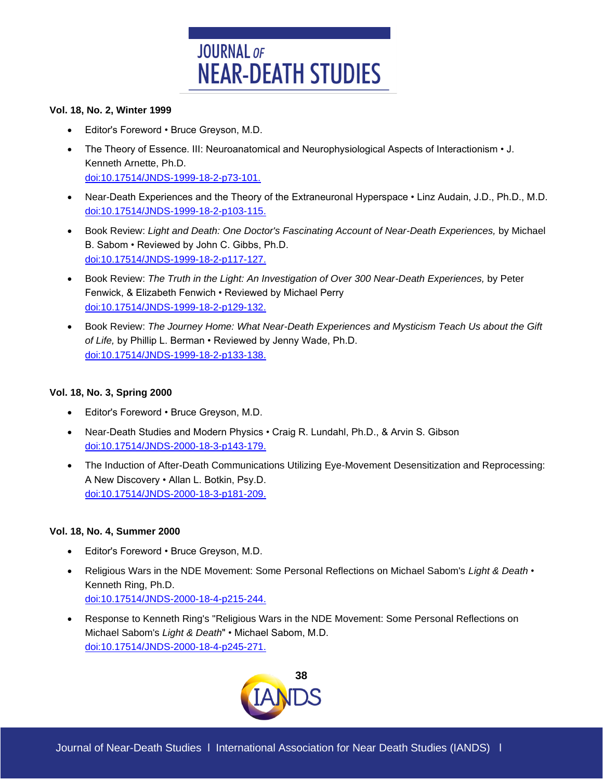

#### **Vol. 18, No. 2, Winter 1999**

- Editor's Foreword Bruce Greyson, M.D.
- The Theory of Essence. III: Neuroanatomical and Neurophysiological Aspects of Interactionism J. Kenneth Arnette, Ph.D. [doi:10.17514/JNDS-1999-18-2-p73-101.](http://digital.library.unt.edu/ark:/67531/metadc799353/)
- Near-Death Experiences and the Theory of the Extraneuronal Hyperspace Linz Audain, J.D., Ph.D., M.D. [doi:10.17514/JNDS-1999-18-2-p103-115.](http://digital.library.unt.edu/ark:/67531/metadc799080/)
- Book Review: *Light and Death: One Doctor's Fascinating Account of Near-Death Experiences,* by Michael B. Sabom • Reviewed by John C. Gibbs, Ph.D. [doi:10.17514/JNDS-1999-18-2-p117-127.](http://digital.library.unt.edu/ark:/67531/metadc798967/)
- Book Review: *The Truth in the Light: An Investigation of Over 300 Near-Death Experiences,* by Peter Fenwick, & Elizabeth Fenwich • Reviewed by Michael Perry [doi:10.17514/JNDS-1999-18-2-p129-132.](http://digital.library.unt.edu/ark:/67531/metadc799233/)
- Book Review: *The Journey Home: What Near-Death Experiences and Mysticism Teach Us about the Gift of Life,* by Phillip L. Berman • Reviewed by Jenny Wade, Ph.D. [doi:10.17514/JNDS-1999-18-2-p133-138.](http://digital.library.unt.edu/ark:/67531/metadc799236/)

### **Vol. 18, No. 3, Spring 2000**

- Editor's Foreword Bruce Greyson, M.D.
- Near-Death Studies and Modern Physics Craig R. Lundahl, Ph.D., & Arvin S. Gibson [doi:10.17514/JNDS-2000-18-3-p143-179.](http://digital.library.unt.edu/ark:/67531/metadc799217/)
- The Induction of After-Death Communications Utilizing Eye-Movement Desensitization and Reprocessing: A New Discovery • Allan L. Botkin, Psy.D. [doi:10.17514/JNDS-2000-18-3-p181-209.](http://digital.library.unt.edu/ark:/67531/metadc798991/)

### **Vol. 18, No. 4, Summer 2000**

- Editor's Foreword Bruce Greyson, M.D.
- Religious Wars in the NDE Movement: Some Personal Reflections on Michael Sabom's *Light & Death* Kenneth Ring, Ph.D. [doi:10.17514/JNDS-2000-18-4-p215-244.](http://digital.library.unt.edu/ark:/67531/metadc799065/)
- Response to Kenneth Ring's "Religious Wars in the NDE Movement: Some Personal Reflections on Michael Sabom's *Light & Death*" • Michael Sabom, M.D. [doi:10.17514/JNDS-2000-18-4-p245-271.](http://digital.library.unt.edu/ark:/67531/metadc798966/)

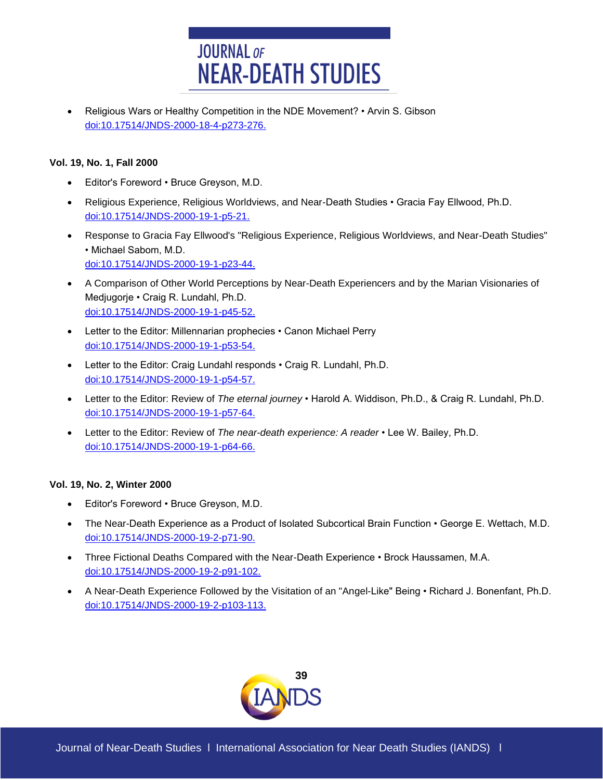

• Religious Wars or Healthy Competition in the NDE Movement? • Arvin S. Gibson [doi:10.17514/JNDS-2000-18-4-p273-276.](http://digital.library.unt.edu/ark:/67531/metadc798965/)

### **Vol. 19, No. 1, Fall 2000**

- Editor's Foreword Bruce Greyson, M.D.
- Religious Experience, Religious Worldviews, and Near-Death Studies Gracia Fay Ellwood, Ph.D. [doi:10.17514/JNDS-2000-19-1-p5-21.](http://digital.library.unt.edu/ark:/67531/metadc799254/)
- Response to Gracia Fay Ellwood's "Religious Experience, Religious Worldviews, and Near-Death Studies" • Michael Sabom, M.D. [doi:10.17514/JNDS-2000-19-1-p23-44.](http://digital.library.unt.edu/ark:/67531/metadc799326/)
- A Comparison of Other World Perceptions by Near-Death Experiencers and by the Marian Visionaries of Medjugorje • Craig R. Lundahl, Ph.D. [doi:10.17514/JNDS-2000-19-1-p45-52.](http://digital.library.unt.edu/ark:/67531/metadc799320/)
- Letter to the Editor: Millennarian prophecies Canon Michael Perry [doi:10.17514/JNDS-2000-19-1-p53-54.](http://digital.library.unt.edu/ark:/67531/metadc798934/)
- Letter to the Editor: Craig Lundahl responds Craig R. Lundahl, Ph.D. [doi:10.17514/JNDS-2000-19-1-p54-57.](https://digital.library.unt.edu/ark:/67531/metadc938071/)
- Letter to the Editor: Review of *The eternal journey* Harold A. Widdison, Ph.D., & Craig R. Lundahl, Ph.D. [doi:10.17514/JNDS-2000-19-1-p57-64.](https://digital.library.unt.edu/ark:/67531/metadc938004/)
- Letter to the Editor: Review of *The near-death experience: A reader* Lee W. Bailey, Ph.D. [doi:10.17514/JNDS-2000-19-1-p64-66.](https://digital.library.unt.edu/ark:/67531/metadc938070/)

### **Vol. 19, No. 2, Winter 2000**

- Editor's Foreword Bruce Greyson, M.D.
- The Near-Death Experience as a Product of Isolated Subcortical Brain Function George E. Wettach, M.D. [doi:10.17514/JNDS-2000-19-2-p71-90.](https://iands.org/10.17514/JNDS-2000-19-2-p71-90.)
- Three Fictional Deaths Compared with the Near-Death Experience Brock Haussamen, M.A. [doi:10.17514/JNDS-2000-19-2-p91-102.](http://digital.library.unt.edu/ark:/67531/metadc798899/)
- A Near-Death Experience Followed by the Visitation of an "Angel-Like" Being Richard J. Bonenfant, Ph.D. [doi:10.17514/JNDS-2000-19-2-p103-113.](http://digital.library.unt.edu/ark:/67531/metadc798984/)

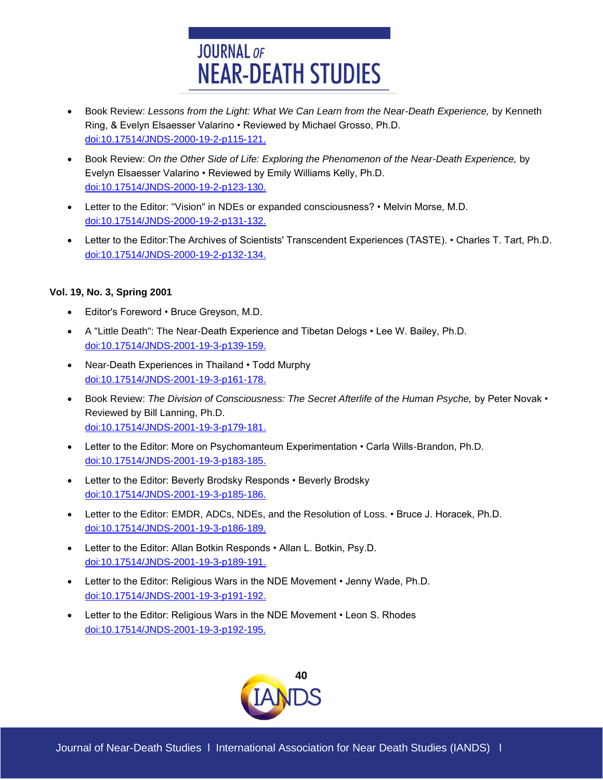

- Book Review: *Lessons from the Light: What We Can Learn from the Near-Death Experience,* by Kenneth Ring, & Evelyn Elsaesser Valarino • Reviewed by Michael Grosso, Ph.D. [doi:10.17514/JNDS-2000-19-2-p115-121.](http://digital.library.unt.edu/ark:/67531/metadc798940/)
- Book Review: *On the Other Side of Life: Exploring the Phenomenon of the Near-Death Experience,* by Evelyn Elsaesser Valarino • Reviewed by Emily Williams Kelly, Ph.D. [doi:10.17514/JNDS-2000-19-2-p123-130.](http://digital.library.unt.edu/ark:/67531/metadc798884/)
- Letter to the Editor: "Vision" in NDEs or expanded consciousness? Melvin Morse, M.D. [doi:10.17514/JNDS-2000-19-2-p131-132.](http://digital.library.unt.edu/ark:/67531/metadc799232/)
- Letter to the Editor:The Archives of Scientists' Transcendent Experiences (TASTE). Charles T. Tart, Ph.D. [doi:10.17514/JNDS-2000-19-2-p132-134.](https://digital.library.unt.edu/ark:/67531/metadc938045/)

## **Vol. 19, No. 3, Spring 2001**

- Editor's Foreword Bruce Greyson, M.D.
- A "Little Death": The Near-Death Experience and Tibetan Delogs Lee W. Bailey, Ph.D. [doi:10.17514/JNDS-2001-19-3-p139-159.](http://digital.library.unt.edu/ark:/67531/metadc799135/)
- Near-Death Experiences in Thailand Todd Murphy [doi:10.17514/JNDS-2001-19-3-p161-178.](http://digital.library.unt.edu/ark:/67531/metadc799340/)
- Book Review: The Division of Consciousness: The Secret Afterlife of the Human Psyche, by Peter Novak Reviewed by Bill Lanning, Ph.D. [doi:10.17514/JNDS-2001-19-3-p179-181.](http://digital.library.unt.edu/ark:/67531/metadc798963/)
- Letter to the Editor: More on Psychomanteum Experimentation Carla Wills-Brandon, Ph.D. [doi:10.17514/JNDS-2001-19-3-p183-185.](http://digital.library.unt.edu/ark:/67531/metadc799102/)
- Letter to the Editor: Beverly Brodsky Responds Beverly Brodsky [doi:10.17514/JNDS-2001-19-3-p185-186.](https://digital.library.unt.edu/ark:/67531/metadc938074/)
- Letter to the Editor: EMDR, ADCs, NDEs, and the Resolution of Loss. Bruce J. Horacek, Ph.D. [doi:10.17514/JNDS-2001-19-3-p186-189.](https://digital.library.unt.edu/ark:/67531/metadc938032/)
- Letter to the Editor: Allan Botkin Responds Allan L. Botkin, Psy.D. [doi:10.17514/JNDS-2001-19-3-p189-191.](https://digital.library.unt.edu/ark:/67531/metadc938047/)
- Letter to the Editor: Religious Wars in the NDE Movement Jenny Wade, Ph.D. [doi:10.17514/JNDS-2001-19-3-p191-192.](https://digital.library.unt.edu/ark:/67531/metadc938016/)
- Letter to the Editor: Religious Wars in the NDE Movement Leon S. Rhodes [doi:10.17514/JNDS-2001-19-3-p192-195.](https://digital.library.unt.edu/ark:/67531/metadc938069/)

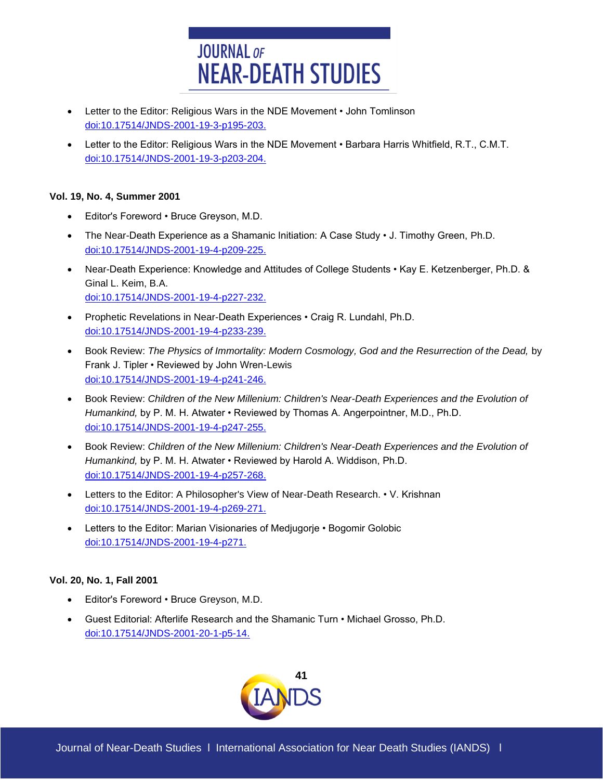

- Letter to the Editor: Religious Wars in the NDE Movement John Tomlinson [doi:10.17514/JNDS-2001-19-3-p195-203.](https://digital.library.unt.edu/ark:/67531/metadc937980/)
- Letter to the Editor: Religious Wars in the NDE Movement Barbara Harris Whitfield, R.T., C.M.T. [doi:10.17514/JNDS-2001-19-3-p203-204.](https://digital.library.unt.edu/ark:/67531/metadc938041/)

#### **Vol. 19, No. 4, Summer 2001**

- Editor's Foreword Bruce Greyson, M.D.
- The Near-Death Experience as a Shamanic Initiation: A Case Study J. Timothy Green, Ph.D. [doi:10.17514/JNDS-2001-19-4-p209-225.](http://digital.library.unt.edu/ark:/67531/metadc799163/)
- Near-Death Experience: Knowledge and Attitudes of College Students Kay E. Ketzenberger, Ph.D. & Ginal L. Keim, B.A. [doi:10.17514/JNDS-2001-19-4-p227-232.](http://digital.library.unt.edu/ark:/67531/metadc799047/)
- Prophetic Revelations in Near-Death Experiences Craig R. Lundahl, Ph.D. [doi:10.17514/JNDS-2001-19-4-p233-239.](http://digital.library.unt.edu/ark:/67531/metadc799277/)
- Book Review: *The Physics of Immortality: Modern Cosmology, God and the Resurrection of the Dead,* by Frank J. Tipler • Reviewed by John Wren-Lewis [doi:10.17514/JNDS-2001-19-4-p241-246.](http://digital.library.unt.edu/ark:/67531/metadc799024/)
- Book Review: *Children of the New Millenium: Children's Near-Death Experiences and the Evolution of Humankind,* by P. M. H. Atwater • Reviewed by Thomas A. Angerpointner, M.D., Ph.D. [doi:10.17514/JNDS-2001-19-4-p247-255.](http://digital.library.unt.edu/ark:/67531/metadc799072/)
- Book Review: *Children of the New Millenium: Children's Near-Death Experiences and the Evolution of Humankind,* by P. M. H. Atwater • Reviewed by Harold A. Widdison, Ph.D. [doi:10.17514/JNDS-2001-19-4-p257-268.](https://digital.library.unt.edu/ark:/67531/metadc799008/)
- Letters to the Editor: A Philosopher's View of Near-Death Research. V. Krishnan [doi:10.17514/JNDS-2001-19-4-p269-271.](http://digital.library.unt.edu/ark:/67531/metadc799136/)
- Letters to the Editor: Marian Visionaries of Medjugorje Bogomir Golobic [doi:10.17514/JNDS-2001-19-4-p271.](https://digital.library.unt.edu/ark:/67531/metadc938003/)

### **Vol. 20, No. 1, Fall 2001**

- Editor's Foreword Bruce Greyson, M.D.
- Guest Editorial: Afterlife Research and the Shamanic Turn Michael Grosso, Ph.D. [doi:10.17514/JNDS-2001-20-1-p5-14.](http://digital.library.unt.edu/ark:/67531/metadc799113/)

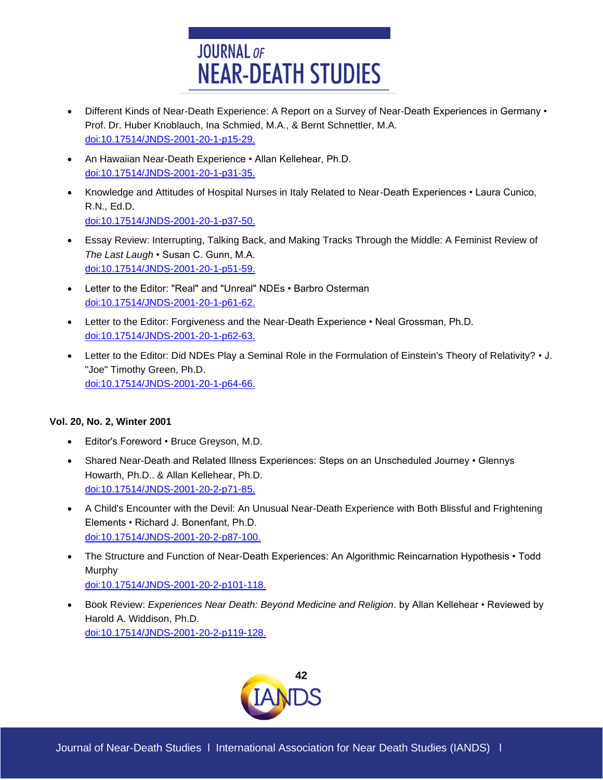

- Different Kinds of Near-Death Experience: A Report on a Survey of Near-Death Experiences in Germany Prof. Dr. Huber Knoblauch, Ina Schmied, M.A., & Bernt Schnettler, M.A. [doi:10.17514/JNDS-2001-20-1-p15-29.](http://digital.library.unt.edu/ark:/67531/metadc799129/)
- An Hawaiian Near-Death Experience Allan Kellehear, Ph.D. [doi:10.17514/JNDS-2001-20-1-p31-35.](http://digital.library.unt.edu/ark:/67531/metadc799181/)
- Knowledge and Attitudes of Hospital Nurses in Italy Related to Near-Death Experiences Laura Cunico, R.N., Ed.D. [doi:10.17514/JNDS-2001-20-1-p37-50.](http://digital.library.unt.edu/ark:/67531/metadc798962/)
- Essay Review: Interrupting, Talking Back, and Making Tracks Through the Middle: A Feminist Review of *The Last Laugh* • Susan C. Gunn, M.A. [doi:10.17514/JNDS-2001-20-1-p51-59.](http://digital.library.unt.edu/ark:/67531/metadc799175/)
- Letter to the Editor: "Real" and "Unreal" NDEs . Barbro Osterman [doi:10.17514/JNDS-2001-20-1-p61-62.](http://digital.library.unt.edu/ark:/67531/metadc799100/)
- Letter to the Editor: Forgiveness and the Near-Death Experience Neal Grossman, Ph.D. [doi:10.17514/JNDS-2001-20-1-p62-63.](https://digital.library.unt.edu/ark:/67531/metadc937989/)
- Letter to the Editor: Did NDEs Play a Seminal Role in the Formulation of Einstein's Theory of Relativity? J. "Joe" Timothy Green, Ph.D. [doi:10.17514/JNDS-2001-20-1-p64-66.](https://digital.library.unt.edu/ark:/67531/metadc938006/)

# **Vol. 20, No. 2, Winter 2001**

- Editor's Foreword Bruce Greyson, M.D.
- Shared Near-Death and Related Illness Experiences: Steps on an Unscheduled Journey Glennys Howarth, Ph.D.. & Allan Kellehear, Ph.D. [doi:10.17514/JNDS-2001-20-2-p71-85.](http://digital.library.unt.edu/ark:/67531/metadc798969/)
- A Child's Encounter with the Devil: An Unusual Near-Death Experience with Both Blissful and Frightening Elements • Richard J. Bonenfant, Ph.D. [doi:10.17514/JNDS-2001-20-2-p87-100.](http://digital.library.unt.edu/ark:/67531/metadc799294/)
- The Structure and Function of Near-Death Experiences: An Algorithmic Reincarnation Hypothesis Todd Murphy [doi:10.17514/JNDS-2001-20-2-p101-118.](http://digital.library.unt.edu/ark:/67531/metadc799292/)
- Book Review: *Experiences Near Death: Beyond Medicine and Religion*. by Allan Kellehear Reviewed by Harold A. Widdison, Ph.D. [doi:10.17514/JNDS-2001-20-2-p119-128.](http://digital.library.unt.edu/ark:/67531/metadc799153/)

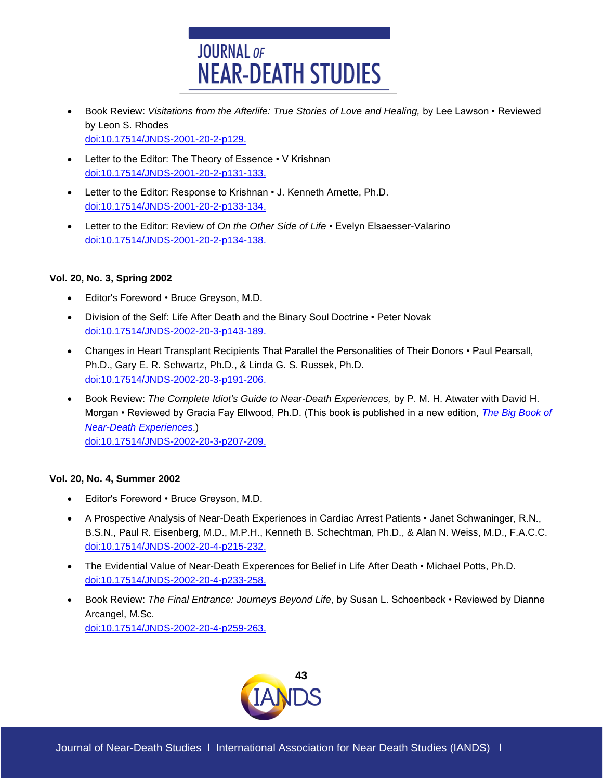

- Book Review: *Visitations from the Afterlife: True Stories of Love and Healing,* by Lee Lawson Reviewed by Leon S. Rhodes [doi:10.17514/JNDS-2001-20-2-p129.](http://digital.library.unt.edu/ark:/67531/metadc798992/)
- Letter to the Editor: The Theory of Essence V Krishnan [doi:10.17514/JNDS-2001-20-2-p131-133.](http://digital.library.unt.edu/ark:/67531/metadc799165/)
- Letter to the Editor: Response to Krishnan J. Kenneth Arnette, Ph.D. [doi:10.17514/JNDS-2001-20-2-p133-134.](https://digital.library.unt.edu/ark:/67531/metadc937978/)
- Letter to the Editor: Review of *On the Other Side of Life* Evelyn Elsaesser-Valarino [doi:10.17514/JNDS-2001-20-2-p134-138.](https://digital.library.unt.edu/ark:/67531/metadc937973/)

## **Vol. 20, No. 3, Spring 2002**

- Editor's Foreword Bruce Greyson, M.D.
- Division of the Self: Life After Death and the Binary Soul Doctrine Peter Novak [doi:10.17514/JNDS-2002-20-3-p143-189.](http://digital.library.unt.edu/ark:/67531/metadc799306/)
- Changes in Heart Transplant Recipients That Parallel the Personalities of Their Donors Paul Pearsall, Ph.D., Gary E. R. Schwartz, Ph.D., & Linda G. S. Russek, Ph.D. [doi:10.17514/JNDS-2002-20-3-p191-206.](http://digital.library.unt.edu/ark:/67531/metadc799207/)
- Book Review: *The Complete Idiot's Guide to Near-Death Experiences,* by P. M. H. Atwater with David H. Morgan • Reviewed by Gracia Fay Ellwood, Ph.D. (This book is published in a new edition, *[The Big Book of](https://iands.org/resources/education/recommended-reading.html#cig)  [Near-Death Experiences](https://iands.org/resources/education/recommended-reading.html#cig)*.) [doi:10.17514/JNDS-2002-20-3-p207-209.](http://digital.library.unt.edu/ark:/67531/metadc799270/)

### **Vol. 20, No. 4, Summer 2002**

- Editor's Foreword Bruce Greyson, M.D.
- A Prospective Analysis of Near-Death Experiences in Cardiac Arrest Patients Janet Schwaninger, R.N., B.S.N., Paul R. Eisenberg, M.D., M.P.H., Kenneth B. Schechtman, Ph.D., & Alan N. Weiss, M.D., F.A.C.C. [doi:10.17514/JNDS-2002-20-4-p215-232.](http://digital.library.unt.edu/ark:/67531/metadc799009/)
- The Evidential Value of Near-Death Experences for Belief in Life After Death Michael Potts, Ph.D. [doi:10.17514/JNDS-2002-20-4-p233-258.](http://digital.library.unt.edu/ark:/67531/metadc799266/)
- Book Review: *The Final Entrance: Journeys Beyond Life*, by Susan L. Schoenbeck Reviewed by Dianne Arcangel, M.Sc. [doi:10.17514/JNDS-2002-20-4-p259-263.](http://digital.library.unt.edu/ark:/67531/metadc799070/)

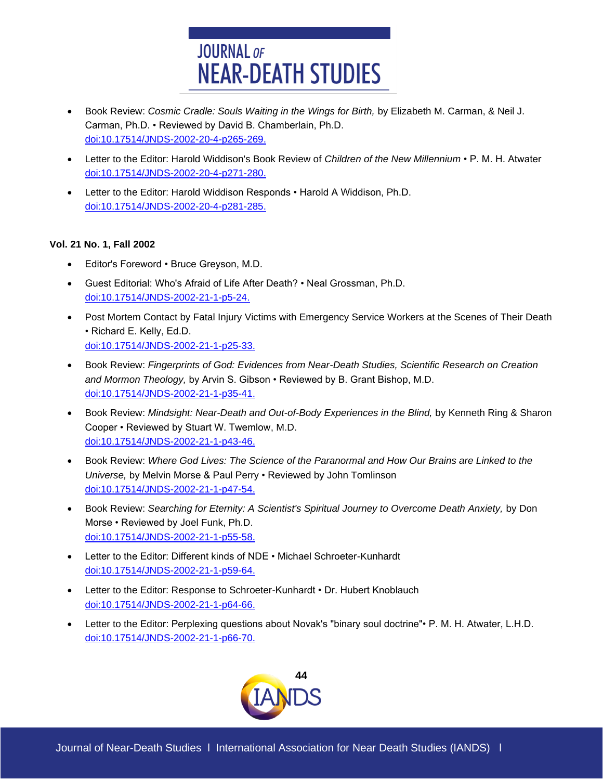

- Book Review: *Cosmic Cradle: Souls Waiting in the Wings for Birth,* by Elizabeth M. Carman, & Neil J. Carman, Ph.D. • Reviewed by David B. Chamberlain, Ph.D. [doi:10.17514/JNDS-2002-20-4-p265-269.](http://digital.library.unt.edu/ark:/67531/metadc799062/)
- Letter to the Editor: Harold Widdison's Book Review of *Children of the New Millennium* P. M. H. Atwater [doi:10.17514/JNDS-2002-20-4-p271-280.](http://digital.library.unt.edu/ark:/67531/metadc799287/)
- Letter to the Editor: Harold Widdison Responds Harold A Widdison, Ph.D. [doi:10.17514/JNDS-2002-20-4-p281-285.](https://digital.library.unt.edu/ark:/67531/metadc938087/)

### **Vol. 21 No. 1, Fall 2002**

- Editor's Foreword Bruce Greyson, M.D.
- Guest Editorial: Who's Afraid of Life After Death? Neal Grossman, Ph.D. [doi:10.17514/JNDS-2002-21-1-p5-24.](http://digital.library.unt.edu/ark:/67531/metadc799144/)
- Post Mortem Contact by Fatal Injury Victims with Emergency Service Workers at the Scenes of Their Death • Richard E. Kelly, Ed.D. [doi:10.17514/JNDS-2002-21-1-p25-33.](http://digital.library.unt.edu/ark:/67531/metadc798948/)
- Book Review: *Fingerprints of God: Evidences from Near-Death Studies, Scientific Research on Creation and Mormon Theology,* by Arvin S. Gibson • Reviewed by B. Grant Bishop, M.D. [doi:10.17514/JNDS-2002-21-1-p35-41.](http://digital.library.unt.edu/ark:/67531/metadc799095/)
- Book Review: *Mindsight: Near-Death and Out-of-Body Experiences in the Blind,* by Kenneth Ring & Sharon Cooper • Reviewed by Stuart W. Twemlow, M.D. [doi:10.17514/JNDS-2002-21-1-p43-46.](http://digital.library.unt.edu/ark:/67531/metadc799013/)
- Book Review: *Where God Lives: The Science of the Paranormal and How Our Brains are Linked to the Universe,* by Melvin Morse & Paul Perry • Reviewed by John Tomlinson [doi:10.17514/JNDS-2002-21-1-p47-54.](http://digital.library.unt.edu/ark:/67531/metadc799348/)
- Book Review: *Searching for Eternity: A Scientist's Spiritual Journey to Overcome Death Anxiety,* by Don Morse • Reviewed by Joel Funk, Ph.D. [doi:10.17514/JNDS-2002-21-1-p55-58.](http://digital.library.unt.edu/ark:/67531/metadc799282/)
- Letter to the Editor: Different kinds of NDE Michael Schroeter-Kunhardt [doi:10.17514/JNDS-2002-21-1-p59-64.](http://digital.library.unt.edu/ark:/67531/metadc799291/)
- Letter to the Editor: Response to Schroeter-Kunhardt Dr. Hubert Knoblauch [doi:10.17514/JNDS-2002-21-1-p64-66.](https://digital.library.unt.edu/ark:/67531/metadc938030/)
- Letter to the Editor: Perplexing questions about Novak's "binary soul doctrine"• P. M. H. Atwater, L.H.D. [doi:10.17514/JNDS-2002-21-1-p66-70.](https://digital.library.unt.edu/ark:/67531/metadc937990/)

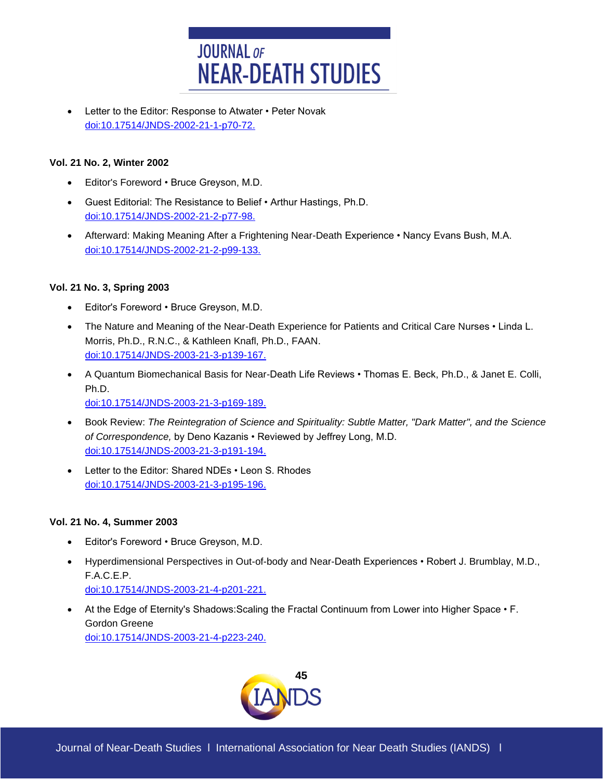

• Letter to the Editor: Response to Atwater • Peter Novak [doi:10.17514/JNDS-2002-21-1-p70-72.](https://digital.library.unt.edu/ark:/67531/metadc937976/)

### **Vol. 21 No. 2, Winter 2002**

- Editor's Foreword Bruce Greyson, M.D.
- Guest Editorial: The Resistance to Belief Arthur Hastings, Ph.D. [doi:10.17514/JNDS-2002-21-2-p77-98.](http://digital.library.unt.edu/ark:/67531/metadc799037/)
- Afterward: Making Meaning After a Frightening Near-Death Experience Nancy Evans Bush, M.A. [doi:10.17514/JNDS-2002-21-2-p99-133.](http://digital.library.unt.edu/ark:/67531/metadc799142/)

#### **Vol. 21 No. 3, Spring 2003**

- Editor's Foreword Bruce Greyson, M.D.
- The Nature and Meaning of the Near-Death Experience for Patients and Critical Care Nurses Linda L. Morris, Ph.D., R.N.C., & Kathleen Knafl, Ph.D., FAAN. [doi:10.17514/JNDS-2003-21-3-p139-167.](http://digital.library.unt.edu/ark:/67531/metadc799119/)
- A Quantum Biomechanical Basis for Near-Death Life Reviews Thomas E. Beck, Ph.D., & Janet E. Colli, Ph.D. [doi:10.17514/JNDS-2003-21-3-p169-189.](http://digital.library.unt.edu/ark:/67531/metadc799221/)
- Book Review: *The Reintegration of Science and Spirituality: Subtle Matter, "Dark Matter", and the Science of Correspondence,* by Deno Kazanis • Reviewed by Jeffrey Long, M.D. [doi:10.17514/JNDS-2003-21-3-p191-194.](http://digital.library.unt.edu/ark:/67531/metadc799317/)
- Letter to the Editor: Shared NDEs Leon S. Rhodes [doi:10.17514/JNDS-2003-21-3-p195-196.](http://digital.library.unt.edu/ark:/67531/metadc799201/)

#### **Vol. 21 No. 4, Summer 2003**

- Editor's Foreword Bruce Greyson, M.D.
- Hyperdimensional Perspectives in Out-of-body and Near-Death Experiences Robert J. Brumblay, M.D., F.A.C.E.P. [doi:10.17514/JNDS-2003-21-4-p201-221.](http://digital.library.unt.edu/ark:/67531/metadc799323/)
- At the Edge of Eternity's Shadows: Scaling the Fractal Continuum from Lower into Higher Space F. Gordon Greene [doi:10.17514/JNDS-2003-21-4-p223-240.](http://digital.library.unt.edu/ark:/67531/metadc799356/)

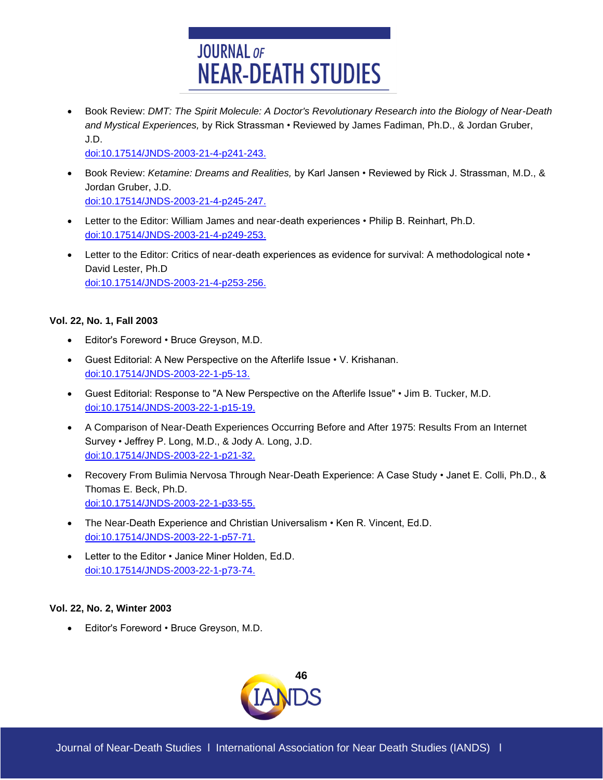

• Book Review: *DMT: The Spirit Molecule: A Doctor's Revolutionary Research into the Biology of Near-Death and Mystical Experiences,* by Rick Strassman • Reviewed by James Fadiman, Ph.D., & Jordan Gruber, J.D.

[doi:10.17514/JNDS-2003-21-4-p241-243.](http://digital.library.unt.edu/ark:/67531/metadc799157/)

- Book Review: *Ketamine: Dreams and Realities,* by Karl Jansen Reviewed by Rick J. Strassman, M.D., & Jordan Gruber, J.D. [doi:10.17514/JNDS-2003-21-4-p245-247.](http://digital.library.unt.edu/ark:/67531/metadc799092/)
- Letter to the Editor: William James and near-death experiences Philip B. Reinhart, Ph.D. [doi:10.17514/JNDS-2003-21-4-p249-253.](http://digital.library.unt.edu/ark:/67531/metadc798912/)
- Letter to the Editor: Critics of near-death experiences as evidence for survival: A methodological note David Lester, Ph.D [doi:10.17514/JNDS-2003-21-4-p253-256.](http://digital.library.unt.edu/ark:/67531/metadc937981/)

### **Vol. 22, No. 1, Fall 2003**

- Editor's Foreword Bruce Greyson, M.D.
- Guest Editorial: A New Perspective on the Afterlife Issue V. Krishanan. [doi:10.17514/JNDS-2003-22-1-p5-13.](http://digital.library.unt.edu/ark:/67531/metadc799158/)
- Guest Editorial: Response to "A New Perspective on the Afterlife Issue" Jim B. Tucker, M.D. [doi:10.17514/JNDS-2003-22-1-p15-19.](http://digital.library.unt.edu/ark:/67531/metadc799074/)
- A Comparison of Near-Death Experiences Occurring Before and After 1975: Results From an Internet Survey • Jeffrey P. Long, M.D., & Jody A. Long, J.D. [doi:10.17514/JNDS-2003-22-1-p21-32.](http://digital.library.unt.edu/ark:/67531/metadc799173/)
- Recovery From Bulimia Nervosa Through Near-Death Experience: A Case Study Janet E. Colli, Ph.D., & Thomas E. Beck, Ph.D. [doi:10.17514/JNDS-2003-22-1-p33-55.](http://digital.library.unt.edu/ark:/67531/metadc799358/)
- The Near-Death Experience and Christian Universalism Ken R. Vincent, Ed.D. [doi:10.17514/JNDS-2003-22-1-p57-71.](http://digital.library.unt.edu/ark:/67531/metadc798960/)
- Letter to the Editor Janice Miner Holden, Ed.D. [doi:10.17514/JNDS-2003-22-1-p73-74.](http://digital.library.unt.edu/ark:/67531/metadc798971/)

### **Vol. 22, No. 2, Winter 2003**

• Editor's Foreword • Bruce Greyson, M.D.

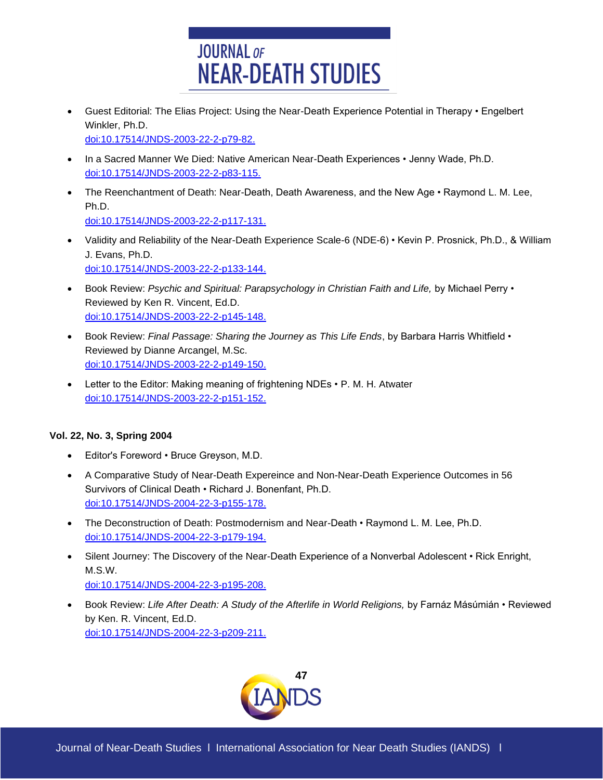

- Guest Editorial: The Elias Project: Using the Near-Death Experience Potential in Therapy Engelbert Winkler, Ph.D. [doi:10.17514/JNDS-2003-22-2-p79-82.](http://digital.library.unt.edu/ark:/67531/metadc798923/)
- In a Sacred Manner We Died: Native American Near-Death Experiences Jenny Wade, Ph.D. [doi:10.17514/JNDS-2003-22-2-p83-115.](http://digital.library.unt.edu/ark:/67531/metadc799240/)
- The Reenchantment of Death: Near-Death, Death Awareness, and the New Age Raymond L. M. Lee, Ph.D. [doi:10.17514/JNDS-2003-22-2-p117-131.](http://digital.library.unt.edu/ark:/67531/metadc799121/)
- Validity and Reliability of the Near-Death Experience Scale-6 (NDE-6) Kevin P. Prosnick, Ph.D., & William J. Evans, Ph.D. [doi:10.17514/JNDS-2003-22-2-p133-144.](http://digital.library.unt.edu/ark:/67531/metadc799235/)
- Book Review: *Psychic and Spiritual: Parapsychology in Christian Faith and Life,* by Michael Perry Reviewed by Ken R. Vincent, Ed.D. [doi:10.17514/JNDS-2003-22-2-p145-148.](http://digital.library.unt.edu/ark:/67531/metadc799288/)
- Book Review: *Final Passage: Sharing the Journey as This Life Ends*, by Barbara Harris Whitfield Reviewed by Dianne Arcangel, M.Sc. [doi:10.17514/JNDS-2003-22-2-p149-150.](http://digital.library.unt.edu/ark:/67531/metadc799301/)
- Letter to the Editor: Making meaning of frightening NDEs P. M. H. Atwater [doi:10.17514/JNDS-2003-22-2-p151-152.](http://digital.library.unt.edu/ark:/67531/metadc799086/)

# **Vol. 22, No. 3, Spring 2004**

- Editor's Foreword Bruce Greyson, M.D.
- A Comparative Study of Near-Death Expereince and Non-Near-Death Experience Outcomes in 56 Survivors of Clinical Death • Richard J. Bonenfant, Ph.D. [doi:10.17514/JNDS-2004-22-3-p155-178.](http://digital.library.unt.edu/ark:/67531/metadc799196/)
- The Deconstruction of Death: Postmodernism and Near-Death Raymond L. M. Lee, Ph.D. [doi:10.17514/JNDS-2004-22-3-p179-194.](http://digital.library.unt.edu/ark:/67531/metadc799230/)
- Silent Journey: The Discovery of the Near-Death Experience of a Nonverbal Adolescent Rick Enright, M.S.W. [doi:10.17514/JNDS-2004-22-3-p195-208.](http://digital.library.unt.edu/ark:/67531/metadc798895/)
- Book Review: *Life After Death: A Study of the Afterlife in World Religions,* by Farnáz Másúmián Reviewed by Ken. R. Vincent, Ed.D. [doi:10.17514/JNDS-2004-22-3-p209-211.](http://digital.library.unt.edu/ark:/67531/metadc799206/)

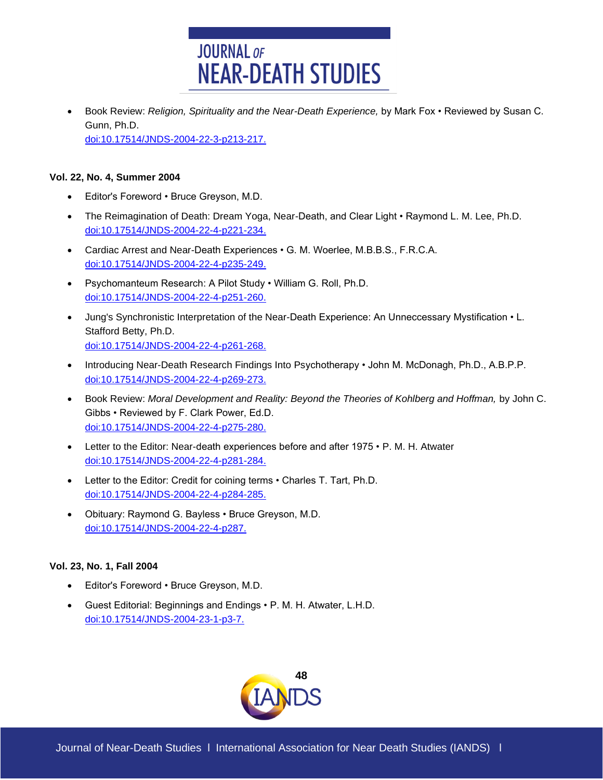

• Book Review: *Religion, Spirituality and the Near-Death Experience,* by Mark Fox • Reviewed by Susan C. Gunn, Ph.D. [doi:10.17514/JNDS-2004-22-3-p213-217.](http://digital.library.unt.edu/ark:/67531/metadc799360/)

#### **Vol. 22, No. 4, Summer 2004**

- Editor's Foreword Bruce Greyson, M.D.
- The Reimagination of Death: Dream Yoga, Near-Death, and Clear Light Raymond L. M. Lee, Ph.D. [doi:10.17514/JNDS-2004-22-4-p221-234.](http://digital.library.unt.edu/ark:/67531/metadc799191/)
- Cardiac Arrest and Near-Death Experiences G. M. Woerlee, M.B.B.S., F.R.C.A. [doi:10.17514/JNDS-2004-22-4-p235-249.](http://digital.library.unt.edu/ark:/67531/metadc799067/)
- Psychomanteum Research: A Pilot Study William G. Roll, Ph.D. [doi:10.17514/JNDS-2004-22-4-p251-260.](http://digital.library.unt.edu/ark:/67531/metadc799145/)
- Jung's Synchronistic Interpretation of the Near-Death Experience: An Unneccessary Mystification L. Stafford Betty, Ph.D. [doi:10.17514/JNDS-2004-22-4-p261-268.](http://digital.library.unt.edu/ark:/67531/metadc799255/)
- Introducing Near-Death Research Findings Into Psychotherapy John M. McDonagh, Ph.D., A.B.P.P. [doi:10.17514/JNDS-2004-22-4-p269-273.](http://digital.library.unt.edu/ark:/67531/metadc798930/)
- Book Review: *Moral Development and Reality: Beyond the Theories of Kohlberg and Hoffman,* by John C. Gibbs • Reviewed by F. Clark Power, Ed.D. [doi:10.17514/JNDS-2004-22-4-p275-280.](http://digital.library.unt.edu/ark:/67531/metadc799127/)
- Letter to the Editor: Near-death experiences before and after 1975 P. M. H. Atwater [doi:10.17514/JNDS-2004-22-4-p281-284.](http://digital.library.unt.edu/ark:/67531/metadc798914/)
- Letter to the Editor: Credit for coining terms Charles T. Tart, Ph.D. [doi:10.17514/JNDS-2004-22-4-p284-285.](https://digital.library.unt.edu/ark:/67531/metadc938083/)
- Obituary: Raymond G. Bayless Bruce Greyson, M.D. [doi:10.17514/JNDS-2004-22-4-p287.](http://digital.library.unt.edu/ark:/67531/metadc799104/)

### **Vol. 23, No. 1, Fall 2004**

- Editor's Foreword Bruce Greyson, M.D.
- Guest Editorial: Beginnings and Endings P. M. H. Atwater, L.H.D. [doi:10.17514/JNDS-2004-23-1-p3-7.](http://digital.library.unt.edu/ark:/67531/metadc799208/)

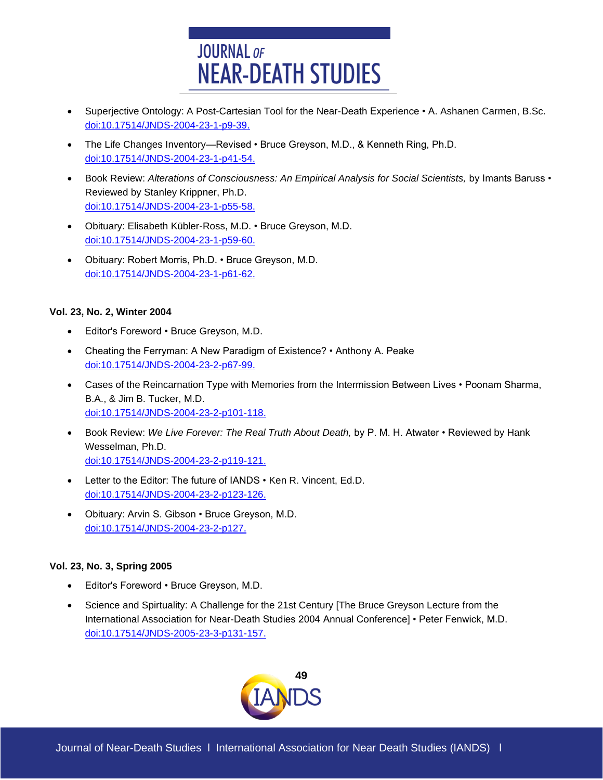

- Superjective Ontology: A Post-Cartesian Tool for the Near-Death Experience A. Ashanen Carmen, B.Sc. [doi:10.17514/JNDS-2004-23-1-p9-39.](http://digital.library.unt.edu/ark:/67531/metadc799056/)
- The Life Changes Inventory—Revised Bruce Greyson, M.D., & Kenneth Ring, Ph.D. [doi:10.17514/JNDS-2004-23-1-p41-54.](http://digital.library.unt.edu/ark:/67531/metadc799029/)
- Book Review: *Alterations of Consciousness: An Empirical Analysis for Social Scientists,* by Imants Baruss Reviewed by Stanley Krippner, Ph.D. [doi:10.17514/JNDS-2004-23-1-p55-58.](http://digital.library.unt.edu/ark:/67531/metadc798968/)
- Obituary: Elisabeth Kübler-Ross, M.D. Bruce Greyson, M.D. [doi:10.17514/JNDS-2004-23-1-p59-60.](http://digital.library.unt.edu/ark:/67531/metadc799085/)
- Obituary: Robert Morris, Ph.D. Bruce Greyson, M.D. [doi:10.17514/JNDS-2004-23-1-p61-62.](https://digital.library.unt.edu/ark:/67531/metadc799442/m1/65/)

### **Vol. 23, No. 2, Winter 2004**

- Editor's Foreword Bruce Greyson, M.D.
- Cheating the Ferryman: A New Paradigm of Existence? Anthony A. Peake [doi:10.17514/JNDS-2004-23-2-p67-99.](http://digital.library.unt.edu/ark:/67531/metadc799359/)
- Cases of the Reincarnation Type with Memories from the Intermission Between Lives Poonam Sharma, B.A., & Jim B. Tucker, M.D. [doi:10.17514/JNDS-2004-23-2-p101-118.](http://digital.library.unt.edu/ark:/67531/metadc799278/)
- Book Review: *We Live Forever: The Real Truth About Death,* by P. M. H. Atwater Reviewed by Hank Wesselman, Ph.D. [doi:10.17514/JNDS-2004-23-2-p119-121.](http://digital.library.unt.edu/ark:/67531/metadc799140/)
- Letter to the Editor: The future of IANDS Ken R. Vincent, Ed.D. [doi:10.17514/JNDS-2004-23-2-p123-126.](http://digital.library.unt.edu/ark:/67531/metadc799275/)
- Obituary: Arvin S. Gibson Bruce Greyson, M.D. [doi:10.17514/JNDS-2004-23-2-p127.](http://digital.library.unt.edu/ark:/67531/metadc799263/)

# **Vol. 23, No. 3, Spring 2005**

- Editor's Foreword Bruce Greyson, M.D.
- Science and Spirtuality: A Challenge for the 21st Century [The Bruce Greyson Lecture from the International Association for Near-Death Studies 2004 Annual Conference] • Peter Fenwick, M.D. [doi:10.17514/JNDS-2005-23-3-p131-157.](http://digital.library.unt.edu/ark:/67531/metadc799344/)

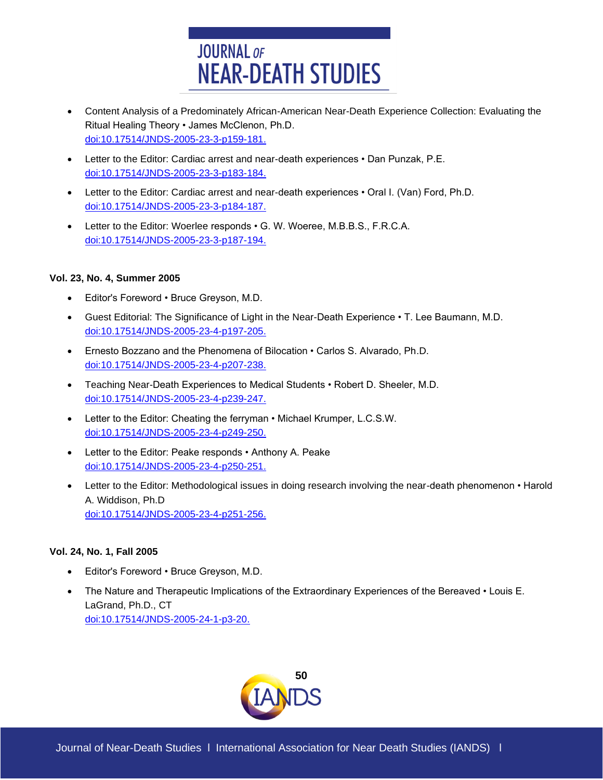

- Content Analysis of a Predominately African-American Near-Death Experience Collection: Evaluating the Ritual Healing Theory • James McClenon, Ph.D. [doi:10.17514/JNDS-2005-23-3-p159-181.](http://digital.library.unt.edu/ark:/67531/metadc799069/)
- Letter to the Editor: Cardiac arrest and near-death experiences Dan Punzak, P.E. [doi:10.17514/JNDS-2005-23-3-p183-184.](http://digital.library.unt.edu/ark:/67531/metadc799324/)
- Letter to the Editor: Cardiac arrest and near-death experiences Oral I. (Van) Ford, Ph.D. [doi:10.17514/JNDS-2005-23-3-p184-187.](https://digital.library.unt.edu/ark:/67531/metadc937977/)
- Letter to the Editor: Woerlee responds G. W. Woeree, M.B.B.S., F.R.C.A. [doi:10.17514/JNDS-2005-23-3-p187-194.](https://digital.library.unt.edu/ark:/67531/metadc938056/)

### **Vol. 23, No. 4, Summer 2005**

- Editor's Foreword Bruce Greyson, M.D.
- Guest Editorial: The Significance of Light in the Near-Death Experience T. Lee Baumann, M.D. [doi:10.17514/JNDS-2005-23-4-p197-205.](http://digital.library.unt.edu/ark:/67531/metadc799019/)
- Ernesto Bozzano and the Phenomena of Bilocation Carlos S. Alvarado, Ph.D. [doi:10.17514/JNDS-2005-23-4-p207-238.](http://digital.library.unt.edu/ark:/67531/metadc799211/)
- Teaching Near-Death Experiences to Medical Students Robert D. Sheeler, M.D. [doi:10.17514/JNDS-2005-23-4-p239-247.](http://digital.library.unt.edu/ark:/67531/metadc799016/)
- Letter to the Editor: Cheating the ferryman Michael Krumper, L.C.S.W. [doi:10.17514/JNDS-2005-23-4-p249-250.](http://digital.library.unt.edu/ark:/67531/metadc799336/)
- Letter to the Editor: Peake responds Anthony A. Peake [doi:10.17514/JNDS-2005-23-4-p250-251.](https://digital.library.unt.edu/ark:/67531/metadc937988/)
- Letter to the Editor: Methodological issues in doing research involving the near-death phenomenon Harold A. Widdison, Ph.D [doi:10.17514/JNDS-2005-23-4-p251-256.](https://digital.library.unt.edu/ark:/67531/metadc937985/)

### **Vol. 24, No. 1, Fall 2005**

- Editor's Foreword Bruce Greyson, M.D.
- The Nature and Therapeutic Implications of the Extraordinary Experiences of the Bereaved Louis E. LaGrand, Ph.D., CT [doi:10.17514/JNDS-2005-24-1-p3-20.](http://digital.library.unt.edu/ark:/67531/metadc799162/)

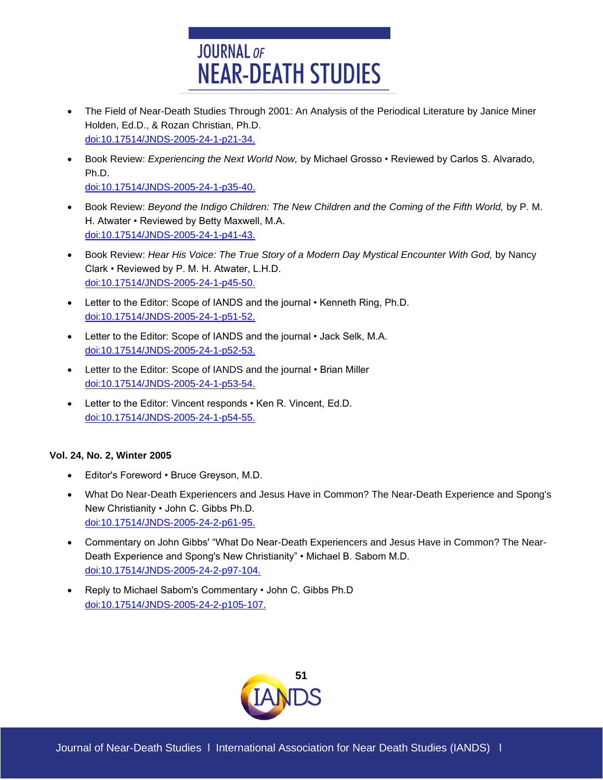

- The Field of Near-Death Studies Through 2001: An Analysis of the Periodical Literature by Janice Miner Holden, Ed.D., & Rozan Christian, Ph.D. [doi:10.17514/JNDS-2005-24-1-p21-34.](http://digital.library.unt.edu/ark:/67531/metadc799220/)
- Book Review: *Experiencing the Next World Now,* by Michael Grosso Reviewed by Carlos S. Alvarado, Ph.D. [doi:10.17514/JNDS-2005-24-1-p35-40.](http://digital.library.unt.edu/ark:/67531/metadc798937/)
- Book Review: *Beyond the Indigo Children: The New Children and the Coming of the Fifth World,* by P. M. H. Atwater • Reviewed by Betty Maxwell, M.A. [doi:10.17514/JNDS-2005-24-1-p41-43.](http://digital.library.unt.edu/ark:/67531/metadc799154/)
- Book Review: *Hear His Voice: The True Story of a Modern Day Mystical Encounter With God,* by Nancy Clark • Reviewed by P. M. H. Atwater, L.H.D. [doi:10.17514/JNDS-2005-24-1-p45-50.](http://digital.library.unt.edu/ark:/67531/metadc799281/)
- Letter to the Editor: Scope of IANDS and the journal Kenneth Ring, Ph.D. [doi:10.17514/JNDS-2005-24-1-p51-52.](http://digital.library.unt.edu/ark:/67531/metadc799286/)
- Letter to the Editor: Scope of IANDS and the journal Jack Selk, M.A. [doi:10.17514/JNDS-2005-24-1-p52-53.](https://digital.library.unt.edu/ark:/67531/metadc938078/)
- Letter to the Editor: Scope of IANDS and the journal Brian Miller [doi:10.17514/JNDS-2005-24-1-p53-54.](https://digital.library.unt.edu/ark:/67531/metadc938013/)
- Letter to the Editor: Vincent responds Ken R. Vincent, Ed.D. [doi:10.17514/JNDS-2005-24-1-p54-55.](https://digital.library.unt.edu/ark:/67531/metadc938065/)

# **Vol. 24, No. 2, Winter 2005**

- Editor's Foreword Bruce Greyson, M.D.
- What Do Near-Death Experiencers and Jesus Have in Common? The Near-Death Experience and Spong's New Christianity • John C. Gibbs Ph.D. [doi:10.17514/JNDS-2005-24-2-p61-95.](http://digital.library.unt.edu/ark:/67531/metadc799249/)
- Commentary on John Gibbs' "What Do Near-Death Experiencers and Jesus Have in Common? The Near-Death Experience and Spong's New Christianity" • Michael B. Sabom M.D. [doi:10.17514/JNDS-2005-24-2-p97-104.](http://digital.library.unt.edu/ark:/67531/metadc799296/)
- Reply to Michael Sabom's Commentary John C. Gibbs Ph.D [doi:10.17514/JNDS-2005-24-2-p105-107.](http://digital.library.unt.edu/ark:/67531/metadc798986/)

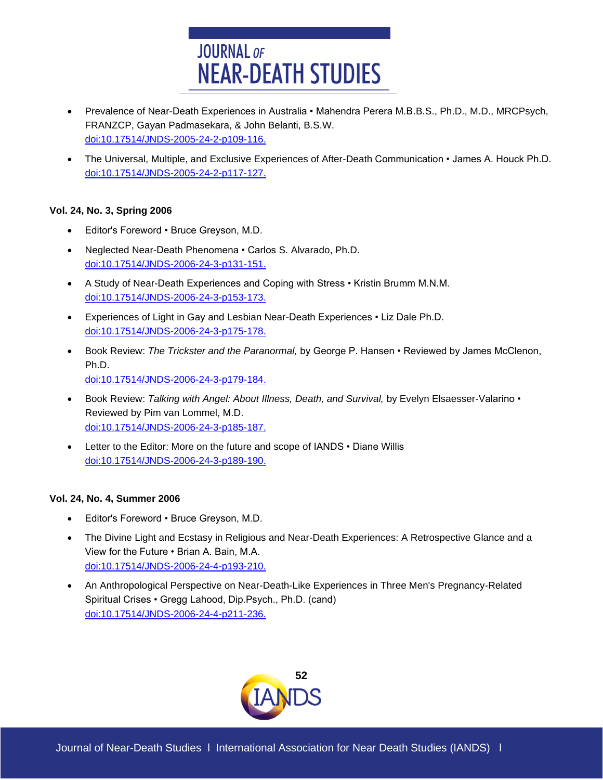

- Prevalence of Near-Death Experiences in Australia Mahendra Perera M.B.B.S., Ph.D., M.D., MRCPsych, FRANZCP, Gayan Padmasekara, & John Belanti, B.S.W. [doi:10.17514/JNDS-2005-24-2-p109-116.](http://digital.library.unt.edu/ark:/67531/metadc799274/)
- The Universal, Multiple, and Exclusive Experiences of After-Death Communication James A. Houck Ph.D. [doi:10.17514/JNDS-2005-24-2-p117-127.](http://digital.library.unt.edu/ark:/67531/metadc798882/)

### **Vol. 24, No. 3, Spring 2006**

- Editor's Foreword Bruce Greyson, M.D.
- Neglected Near-Death Phenomena Carlos S. Alvarado, Ph.D. [doi:10.17514/JNDS-2006-24-3-p131-151.](http://digital.library.unt.edu/ark:/67531/metadc799130/)
- A Study of Near-Death Experiences and Coping with Stress Kristin Brumm M.N.M. [doi:10.17514/JNDS-2006-24-3-p153-173.](http://digital.library.unt.edu/ark:/67531/metadc799182/)
- Experiences of Light in Gay and Lesbian Near-Death Experiences Liz Dale Ph.D. [doi:10.17514/JNDS-2006-24-3-p175-178.](http://digital.library.unt.edu/ark:/67531/metadc798925/)
- Book Review: *The Trickster and the Paranormal,* by George P. Hansen Reviewed by James McClenon, Ph.D. [doi:10.17514/JNDS-2006-24-3-p179-184.](http://digital.library.unt.edu/ark:/67531/metadc799350/)
- Book Review: *Talking with Angel: About Illness, Death, and Survival,* by Evelyn Elsaesser-Valarino Reviewed by Pim van Lommel, M.D. [doi:10.17514/JNDS-2006-24-3-p185-187.](http://digital.library.unt.edu/ark:/67531/metadc799250/)
- Letter to the Editor: More on the future and scope of IANDS Diane Willis [doi:10.17514/JNDS-2006-24-3-p189-190.](http://digital.library.unt.edu/ark:/67531/metadc798987/)

# **Vol. 24, No. 4, Summer 2006**

- Editor's Foreword Bruce Greyson, M.D.
- The Divine Light and Ecstasy in Religious and Near-Death Experiences: A Retrospective Glance and a View for the Future • Brian A. Bain, M.A. [doi:10.17514/JNDS-2006-24-4-p193-210.](https://iands.org/10.17514/JNDS-2006-24-4-p193-210.)
- An Anthropological Perspective on Near-Death-Like Experiences in Three Men's Pregnancy-Related Spiritual Crises • Gregg Lahood, Dip.Psych., Ph.D. (cand) [doi:10.17514/JNDS-2006-24-4-p211-236.](http://digital.library.unt.edu/ark:/67531/metadc799058/)

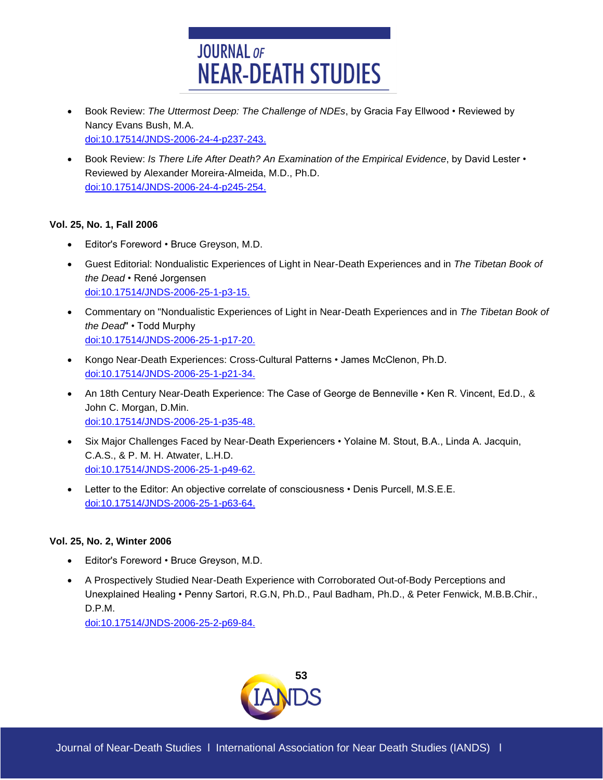

- Book Review: *The Uttermost Deep: The Challenge of NDEs*, by Gracia Fay Ellwood Reviewed by Nancy Evans Bush, M*.*A. [doi:10.17514/JNDS-2006-24-4-p237-243.](http://digital.library.unt.edu/ark:/67531/metadc799076/)
- Book Review: *Is There Life After Death? An Examination of the Empirical Evidence*, by David Lester Reviewed by Alexander Moreira-Almeida, M.D., Ph.D. [doi:10.17514/JNDS-2006-24-4-p245-254.](http://digital.library.unt.edu/ark:/67531/metadc799125/)

### **Vol. 25, No. 1, Fall 2006**

- Editor's Foreword Bruce Greyson, M.D.
- Guest Editorial: Nondualistic Experiences of Light in Near-Death Experiences and in *The Tibetan Book of the Dead* • René Jorgensen [doi:10.17514/JNDS-2006-25-1-p3-15.](http://digital.library.unt.edu/ark:/67531/metadc799053/)
- Commentary on "Nondualistic Experiences of Light in Near-Death Experiences and in *The Tibetan Book of the Dead*" • Todd Murphy [doi:10.17514/JNDS-2006-25-1-p17-20.](http://digital.library.unt.edu/ark:/67531/metadc799159/)
- Kongo Near-Death Experiences: Cross-Cultural Patterns James McClenon, Ph.D. [doi:10.17514/JNDS-2006-25-1-p21-34.](http://digital.library.unt.edu/ark:/67531/metadc799111/)
- An 18th Century Near-Death Experience: The Case of George de Benneville Ken R. Vincent, Ed.D., & John C. Morgan, D.Min. [doi:10.17514/JNDS-2006-25-1-p35-48.](http://digital.library.unt.edu/ark:/67531/metadc799354/)
- Six Major Challenges Faced by Near-Death Experiencers Yolaine M. Stout, B.A., Linda A. Jacquin, C.A.S., & P. M. H. Atwater, L.H.D. [doi:10.17514/JNDS-2006-25-1-p49-62.](http://digital.library.unt.edu/ark:/67531/metadc799185/)
- Letter to the Editor: An objective correlate of consciousness Denis Purcell, M.S.E.E. [doi:10.17514/JNDS-2006-25-1-p63-64.](http://digital.library.unt.edu/ark:/67531/metadc799259/)

### **Vol. 25, No. 2, Winter 2006**

- Editor's Foreword Bruce Greyson, M.D.
- A Prospectively Studied Near-Death Experience with Corroborated Out-of-Body Perceptions and Unexplained Healing • Penny Sartori, R.G.N, Ph.D., Paul Badham, Ph.D., & Peter Fenwick, M.B.B.Chir., D.P.M.

[doi:10.17514/JNDS-2006-25-2-p69-84.](http://digital.library.unt.edu/ark:/67531/metadc799351/)

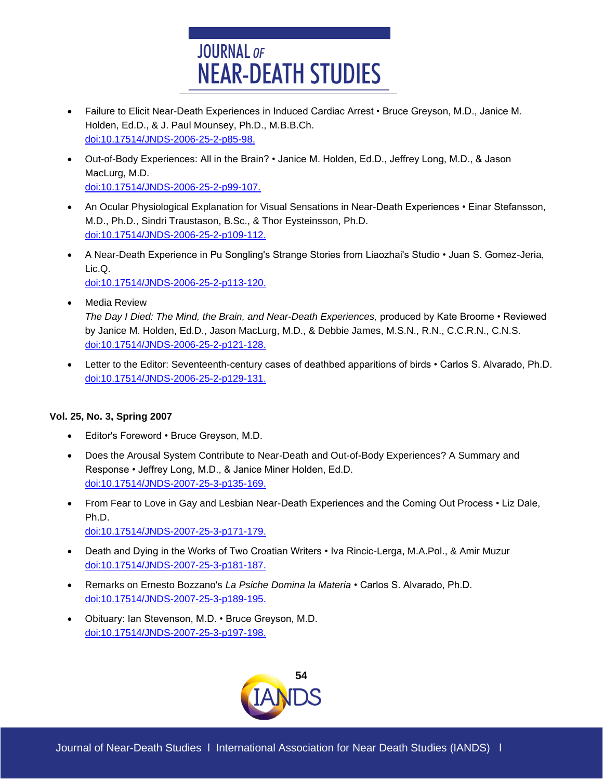

- Failure to Elicit Near-Death Experiences in Induced Cardiac Arrest Bruce Greyson, M.D., Janice M. Holden, Ed.D., & J. Paul Mounsey, Ph.D., M.B.B.Ch. [doi:10.17514/JNDS-2006-25-2-p85-98.](http://digital.library.unt.edu/ark:/67531/metadc799002/)
- Out-of-Body Experiences: All in the Brain? Janice M. Holden, Ed.D., Jeffrey Long, M.D., & Jason MacLurg, M.D. [doi:10.17514/JNDS-2006-25-2-p99-107.](http://digital.library.unt.edu/ark:/67531/metadc799247/)
- An Ocular Physiological Explanation for Visual Sensations in Near-Death Experiences Einar Stefansson, M.D., Ph.D., Sindri Traustason, B.Sc., & Thor Eysteinsson, Ph.D. [doi:10.17514/JNDS-2006-25-2-p109-112.](http://digital.library.unt.edu/ark:/67531/metadc799038/)
- A Near-Death Experience in Pu Songling's Strange Stories from Liaozhai's Studio Juan S. Gomez-Jeria, Lic.Q.

[doi:10.17514/JNDS-2006-25-2-p113-120.](http://digital.library.unt.edu/ark:/67531/metadc799099/)

**Media Review** 

*The Day I Died: The Mind, the Brain, and Near-Death Experiences,* produced by Kate Broome • Reviewed by Janice M. Holden, Ed.D., Jason MacLurg, M.D., & Debbie James, M.S.N., R.N., C.C.R.N., C.N.S. [doi:10.17514/JNDS-2006-25-2-p121-128.](http://digital.library.unt.edu/ark:/67531/metadc804200/)

• Letter to the Editor: Seventeenth-century cases of deathbed apparitions of birds • Carlos S. Alvarado, Ph.D. [doi:10.17514/JNDS-2006-25-2-p129-131.](https://digital.library.unt.edu/ark:/67531/metadc803966/)

# **Vol. 25, No. 3, Spring 2007**

- Editor's Foreword Bruce Greyson, M.D.
- Does the Arousal System Contribute to Near-Death and Out-of-Body Experiences? A Summary and Response • Jeffrey Long, M.D., & Janice Miner Holden, Ed.D. [doi:10.17514/JNDS-2007-25-3-p135-169.](http://digital.library.unt.edu/ark:/67531/metadc799003/)
- From Fear to Love in Gay and Lesbian Near-Death Experiences and the Coming Out Process Liz Dale, Ph.D. [doi:10.17514/JNDS-2007-25-3-p171-179.](http://digital.library.unt.edu/ark:/67531/metadc799025/)
- Death and Dying in the Works of Two Croatian Writers Iva Rincic-Lerga, M.A.Pol., & Amir Muzur [doi:10.17514/JNDS-2007-25-3-p181-187.](http://digital.library.unt.edu/ark:/67531/metadc799224/)
- Remarks on Ernesto Bozzano's *La Psiche Domina la Materia* Carlos S. Alvarado, Ph.D. [doi:10.17514/JNDS-2007-25-3-p189-195.](http://digital.library.unt.edu/ark:/67531/metadc798883/)
- Obituary: Ian Stevenson, M.D. Bruce Greyson, M.D. [doi:10.17514/JNDS-2007-25-3-p197-198.](http://digital.library.unt.edu/ark:/67531/metadc798995/)

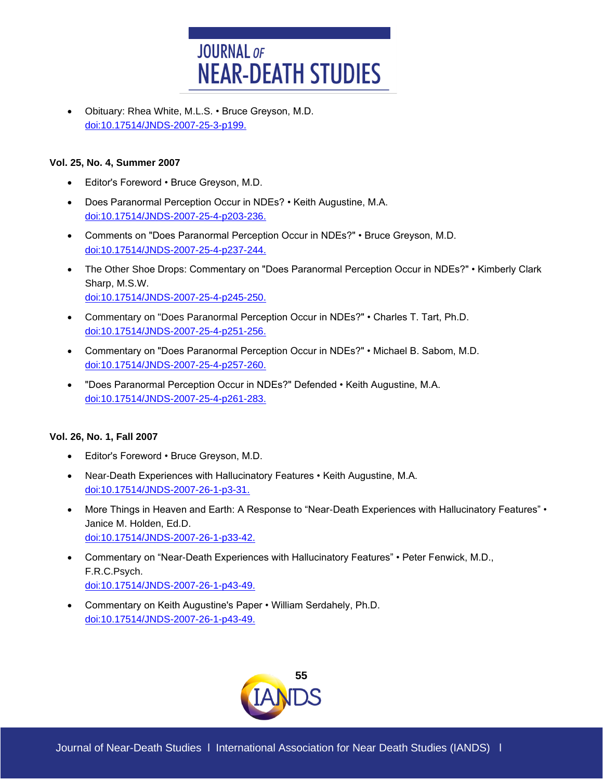

• Obituary: Rhea White, M.L.S. • Bruce Greyson, M.D. [doi:10.17514/JNDS-2007-25-3-p199.](https://digital.library.unt.edu/ark:/67531/metadc799376/m1/71/)

### **Vol. 25, No. 4, Summer 2007**

- Editor's Foreword Bruce Greyson, M.D.
- Does Paranormal Perception Occur in NDEs? Keith Augustine, M.A. [doi:10.17514/JNDS-2007-25-4-p203-236.](http://digital.library.unt.edu/ark:/67531/metadc799110/)
- Comments on "Does Paranormal Perception Occur in NDEs?" Bruce Greyson, M.D. [doi:10.17514/JNDS-2007-25-4-p237-244.](http://digital.library.unt.edu/ark:/67531/metadc798892/)
- The Other Shoe Drops: Commentary on "Does Paranormal Perception Occur in NDEs?" Kimberly Clark Sharp, M.S.W. [doi:10.17514/JNDS-2007-25-4-p245-250.](http://digital.library.unt.edu/ark:/67531/metadc798924/)
- Commentary on "Does Paranormal Perception Occur in NDEs?" Charles T. Tart, Ph.D. [doi:10.17514/JNDS-2007-25-4-p251-256.](http://digital.library.unt.edu/ark:/67531/metadc799460/)
- Commentary on "Does Paranormal Perception Occur in NDEs?" Michael B. Sabom, M.D. [doi:10.17514/JNDS-2007-25-4-p257-260.](http://digital.library.unt.edu/ark:/67531/metadc799458/)
- "Does Paranormal Perception Occur in NDEs?" Defended Keith Augustine, M.A. [doi:10.17514/JNDS-2007-25-4-p261-283.](http://digital.library.unt.edu/ark:/67531/metadc799459/)

### **Vol. 26, No. 1, Fall 2007**

- Editor's Foreword Bruce Greyson, M.D.
- Near-Death Experiences with Hallucinatory Features Keith Augustine, M.A. [doi:10.17514/JNDS-2007-26-1-p3-31.](http://digital.library.unt.edu/ark:/67531/metadc799161/)
- More Things in Heaven and Earth: A Response to "Near-Death Experiences with Hallucinatory Features" Janice M. Holden, Ed.D. [doi:10.17514/JNDS-2007-26-1-p33-42.](http://digital.library.unt.edu/ark:/67531/metadc799193/)
- Commentary on "Near-Death Experiences with Hallucinatory Features" Peter Fenwick, M.D., F.R.C.Psych. [doi:10.17514/JNDS-2007-26-1-p43-49.](http://digital.library.unt.edu/ark:/67531/metadc798944/)
- Commentary on Keith Augustine's Paper William Serdahely, Ph.D. [doi:10.17514/JNDS-2007-26-1-p43-49.](http://digital.library.unt.edu/ark:/67531/metadc798944/)

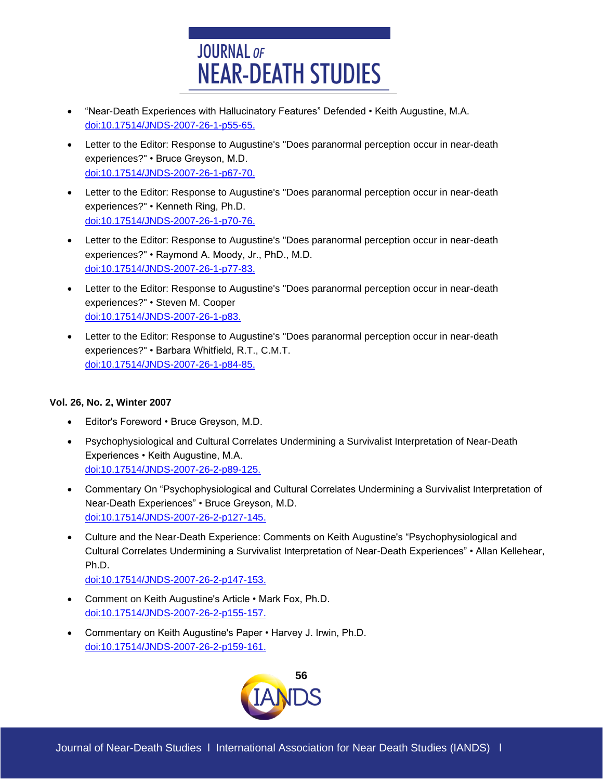

- "Near-Death Experiences with Hallucinatory Features" Defended Keith Augustine, M.A. [doi:10.17514/JNDS-2007-26-1-p55-65.](http://digital.library.unt.edu/ark:/67531/metadc798990/)
- Letter to the Editor: Response to Augustine's "Does paranormal perception occur in near-death experiences?" • Bruce Greyson, M.D. [doi:10.17514/JNDS-2007-26-1-p67-70.](http://digital.library.unt.edu/ark:/67531/metadc799258/)
- Letter to the Editor: Response to Augustine's "Does paranormal perception occur in near-death experiences?" • Kenneth Ring, Ph.D. [doi:10.17514/JNDS-2007-26-1-p70-76.](https://digital.library.unt.edu/ark:/67531/metadc937983/)
- Letter to the Editor: Response to Augustine's "Does paranormal perception occur in near-death experiences?" • Raymond A. Moody, Jr., PhD., M.D. [doi:10.17514/JNDS-2007-26-1-p77-83.](https://digital.library.unt.edu/ark:/67531/metadc937984/)
- Letter to the Editor: Response to Augustine's "Does paranormal perception occur in near-death experiences?" • Steven M. Cooper [doi:10.17514/JNDS-2007-26-1-p83.](https://digital.library.unt.edu/ark:/67531/metadc938054/)
- Letter to the Editor: Response to Augustine's "Does paranormal perception occur in near-death experiences?" • Barbara Whitfield, R.T., C.M.T. [doi:10.17514/JNDS-2007-26-1-p84-85.](https://digital.library.unt.edu/ark:/67531/metadc938037/)

### **Vol. 26, No. 2, Winter 2007**

- Editor's Foreword Bruce Greyson, M.D.
- Psychophysiological and Cultural Correlates Undermining a Survivalist Interpretation of Near-Death Experiences • Keith Augustine, M.A. [doi:10.17514/JNDS-2007-26-2-p89-125.](http://digital.library.unt.edu/ark:/67531/metadc799229/)
- Commentary On "Psychophysiological and Cultural Correlates Undermining a Survivalist Interpretation of Near-Death Experiences" • Bruce Greyson, M.D. [doi:10.17514/JNDS-2007-26-2-p127-145.](http://digital.library.unt.edu/ark:/67531/metadc798881/)
- Culture and the Near-Death Experience: Comments on Keith Augustine's "Psychophysiological and Cultural Correlates Undermining a Survivalist Interpretation of Near-Death Experiences" • Allan Kellehear, Ph.D.

[doi:10.17514/JNDS-2007-26-2-p147-153.](http://digital.library.unt.edu/ark:/67531/metadc798980/)

- Comment on Keith Augustine's Article Mark Fox, Ph.D. [doi:10.17514/JNDS-2007-26-2-p155-157.](http://digital.library.unt.edu/ark:/67531/metadc799028/)
- Commentary on Keith Augustine's Paper Harvey J. Irwin, Ph.D. [doi:10.17514/JNDS-2007-26-2-p159-161.](http://digital.library.unt.edu/ark:/67531/metadc799087/)

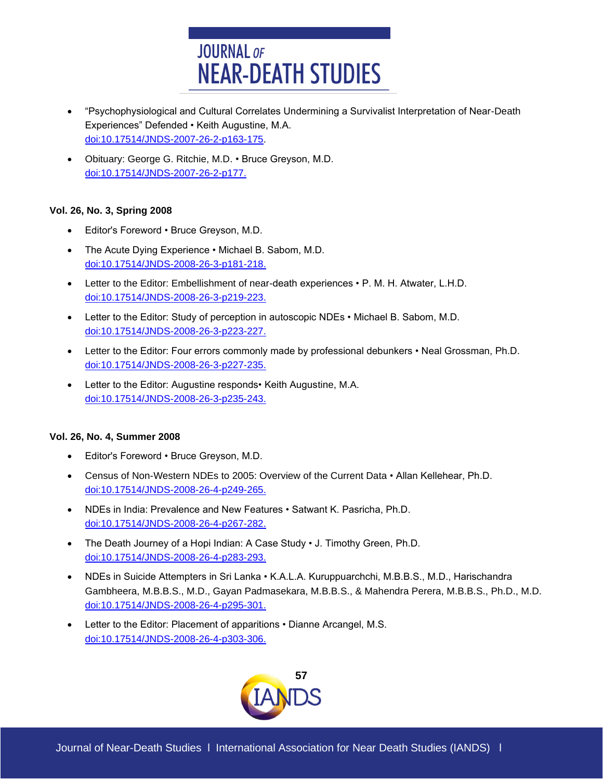

- "Psychophysiological and Cultural Correlates Undermining a Survivalist Interpretation of Near-Death Experiences" Defended • Keith Augustine, M.A. [doi:10.17514/JNDS-2007-26-2-p163-175.](http://digital.library.unt.edu/ark:/67531/metadc799101/)
- Obituary: George G. Ritchie, M.D. Bruce Greyson, M.D. [doi:10.17514/JNDS-2007-26-2-p177.](http://digital.library.unt.edu/ark:/67531/metadc798920/)

### **Vol. 26, No. 3, Spring 2008**

- Editor's Foreword Bruce Greyson, M.D.
- The Acute Dying Experience Michael B. Sabom, M.D. [doi:10.17514/JNDS-2008-26-3-p181-218.](http://digital.library.unt.edu/ark:/67531/metadc799345/)
- Letter to the Editor: Embellishment of near-death experiences P. M. H. Atwater, L.H.D. [doi:10.17514/JNDS-2008-26-3-p219-223.](http://digital.library.unt.edu/ark:/67531/metadc799054/)
- Letter to the Editor: Study of perception in autoscopic NDEs Michael B. Sabom, M.D. [doi:10.17514/JNDS-2008-26-3-p223-227.](https://digital.library.unt.edu/ark:/67531/metadc937968/)
- Letter to the Editor: Four errors commonly made by professional debunkers Neal Grossman, Ph.D. [doi:10.17514/JNDS-2008-26-3-p227-235.](https://digital.library.unt.edu/ark:/67531/metadc937962/)
- Letter to the Editor: Augustine responds• Keith Augustine, M.A. [doi:10.17514/JNDS-2008-26-3-p235-243.](https://digital.library.unt.edu/ark:/67531/metadc938044/)

# **Vol. 26, No. 4, Summer 2008**

- Editor's Foreword Bruce Greyson, M.D.
- Census of Non-Western NDEs to 2005: Overview of the Current Data Allan Kellehear, Ph.D. [doi:10.17514/JNDS-2008-26-4-p249-265.](http://digital.library.unt.edu/ark:/67531/metadc799184/)
- NDEs in India: Prevalence and New Features Satwant K. Pasricha, Ph.D. [doi:10.17514/JNDS-2008-26-4-p267-282.](http://digital.library.unt.edu/ark:/67531/metadc799327/)
- The Death Journey of a Hopi Indian: A Case Study J. Timothy Green, Ph.D. [doi:10.17514/JNDS-2008-26-4-p283-293.](http://digital.library.unt.edu/ark:/67531/metadc799319/)
- NDEs in Suicide Attempters in Sri Lanka K.A.L.A. Kuruppuarchchi, M.B.B.S., M.D., Harischandra Gambheera, M.B.B.S., M.D., Gayan Padmasekara, M.B.B.S., & Mahendra Perera, M.B.B.S., Ph.D., M.D. [doi:10.17514/JNDS-2008-26-4-p295-301.](http://digital.library.unt.edu/ark:/67531/metadc798946/)
- Letter to the Editor: Placement of apparitions Dianne Arcangel, M.S. [doi:10.17514/JNDS-2008-26-4-p303-306.](http://digital.library.unt.edu/ark:/67531/metadc799315/)

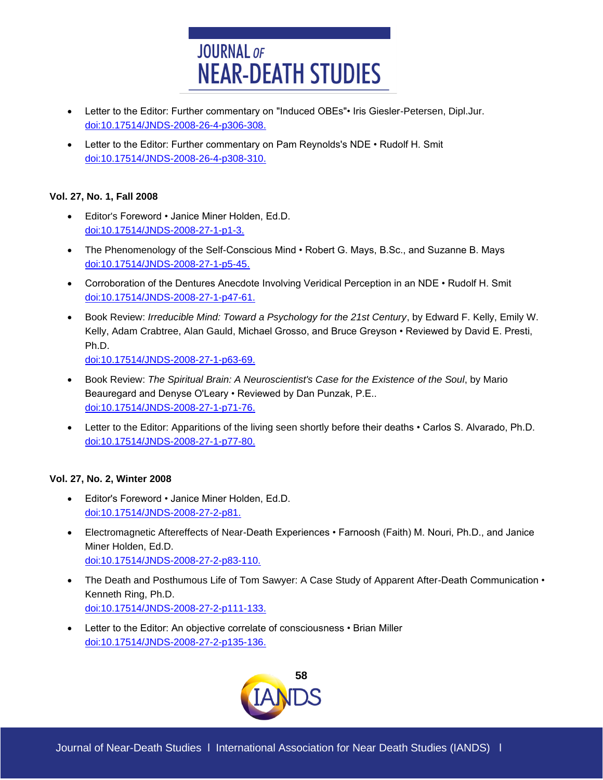

- Letter to the Editor: Further commentary on "Induced OBEs" Iris Giesler-Petersen, Dipl.Jur. [doi:10.17514/JNDS-2008-26-4-p306-308.](https://digital.library.unt.edu/ark:/67531/metadc938020/)
- Letter to the Editor: Further commentary on Pam Reynolds's NDE Rudolf H. Smit [doi:10.17514/JNDS-2008-26-4-p308-310.](https://digital.library.unt.edu/ark:/67531/metadc937967/)

### **Vol. 27, No. 1, Fall 2008**

- Editor's Foreword Janice Miner Holden, Ed.D. [doi:10.17514/JNDS-2008-27-1-p1-3.](https://digital.library.unt.edu/ark:/67531/metadc1505497/m1/1/)
- The Phenomenology of the Self-Conscious Mind Robert G. Mays, B.Sc., and Suzanne B. Mays [doi:10.17514/JNDS-2008-27-1-p5-45.](http://digital.library.unt.edu/ark:/67531/metadc799311/)
- Corroboration of the Dentures Anecdote Involving Veridical Perception in an NDE Rudolf H. Smit [doi:10.17514/JNDS-2008-27-1-p47-61.](http://digital.library.unt.edu/ark:/67531/metadc798921/)
- Book Review: *Irreducible Mind: Toward a Psychology for the 21st Century*, by Edward F. Kelly, Emily W. Kelly, Adam Crabtree, Alan Gauld, Michael Grosso, and Bruce Greyson • Reviewed by David E. Presti, Ph.D.

[doi:10.17514/JNDS-2008-27-1-p63-69.](http://digital.library.unt.edu/ark:/67531/metadc799118/)

- Book Review: *The Spiritual Brain: A Neuroscientist's Case for the Existence of the Soul*, by Mario Beauregard and Denyse O'Leary • Reviewed by Dan Punzak, P.E.. [doi:10.17514/JNDS-2008-27-1-p71-76.](http://digital.library.unt.edu/ark:/67531/metadc798975/)
- Letter to the Editor: Apparitions of the living seen shortly before their deaths Carlos S. Alvarado, Ph.D. [doi:10.17514/JNDS-2008-27-1-p77-80.](http://digital.library.unt.edu/ark:/67531/metadc799077/)

# **Vol. 27, No. 2, Winter 2008**

- Editor's Foreword Janice Miner Holden, Ed.D. [doi:10.17514/JNDS-2008-27-2-p81.](https://digital.library.unt.edu/ark:/67531/metadc1505503/m1/1/)
- Electromagnetic Aftereffects of Near-Death Experiences Farnoosh (Faith) M. Nouri, Ph.D., and Janice Miner Holden, Ed.D. [doi:10.17514/JNDS-2008-27-2-p83-110.](http://digital.library.unt.edu/ark:/67531/metadc799170/)
- The Death and Posthumous Life of Tom Sawyer: A Case Study of Apparent After-Death Communication Kenneth Ring, Ph.D. [doi:10.17514/JNDS-2008-27-2-p111-133.](http://digital.library.unt.edu/ark:/67531/metadc799091/)
- Letter to the Editor: An objective correlate of consciousness Brian Miller [doi:10.17514/JNDS-2008-27-2-p135-136.](http://digital.library.unt.edu/ark:/67531/metadc799137/)

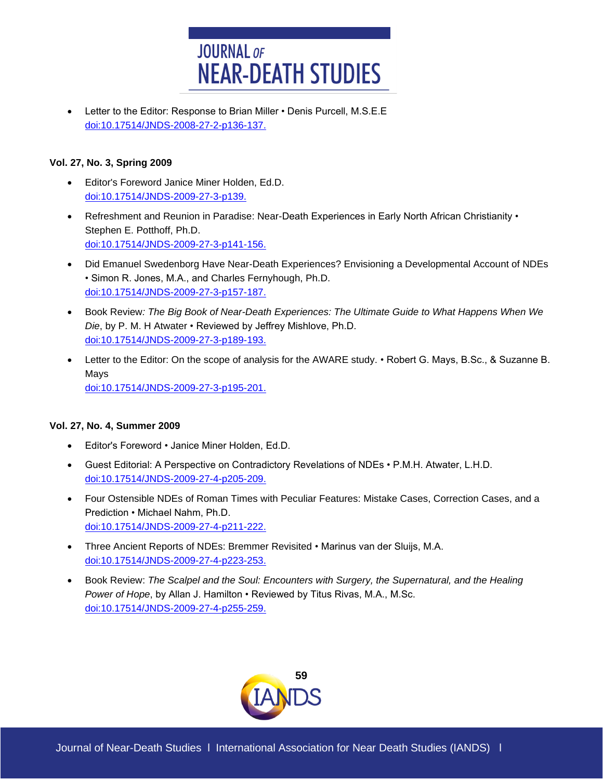

• Letter to the Editor: Response to Brian Miller • Denis Purcell, M.S.E.E [doi:10.17514/JNDS-2008-27-2-p136-137.](https://digital.library.unt.edu/ark:/67531/metadc938068/)

## **Vol. 27, No. 3, Spring 2009**

- Editor's Foreword Janice Miner Holden, Ed.D. [doi:10.17514/JNDS-2009-27-3-p139.](https://digital.library.unt.edu/ark:/67531/metadc1505487/m1/1/)
- Refreshment and Reunion in Paradise: Near-Death Experiences in Early North African Christianity Stephen E. Potthoff, Ph.D. [doi:10.17514/JNDS-2009-27-3-p141-156.](http://digital.library.unt.edu/ark:/67531/metadc798974/)
- Did Emanuel Swedenborg Have Near-Death Experiences? Envisioning a Developmental Account of NDEs • Simon R. Jones, M.A., and Charles Fernyhough, Ph.D. [doi:10.17514/JNDS-2009-27-3-p157-187.](http://digital.library.unt.edu/ark:/67531/metadc799060/)
- Book Review*: The Big Book of Near-Death Experiences: The Ultimate Guide to What Happens When We Die*, by P. M. H Atwater • Reviewed by Jeffrey Mishlove, Ph.D. [doi:10.17514/JNDS-2009-27-3-p189-193.](http://digital.library.unt.edu/ark:/67531/metadc799325/)
- Letter to the Editor: On the scope of analysis for the AWARE study. Robert G. Mays, B.Sc., & Suzanne B. Mays [doi:10.17514/JNDS-2009-27-3-p195-201.](http://digital.library.unt.edu/ark:/67531/metadc799251/)

### **Vol. 27, No. 4, Summer 2009**

- Editor's Foreword Janice Miner Holden, Ed.D.
- Guest Editorial: A Perspective on Contradictory Revelations of NDEs P.M.H. Atwater, L.H.D. [doi:10.17514/JNDS-2009-27-4-p205-209.](http://dx.doi.org/10.17514/JNDS-2009-27-4-p205-209.)
- Four Ostensible NDEs of Roman Times with Peculiar Features: Mistake Cases, Correction Cases, and a Prediction • Michael Nahm, Ph.D. [doi:10.17514/JNDS-2009-27-4-p211-222.](http://dx.doi.org/10.17514/JNDS-2009-27-4-p211-222.)
- Three Ancient Reports of NDEs: Bremmer Revisited Marinus van der Sluijs, M.A. [doi:10.17514/JNDS-2009-27-4-p223-253.](http://dx.doi.org/10.17514/JNDS-2009-27-4-p223-253.)
- Book Review: *The Scalpel and the Soul: Encounters with Surgery, the Supernatural, and the Healing Power of Hope*, by Allan J. Hamilton • Reviewed by Titus Rivas, M.A., M.Sc. [doi:10.17514/JNDS-2009-27-4-p255-259.](http://dx.doi.org/10.17514/JNDS-2009-27-4-p255-259.)

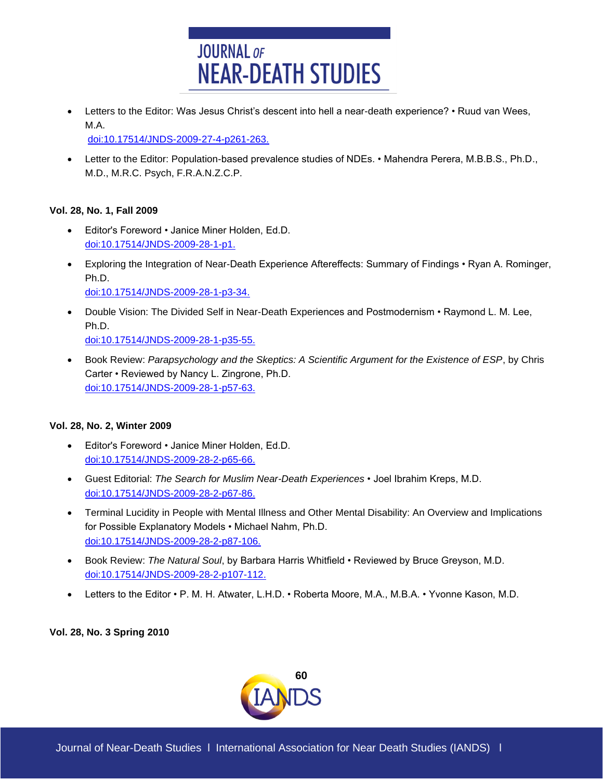

- Letters to the Editor: Was Jesus Christ's descent into hell a near-death experience? Ruud van Wees, M.A. [doi:10.17514/JNDS-2009-27-4-p261-263.](http://dx.doi.org/10.17514/JNDS-2009-27-4-p261-263.)
- Letter to the Editor: Population-based prevalence studies of NDEs. Mahendra Perera, M.B.B.S., Ph.D., M.D., M.R.C. Psych, F.R.A.N.Z.C.P.

### **Vol. 28, No. 1, Fall 2009**

- Editor's Foreword Janice Miner Holden, Ed.D. [doi:10.17514/JNDS-2009-28-1-p1.](https://digital.library.unt.edu/ark:/67531/metadc1505499/m1/1/)
- Exploring the Integration of Near-Death Experience Aftereffects: Summary of Findings Ryan A. Rominger, Ph.D. [doi:10.17514/JNDS-2009-28-1-p3-34.](http://digital.library.unt.edu/ark:/67531/metadc461753/)
- Double Vision: The Divided Self in Near-Death Experiences and Postmodernism Raymond L. M. Lee, Ph.D. [doi:10.17514/JNDS-2009-28-1-p35-55.](http://digital.library.unt.edu/ark:/67531/metadc461708/)
- Book Review: *Parapsychology and the Skeptics: A Scientific Argument for the Existence of ESP*, by Chris Carter • Reviewed by Nancy L. Zingrone, Ph.D. [doi:10.17514/JNDS-2009-28-1-p57-63.](http://digital.library.unt.edu/ark:/67531/metadc461718/)

# **Vol. 28, No. 2, Winter 2009**

- Editor's Foreword Janice Miner Holden, Ed.D. [doi:10.17514/JNDS-2009-28-2-p65-66.](https://digital.library.unt.edu/ark:/67531/metadc1505506/m1/1/)
- Guest Editorial: *The Search for Muslim Near-Death Experiences* Joel Ibrahim Kreps, M.D. [doi:10.17514/JNDS-2009-28-2-p67-86.](http://digital.library.unt.edu/ark:/67531/metadc461694/)
- Terminal Lucidity in People with Mental Illness and Other Mental Disability: An Overview and Implications for Possible Explanatory Models • Michael Nahm, Ph.D. [doi:10.17514/JNDS-2009-28-2-p87-106.](http://digital.library.unt.edu/ark:/67531/metadc461761/)
- Book Review: *The Natural Soul*, by Barbara Harris Whitfield Reviewed by Bruce Greyson, M.D. [doi:10.17514/JNDS-2009-28-2-p107-112.](http://digital.library.unt.edu/ark:/67531/metadc461758/)
- Letters to the Editor P. M. H. Atwater, L.H.D. Roberta Moore, M.A., M.B.A. Yvonne Kason, M.D.

### **Vol. 28, No. 3 Spring 2010**

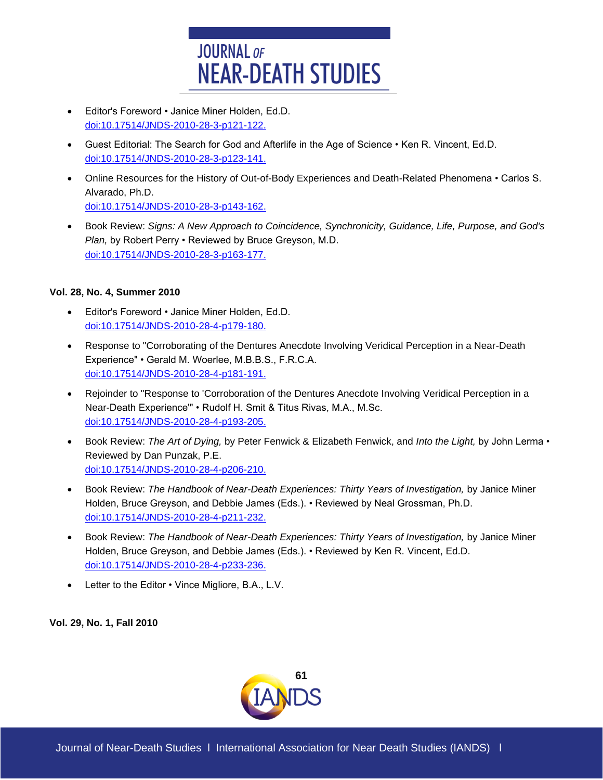

- Editor's Foreword Janice Miner Holden, Ed.D. [doi:10.17514/JNDS-2010-28-3-p121-122.](https://digital.library.unt.edu/ark:/67531/metadc1505493/)
- Guest Editorial: The Search for God and Afterlife in the Age of Science Ken R. Vincent, Ed.D. [doi:10.17514/JNDS-2010-28-3-p123-141.](http://digital.library.unt.edu/ark:/67531/metadc461713/)
- Online Resources for the History of Out-of-Body Experiences and Death-Related Phenomena Carlos S. Alvarado, Ph.D. [doi:10.17514/JNDS-2010-28-3-p143-162.](http://digital.library.unt.edu/ark:/67531/metadc461698/)
- Book Review: *Signs: A New Approach to Coincidence, Synchronicity, Guidance, Life, Purpose, and God's Plan,* by Robert Perry • Reviewed by Bruce Greyson, M.D. [doi:10.17514/JNDS-2010-28-3-p163-177.](http://digital.library.unt.edu/ark:/67531/metadc461741/)

## **Vol. 28, No. 4, Summer 2010**

- Editor's Foreword Janice Miner Holden, Ed.D. [doi:10.17514/JNDS-2010-28-4-p179-180.](https://digital.library.unt.edu/ark:/67531/metadc1505488/)
- Response to "Corroborating of the Dentures Anecdote Involving Veridical Perception in a Near-Death Experience" • Gerald M. Woerlee, M.B.B.S., F.R.C.A. [doi:10.17514/JNDS-2010-28-4-p181-191.](http://digital.library.unt.edu/ark:/67531/metadc461689/)
- Rejoinder to "Response to 'Corroboration of the Dentures Anecdote Involving Veridical Perception in a Near-Death Experience'" • Rudolf H. Smit & Titus Rivas, M.A., M.Sc. [doi:10.17514/JNDS-2010-28-4-p193-205.](http://digital.library.unt.edu/ark:/67531/metadc461736/)
- Book Review: *The Art of Dying,* by Peter Fenwick & Elizabeth Fenwick, and *Into the Light,* by John Lerma Reviewed by Dan Punzak, P.E. [doi:10.17514/JNDS-2010-28-4-p206-210.](http://digital.library.unt.edu/ark:/67531/metadc461725/)
- Book Review: *The Handbook of Near-Death Experiences: Thirty Years of Investigation,* by Janice Miner Holden, Bruce Greyson, and Debbie James (Eds.). • Reviewed by Neal Grossman, Ph.D. [doi:10.17514/JNDS-2010-28-4-p211-232.](http://digital.library.unt.edu/ark:/67531/metadc461747/)
- Book Review: *The Handbook of Near-Death Experiences: Thirty Years of Investigation,* by Janice Miner Holden, Bruce Greyson, and Debbie James (Eds.). • Reviewed by Ken R. Vincent, Ed.D. [doi:10.17514/JNDS-2010-28-4-p233-236.](http://digital.library.unt.edu/ark:/67531/metadc461734/)
- Letter to the Editor Vince Migliore, B.A., L.V.

### **Vol. 29, No. 1, Fall 2010**

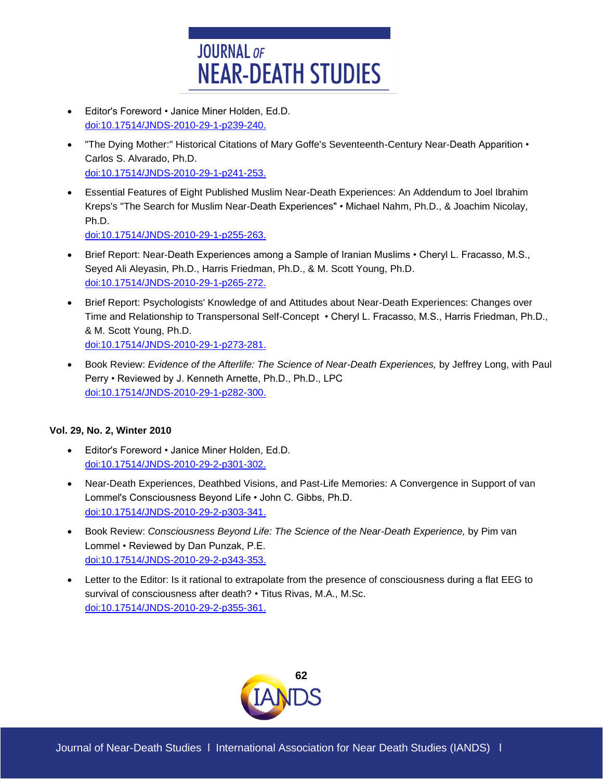

- Editor's Foreword Janice Miner Holden, Ed.D. [doi:10.17514/JNDS-2010-29-1-p239-240.](https://digital.library.unt.edu/ark:/67531/metadc1505500/m1/1/)
- "The Dying Mother:" Historical Citations of Mary Goffe's Seventeenth-Century Near-Death Apparition Carlos S. Alvarado, Ph.D. [doi:10.17514/JNDS-2010-29-1-p241-253.](http://digital.library.unt.edu/ark:/67531/metadc461739/)
- Essential Features of Eight Published Muslim Near-Death Experiences: An Addendum to Joel Ibrahim Kreps's "The Search for Muslim Near-Death Experiences" • Michael Nahm, Ph.D., & Joachim Nicolay, Ph.D.

[doi:10.17514/JNDS-2010-29-1-p255-263.](http://digital.library.unt.edu/ark:/67531/metadc461743/)

- Brief Report: Near-Death Experiences among a Sample of Iranian Muslims Cheryl L. Fracasso, M.S., Seyed Ali Aleyasin, Ph.D., Harris Friedman, Ph.D., & M. Scott Young, Ph.D. [doi:10.17514/JNDS-2010-29-1-p265-272.](http://digital.library.unt.edu/ark:/67531/metadc461762/)
- Brief Report: Psychologists' Knowledge of and Attitudes about Near-Death Experiences: Changes over Time and Relationship to Transpersonal Self-Concept • Cheryl L. Fracasso, M.S., Harris Friedman, Ph.D., & M. Scott Young, Ph.D. [doi:10.17514/JNDS-2010-29-1-p273-281.](http://digital.library.unt.edu/ark:/67531/metadc461750/)
- Book Review: *Evidence of the Afterlife: The Science of Near-Death Experiences,* by Jeffrey Long, with Paul Perry • Reviewed by J. Kenneth Arnette, Ph.D., Ph.D., LPC [doi:10.17514/JNDS-2010-29-1-p282-300.](http://digital.library.unt.edu/ark:/67531/metadc461746/)

# **Vol. 29, No. 2, Winter 2010**

- Editor's Foreword Janice Miner Holden, Ed.D. [doi:10.17514/JNDS-2010-29-2-p301-302.](https://digital.library.unt.edu/ark:/67531/metadc1505511/)
- Near-Death Experiences, Deathbed Visions, and Past-Life Memories: A Convergence in Support of van Lommel's Consciousness Beyond Life • John C. Gibbs, Ph.D. [doi:10.17514/JNDS-2010-29-2-p303-341.](http://digital.library.unt.edu/ark:/67531/metadc461696/)
- Book Review: *Consciousness Beyond Life: The Science of the Near-Death Experience,* by Pim van Lommel • Reviewed by Dan Punzak, P.E. [doi:10.17514/JNDS-2010-29-2-p343-353.](http://digital.library.unt.edu/ark:/67531/metadc461744/)
- Letter to the Editor: Is it rational to extrapolate from the presence of consciousness during a flat EEG to survival of consciousness after death? • Titus Rivas, M.A., M.Sc. [doi:10.17514/JNDS-2010-29-2-p355-361.](http://digital.library.unt.edu/ark:/67531/metadc461716/)

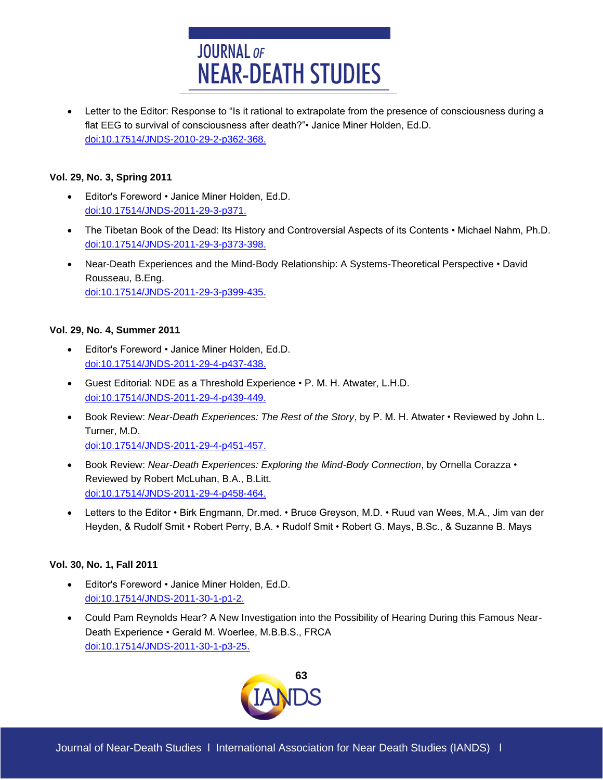

• Letter to the Editor: Response to "Is it rational to extrapolate from the presence of consciousness during a flat EEG to survival of consciousness after death?"• Janice Miner Holden, Ed.D. [doi:10.17514/JNDS-2010-29-2-p362-368.](http://digital.library.unt.edu/ark:/67531/metadc461754/)

### **Vol. 29, No. 3, Spring 2011**

- Editor's Foreword Janice Miner Holden, Ed.D. [doi:10.17514/JNDS-2011-29-3-p371.](https://digital.library.unt.edu/ark:/67531/metadc1505510/)
- The Tibetan Book of the Dead: Its History and Controversial Aspects of its Contents Michael Nahm, Ph.D. [doi:10.17514/JNDS-2011-29-3-p373-398.](http://digital.library.unt.edu/ark:/67531/metadc461682/)
- Near-Death Experiences and the Mind-Body Relationship: A Systems-Theoretical Perspective David Rousseau, B.Eng. [doi:10.17514/JNDS-2011-29-3-p399-435.](http://digital.library.unt.edu/ark:/67531/metadc461717/)

#### **Vol. 29, No. 4, Summer 2011**

- Editor's Foreword Janice Miner Holden, Ed.D. [doi:10.17514/JNDS-2011-29-4-p437-438.](https://digital.library.unt.edu/ark:/67531/metadc1505489/)
- Guest Editorial: NDE as a Threshold Experience P. M. H. Atwater, L.H.D. [doi:10.17514/JNDS-2011-29-4-p439-449.](http://digital.library.unt.edu/ark:/67531/metadc461705/)
- Book Review: *Near-Death Experiences: The Rest of the Story*, by P. M. H. Atwater Reviewed by John L. Turner, M.D. [doi:10.17514/JNDS-2011-29-4-p451-457.](http://digital.library.unt.edu/ark:/67531/metadc461730/)
- Book Review: *Near-Death Experiences: Exploring the Mind-Body Connection*, by Ornella Corazza Reviewed by Robert McLuhan, B.A., B.Litt. [doi:10.17514/JNDS-2011-29-4-p458-464.](http://digital.library.unt.edu/ark:/67531/metadc461692/)
- Letters to the Editor Birk Engmann, Dr.med. Bruce Greyson, M.D. Ruud van Wees, M.A., Jim van der Heyden, & Rudolf Smit • Robert Perry, B.A. • Rudolf Smit • Robert G. Mays, B.Sc., & Suzanne B. Mays

### **Vol. 30, No. 1, Fall 2011**

- Editor's Foreword Janice Miner Holden, Ed.D. [doi:10.17514/JNDS-2011-30-1-p1-2.](https://digital.library.unt.edu/ark:/67531/metadc1505505/)
- Could Pam Reynolds Hear? A New Investigation into the Possibility of Hearing During this Famous Near-Death Experience • Gerald M. Woerlee, M.B.B.S., FRCA [doi:10.17514/JNDS-2011-30-1-p3-25.](http://digital.library.unt.edu/ark:/67531/metadc461684/)

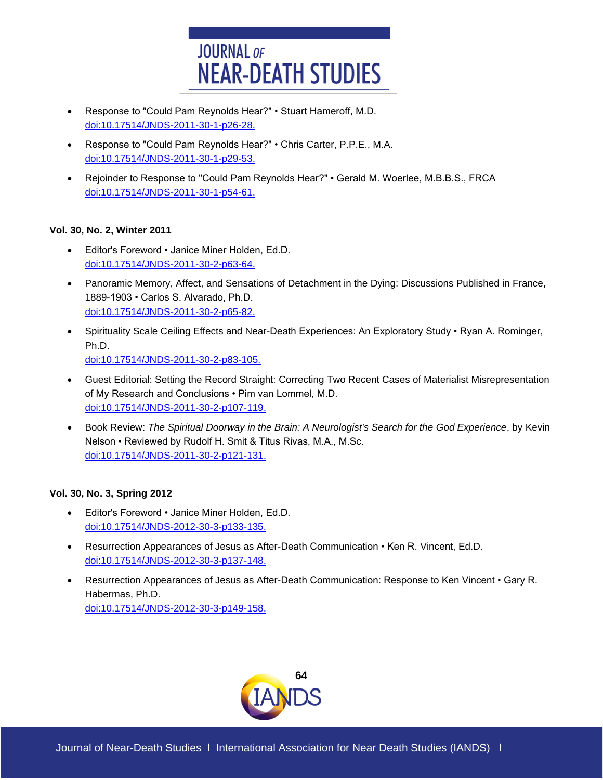

- Response to "Could Pam Reynolds Hear?" Stuart Hameroff, M.D. [doi:10.17514/JNDS-2011-30-1-p26-28.](http://digital.library.unt.edu/ark:/67531/metadc461724/)
- Response to "Could Pam Reynolds Hear?" Chris Carter, P.P.E., M.A. [doi:10.17514/JNDS-2011-30-1-p29-53.](http://digital.library.unt.edu/ark:/67531/metadc461722/)
- Rejoinder to Response to "Could Pam Reynolds Hear?" Gerald M. Woerlee, M.B.B.S., FRCA [doi:10.17514/JNDS-2011-30-1-p54-61.](http://digital.library.unt.edu/ark:/67531/metadc461715/)

### **Vol. 30, No. 2, Winter 2011**

- Editor's Foreword Janice Miner Holden, Ed.D. [doi:10.17514/JNDS-2011-30-2-p63-64.](https://digital.library.unt.edu/ark:/67531/metadc1505492/)
- Panoramic Memory, Affect, and Sensations of Detachment in the Dying: Discussions Published in France, 1889-1903 • Carlos S. Alvarado, Ph.D. [doi:10.17514/JNDS-2011-30-2-p65-82.](http://digital.library.unt.edu/ark:/67531/metadc461701/)
- Spirituality Scale Ceiling Effects and Near-Death Experiences: An Exploratory Study Ryan A. Rominger, Ph.D. [doi:10.17514/JNDS-2011-30-2-p83-105.](http://digital.library.unt.edu/ark:/67531/metadc461703/)
- Guest Editorial: Setting the Record Straight: Correcting Two Recent Cases of Materialist Misrepresentation of My Research and Conclusions • Pim van Lommel, M.D. [doi:10.17514/JNDS-2011-30-2-p107-119.](http://digital.library.unt.edu/ark:/67531/metadc461688/)
- Book Review: *The Spiritual Doorway in the Brain: A Neurologist's Search for the God Experience*, by Kevin Nelson • Reviewed by Rudolf H. Smit & Titus Rivas, M.A., M.Sc. [doi:10.17514/JNDS-2011-30-2-p121-131.](http://digital.library.unt.edu/ark:/67531/metadc461884/)

### **Vol. 30, No. 3, Spring 2012**

- Editor's Foreword Janice Miner Holden, Ed.D. [doi:10.17514/JNDS-2012-30-3-p133-135.](https://digital.library.unt.edu/ark:/67531/metadc938018/)
- Resurrection Appearances of Jesus as After-Death Communication Ken R. Vincent, Ed.D. [doi:10.17514/JNDS-2012-30-3-p137-148.](http://digital.library.unt.edu/ark:/67531/metadc938017/)
- Resurrection Appearances of Jesus as After-Death Communication: Response to Ken Vincent Gary R. Habermas, Ph.D. [doi:10.17514/JNDS-2012-30-3-p149-158.](http://digital.library.unt.edu/ark:/67531/metadc938081/)

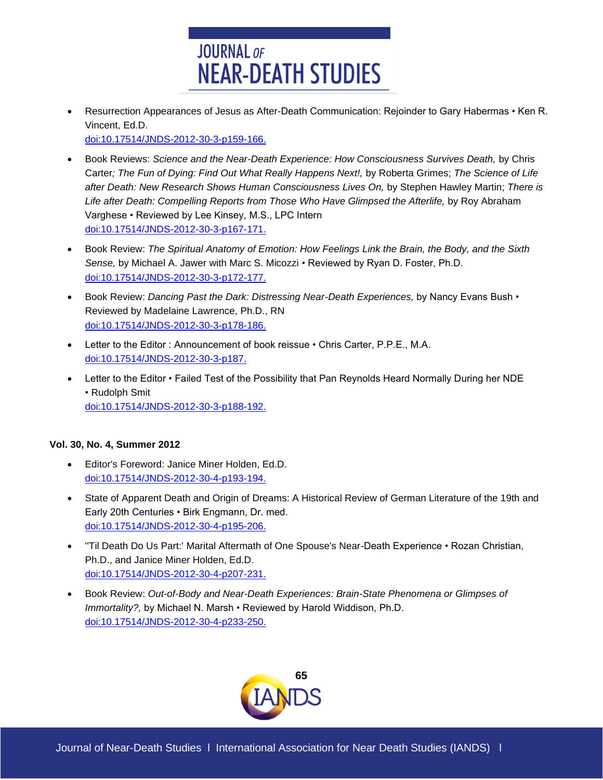

- Resurrection Appearances of Jesus as After-Death Communication: Rejoinder to Gary Habermas Ken R. Vincent, Ed.D. [doi:10.17514/JNDS-2012-30-3-p159-166.](http://digital.library.unt.edu/ark:/67531/metadc937996/)
- Book Reviews: *Science and the Near-Death Experience: How Consciousness Survives Death,* by Chris Carter*; The Fun of Dying: Find Out What Really Happens Next!,* by Roberta Grimes; *The Science of Life after Death: New Research Shows Human Consciousness Lives On,* by Stephen Hawley Martin; *There is Life after Death: Compelling Reports from Those Who Have Glimpsed the Afterlife,* by Roy Abraham Varghese • Reviewed by Lee Kinsey, M.S., LPC Intern [doi:10.17514/JNDS-2012-30-3-p167-171.](https://digital.library.unt.edu/ark:/67531/metadc1505485/m1/1/)
- Book Review: *The Spiritual Anatomy of Emotion: How Feelings Link the Brain, the Body, and the Sixth Sense,* by Michael A. Jawer with Marc S. Micozzi • Reviewed by Ryan D. Foster, Ph.D. [doi:10.17514/JNDS-2012-30-3-p172-177.](https://digital.library.unt.edu/ark:/67531/metadc1505504/m1/1/)
- Book Review: *Dancing Past the Dark: Distressing Near-Death Experiences,* by Nancy Evans Bush Reviewed by Madelaine Lawrence, Ph.D., RN [doi:10.17514/JNDS-2012-30-3-p178-186.](https://digital.library.unt.edu/ark:/67531/metadc1505483/)
- Letter to the Editor : Announcement of book reissue Chris Carter, P.P.E., M.A. [doi:10.17514/JNDS-2012-30-3-p187.](https://digital.library.unt.edu/ark:/67531/metadc938021/m1/1/)
- Letter to the Editor Failed Test of the Possibility that Pan Reynolds Heard Normally During her NDE • Rudolph Smit [doi:10.17514/JNDS-2012-30-3-p188-192.](https://digital.library.unt.edu/ark:/67531/metadc938051/)

# **Vol. 30, No. 4, Summer 2012**

- Editor's Foreword: Janice Miner Holden, Ed.D. [doi:10.17514/JNDS-2012-30-4-p193-194.](https://digital.library.unt.edu/ark:/67531/metadc938076/)
- State of Apparent Death and Origin of Dreams: A Historical Review of German Literature of the 19th and Early 20th Centuries • Birk Engmann, Dr. med. [doi:10.17514/JNDS-2012-30-4-p195-206.](http://digital.library.unt.edu/ark:/67531/metadc938034/)
- ''Til Death Do Us Part:' Marital Aftermath of One Spouse's Near-Death Experience Rozan Christian, Ph.D., and Janice Miner Holden, Ed.D. [doi:10.17514/JNDS-2012-30-4-p207-231.](http://digital.library.unt.edu/ark:/67531/metadc938084/)
- Book Review: *Out-of-Body and Near-Death Experiences: Brain-State Phenomena or Glimpses of Immortality?,* by Michael N. Marsh • Reviewed by Harold Widdison, Ph.D. [doi:10.17514/JNDS-2012-30-4-p233-250.](http://digital.library.unt.edu/ark:/67531/metadc938066/)

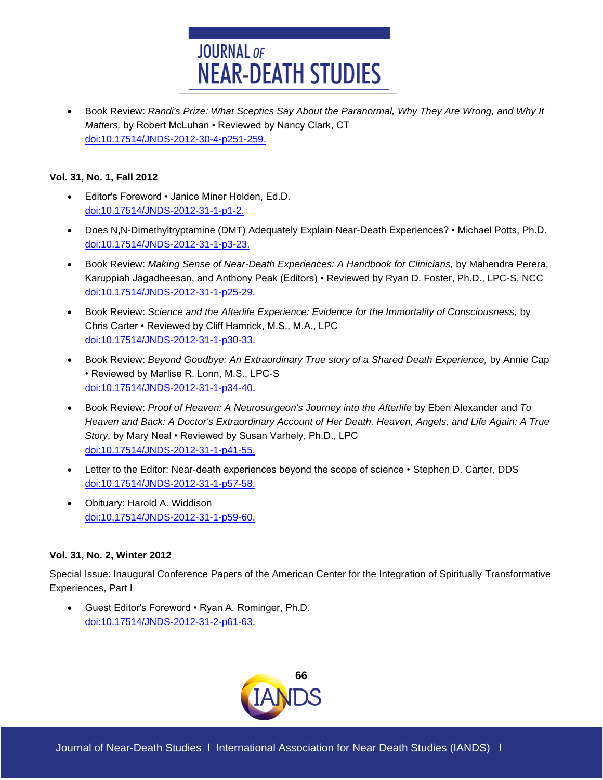

• Book Review: *Randi's Prize: What Sceptics Say About the Paranormal, Why They Are Wrong, and Why It Matters,* by Robert McLuhan • Reviewed by Nancy Clark, CT [doi:10.17514/JNDS-2012-30-4-p251-259.](http://digital.library.unt.edu/ark:/67531/metadc938049/)

### **Vol. 31, No. 1, Fall 2012**

- Editor's Foreword Janice Miner Holden, Ed.D. [doi:10.17514/JNDS-2012-31-1-p1-2.](https://digital.library.unt.edu/ark:/67531/metadc937960/)
- Does N,N-Dimethyltryptamine (DMT) Adequately Explain Near-Death Experiences? Michael Potts, Ph.D. [doi:10.17514/JNDS-2012-31-1-p3-23.](http://digital.library.unt.edu/ark:/67531/metadc937961/)
- Book Review: *Making Sense of Near-Death Experiences: A Handbook for Clinicians,* by Mahendra Perera, Karuppiah Jagadheesan, and Anthony Peak (Editors) • Reviewed by Ryan D. Foster, Ph.D., LPC-S, NCC [doi:10.17514/JNDS-2012-31-1-p25-29.](http://digital.library.unt.edu/ark:/67531/metadc938012/)
- Book Review: *Science and the Afterlife Experience: Evidence for the Immortality of Consciousness,* by Chris Carter • Reviewed by Cliff Hamrick, M.S., M.A., LPC [doi:10.17514/JNDS-2012-31-1-p30-33.](http://digital.library.unt.edu/ark:/67531/metadc937998/)
- Book Review: *Beyond Goodbye: An Extraordinary True story of a Shared Death Experience,* by Annie Cap • Reviewed by Marlise R. Lonn, M.S., LPC-S [doi:10.17514/JNDS-2012-31-1-p34-40.](http://digital.library.unt.edu/ark:/67531/metadc938055/)
- Book Review: *Proof of Heaven: A Neurosurgeon's Journey into the Afterlife* by Eben Alexander and *To Heaven and Back: A Doctor's Extraordinary Account of Her Death, Heaven, Angels, and Life Again: A True Story,* by Mary Neal • Reviewed by Susan Varhely, Ph.D., LPC [doi:10.17514/JNDS-2012-31-1-p41-55.](http://digital.library.unt.edu/ark:/67531/metadc937995/)
- Letter to the Editor: Near-death experiences beyond the scope of science Stephen D. Carter, DDS [doi:10.17514/JNDS-2012-31-1-p57-58.](https://digital.library.unt.edu/ark:/67531/metadc938058/)
- Obituary: Harold A. Widdison [doi:10.17514/JNDS-2012-31-1-p59-60.](https://digital.library.unt.edu/ark:/67531/metadc937964/)

### **Vol. 31, No. 2, Winter 2012**

Special Issue: Inaugural Conference Papers of the American Center for the Integration of Spiritually Transformative Experiences, Part I

• Guest Editor's Foreword • Ryan A. Rominger, Ph.D. [doi:10.17514/JNDS-2012-31-2-p61-63.](https://digital.library.unt.edu/ark:/67531/metadc938031/)

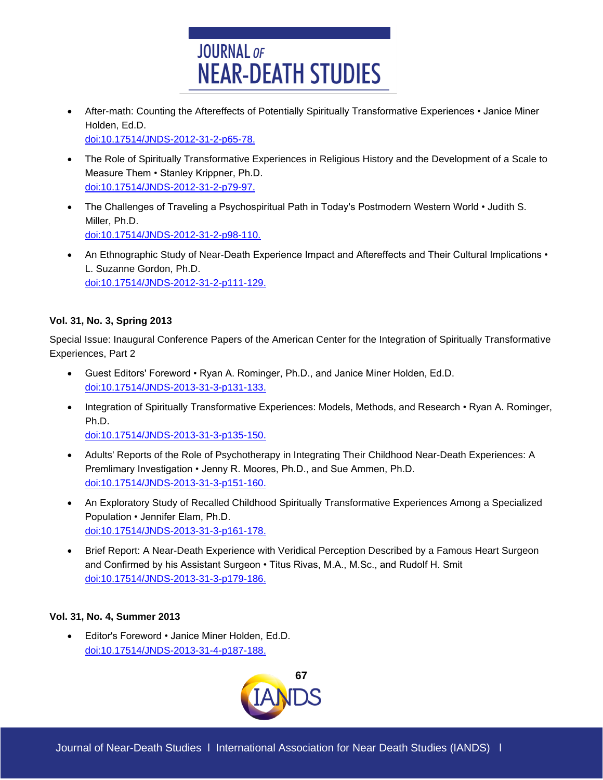

- After-math: Counting the Aftereffects of Potentially Spiritually Transformative Experiences Janice Miner Holden, Ed.D. [doi:10.17514/JNDS-2012-31-2-p65-78.](http://digital.library.unt.edu/ark:/67531/metadc938077/)
- The Role of Spiritually Transformative Experiences in Religious History and the Development of a Scale to Measure Them • Stanley Krippner, Ph.D. [doi:10.17514/JNDS-2012-31-2-p79-97.](http://digital.library.unt.edu/ark:/67531/metadc938010/)
- The Challenges of Traveling a Psychospiritual Path in Today's Postmodern Western World Judith S. Miller, Ph.D. [doi:10.17514/JNDS-2012-31-2-p98-110.](http://digital.library.unt.edu/ark:/67531/metadc938009/)
- An Ethnographic Study of Near-Death Experience Impact and Aftereffects and Their Cultural Implications L. Suzanne Gordon, Ph.D. [doi:10.17514/JNDS-2012-31-2-p111-129.](http://digital.library.unt.edu/ark:/67531/metadc938015/)

## **Vol. 31, No. 3, Spring 2013**

Special Issue: Inaugural Conference Papers of the American Center for the Integration of Spiritually Transformative Experiences, Part 2

- Guest Editors' Foreword Ryan A. Rominger, Ph.D., and Janice Miner Holden, Ed.D. [doi:10.17514/JNDS-2013-31-3-p131-133.](https://digital.library.unt.edu/ark:/67531/metadc938053/)
- Integration of Spiritually Transformative Experiences: Models, Methods, and Research Ryan A. Rominger, Ph.D. [doi:10.17514/JNDS-2013-31-3-p135-150.](http://digital.library.unt.edu/ark:/67531/metadc937963/)
- Adults' Reports of the Role of Psychotherapy in Integrating Their Childhood Near-Death Experiences: A Premlimary Investigation • Jenny R. Moores, Ph.D., and Sue Ammen, Ph.D.
	- [doi:10.17514/JNDS-2013-31-3-p151-160.](http://digital.library.unt.edu/ark:/67531/metadc938088/)
- An Exploratory Study of Recalled Childhood Spiritually Transformative Experiences Among a Specialized Population • Jennifer Elam, Ph.D. [doi:10.17514/JNDS-2013-31-3-p161-178.](http://digital.library.unt.edu/ark:/67531/metadc938008/)
- Brief Report: A Near-Death Experience with Veridical Perception Described by a Famous Heart Surgeon and Confirmed by his Assistant Surgeon • Titus Rivas, M.A., M.Sc., and Rudolf H. Smit [doi:10.17514/JNDS-2013-31-3-p179-186.](https://digital.library.unt.edu/ark:/67531/metadc937997/)

### **Vol. 31, No. 4, Summer 2013**

• Editor's Foreword • Janice Miner Holden, Ed.D. [doi:10.17514/JNDS-2013-31-4-p187-188.](https://digital.library.unt.edu/ark:/67531/metadc1505507/)

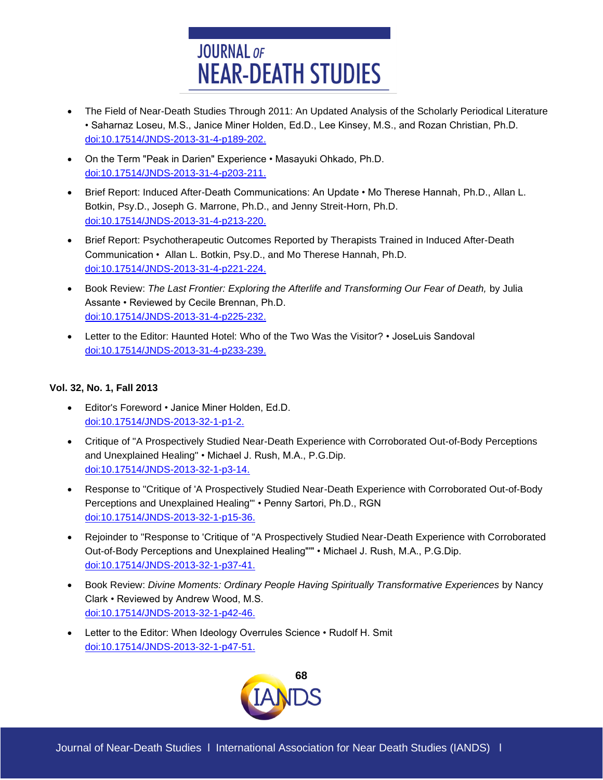

- The Field of Near-Death Studies Through 2011: An Updated Analysis of the Scholarly Periodical Literature • Saharnaz Loseu, M.S., Janice Miner Holden, Ed.D., Lee Kinsey, M.S., and Rozan Christian, Ph.D. [doi:10.17514/JNDS-2013-31-4-p189-202.](http://digital.library.unt.edu/ark:/67531/metadc938063/)
- On the Term "Peak in Darien" Experience Masayuki Ohkado, Ph.D. [doi:10.17514/JNDS-2013-31-4-p203-211.](http://digital.library.unt.edu/ark:/67531/metadc938029/)
- Brief Report: Induced After-Death Communications: An Update Mo Therese Hannah, Ph.D., Allan L. Botkin, Psy.D., Joseph G. Marrone, Ph.D., and Jenny Streit-Horn, Ph.D. [doi:10.17514/JNDS-2013-31-4-p213-220.](https://digital.library.unt.edu/ark:/67531/metadc937982/)
- Brief Report: Psychotherapeutic Outcomes Reported by Therapists Trained in Induced After-Death Communication • Allan L. Botkin, Psy.D., and Mo Therese Hannah, Ph.D. [doi:10.17514/JNDS-2013-31-4-p221-224.](https://digital.library.unt.edu/ark:/67531/metadc938043/)
- Book Review: *The Last Frontier: Exploring the Afterlife and Transforming Our Fear of Death,* by Julia Assante • Reviewed by Cecile Brennan, Ph.D. [doi:10.17514/JNDS-2013-31-4-p225-232.](http://digital.library.unt.edu/ark:/67531/metadc937959/)
- Letter to the Editor: Haunted Hotel: Who of the Two Was the Visitor? JoseLuis Sandoval [doi:10.17514/JNDS-2013-31-4-p233-239.](https://digital.library.unt.edu/ark:/67531/metadc938060/)

### **Vol. 32, No. 1, Fall 2013**

- Editor's Foreword Janice Miner Holden, Ed.D. [doi:10.17514/JNDS-2013-32-1-p1-2.](https://digital.library.unt.edu/ark:/67531/metadc938039/)
- Critique of "A Prospectively Studied Near-Death Experience with Corroborated Out-of-Body Perceptions and Unexplained Healing" • Michael J. Rush, M.A., P.G.Dip. [doi:10.17514/JNDS-2013-32-1-p3-14.](http://digital.library.unt.edu/ark:/67531/metadc938080/)
- Response to "Critique of 'A Prospectively Studied Near-Death Experience with Corroborated Out-of-Body Perceptions and Unexplained Healing'" • Penny Sartori, Ph.D., RGN [doi:10.17514/JNDS-2013-32-1-p15-36.](http://digital.library.unt.edu/ark:/67531/metadc937969/)
- Rejoinder to "Response to 'Critique of "A Prospectively Studied Near-Death Experience with Corroborated Out-of-Body Perceptions and Unexplained Healing"'" • Michael J. Rush, M.A., P.G.Dip. [doi:10.17514/JNDS-2013-32-1-p37-41.](http://digital.library.unt.edu/ark:/67531/metadc938007)
- Book Review: *Divine Moments: Ordinary People Having Spiritually Transformative Experiences* by Nancy Clark • Reviewed by Andrew Wood, M.S. [doi:10.17514/JNDS-2013-32-1-p42-46.](http://digital.library.unt.edu/ark:/67531/metadc938024/)
- Letter to the Editor: When Ideology Overrules Science Rudolf H. Smit [doi:10.17514/JNDS-2013-32-1-p47-51.](https://digital.library.unt.edu/ark:/67531/metadc938061/)

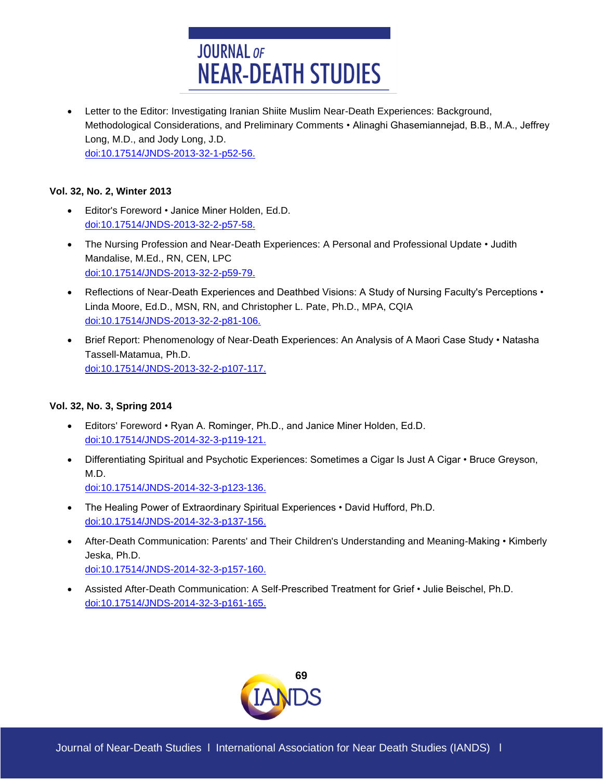

• Letter to the Editor: Investigating Iranian Shiite Muslim Near-Death Experiences: Background, Methodological Considerations, and Preliminary Comments • Alinaghi Ghasemiannejad, B.B., M.A., Jeffrey Long, M.D., and Jody Long, J.D. [doi:10.17514/JNDS-2013-32-1-p52-56.](https://digital.library.unt.edu/ark:/67531/metadc938062/)

#### **Vol. 32, No. 2, Winter 2013**

- Editor's Foreword Janice Miner Holden, Ed.D. [doi:10.17514/JNDS-2013-32-2-p57-58.](https://digital.library.unt.edu/ark:/67531/metadc937993/)
- The Nursing Profession and Near-Death Experiences: A Personal and Professional Update Judith Mandalise, M.Ed., RN, CEN, LPC [doi:10.17514/JNDS-2013-32-2-p59-79.](http://digital.library.unt.edu/ark:/67531/metadc937979/)
- Reflections of Near-Death Experiences and Deathbed Visions: A Study of Nursing Faculty's Perceptions Linda Moore, Ed.D., MSN, RN, and Christopher L. Pate, Ph.D., MPA, CQIA [doi:10.17514/JNDS-2013-32-2-p81-106.](http://digital.library.unt.edu/ark:/67531/metadc938002/)
- Brief Report: Phenomenology of Near-Death Experiences: An Analysis of A Maori Case Study Natasha Tassell-Matamua, Ph.D. [doi:10.17514/JNDS-2013-32-2-p107-117.](http://digital.library.unt.edu/ark:/67531/metadc938005/)

### **Vol. 32, No. 3, Spring 2014**

- Editors' Foreword Ryan A. Rominger, Ph.D., and Janice Miner Holden, Ed.D. [doi:10.17514/JNDS-2014-32-3-p119-121.](https://digital.library.unt.edu/ark:/67531/metadc948090/)
- Differentiating Spiritual and Psychotic Experiences: Sometimes a Cigar Is Just A Cigar Bruce Greyson, M.D. [doi:10.17514/JNDS-2014-32-3-p123-136.](http://digital.library.unt.edu/ark:/67531/metadc948125/)
- The Healing Power of Extraordinary Spiritual Experiences David Hufford, Ph.D. [doi:10.17514/JNDS-2014-32-3-p137-156.](http://digital.library.unt.edu/ark:/67531/metadc948126/)
- After-Death Communication: Parents' and Their Children's Understanding and Meaning-Making Kimberly Jeska, Ph.D. [doi:10.17514/JNDS-2014-32-3-p157-160.](https://digital.library.unt.edu/ark:/67531/metadc948091/)
- Assisted After-Death Communication: A Self-Prescribed Treatment for Grief Julie Beischel, Ph.D. [doi:10.17514/JNDS-2014-32-3-p161-165.](https://digital.library.unt.edu/ark:/67531/metadc948087/)

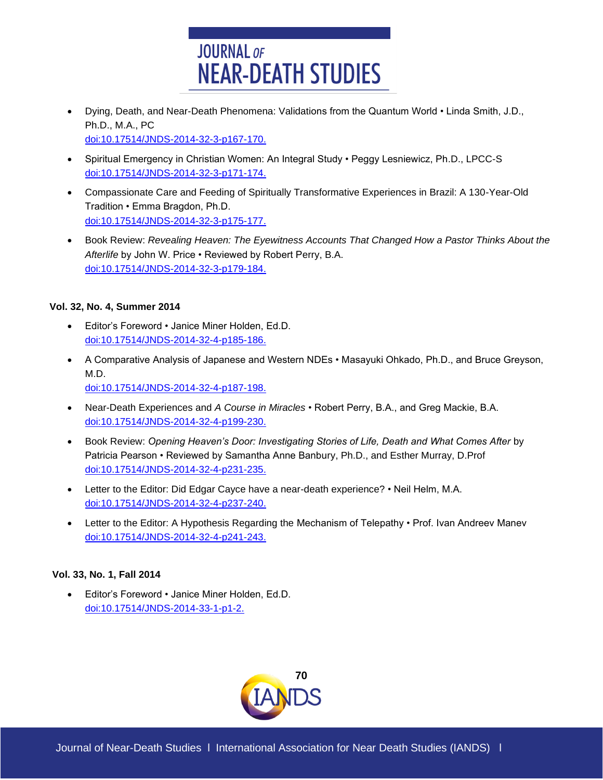

- Dying, Death, and Near-Death Phenomena: Validations from the Quantum World Linda Smith, J.D., Ph.D., M.A., PC [doi:10.17514/JNDS-2014-32-3-p167-170.](https://digital.library.unt.edu/ark:/67531/metadc948108/)
- Spiritual Emergency in Christian Women: An Integral Study Peggy Lesniewicz, Ph.D., LPCC-S [doi:10.17514/JNDS-2014-32-3-p171-174.](https://digital.library.unt.edu/ark:/67531/metadc948083/)
- Compassionate Care and Feeding of Spiritually Transformative Experiences in Brazil: A 130-Year-Old Tradition • Emma Bragdon, Ph.D. [doi:10.17514/JNDS-2014-32-3-p175-177.](https://digital.library.unt.edu/ark:/67531/metadc948115/)
- Book Review: *Revealing Heaven: The Eyewitness Accounts That Changed How a Pastor Thinks About the Afterlife* by John W. Price • Reviewed by Robert Perry, B.A. [doi:10.17514/JNDS-2014-32-3-p179-184.](https://digital.library.unt.edu/ark:/67531/metadc948088/)

### **Vol. 32, No. 4, Summer 2014**

- Editor's Foreword Janice Miner Holden, Ed.D. [doi:10.17514/JNDS-2014-32-4-p185-186.](https://digital.library.unt.edu/ark:/67531/metadc948109/m1/1/)
- A Comparative Analysis of Japanese and Western NDEs Masayuki Ohkado, Ph.D., and Bruce Greyson, M.D.

[doi:10.17514/JNDS-2014-32-4-p187-198.](https://digital.library.unt.edu/ark:/67531/metadc948085/)

- Near-Death Experiences and *A Course in Miracles* Robert Perry, B.A., and Greg Mackie, B.A. [doi:10.17514/JNDS-2014-32-4-p199-230.](https://digital.library.unt.edu/ark:/67531/metadc948081/)
- Book Review: *Opening Heaven's Door: Investigating Stories of Life, Death and What Comes After* by Patricia Pearson • Reviewed by Samantha Anne Banbury, Ph.D., and Esther Murray, D.Prof [doi:10.17514/JNDS-2014-32-4-p231-235.](https://digital.library.unt.edu/ark:/67531/metadc948097/)
- Letter to the Editor: Did Edgar Cayce have a near-death experience? Neil Helm, M.A. [doi:10.17514/JNDS-2014-32-4-p237-240.](https://digital.library.unt.edu/ark:/67531/metadc948114/)
- Letter to the Editor: A Hypothesis Regarding the Mechanism of Telepathy Prof. Ivan Andreev Manev [doi:10.17514/JNDS-2014-32-4-p241-243.](https://digital.library.unt.edu/ark:/67531/metadc948084/)

### **Vol. 33, No. 1, Fall 2014**

• Editor's Foreword • Janice Miner Holden, Ed.D. [doi:10.17514/JNDS-2014-33-1-p1-2.](https://digital.library.unt.edu/ark:/67531/metadc948078/)

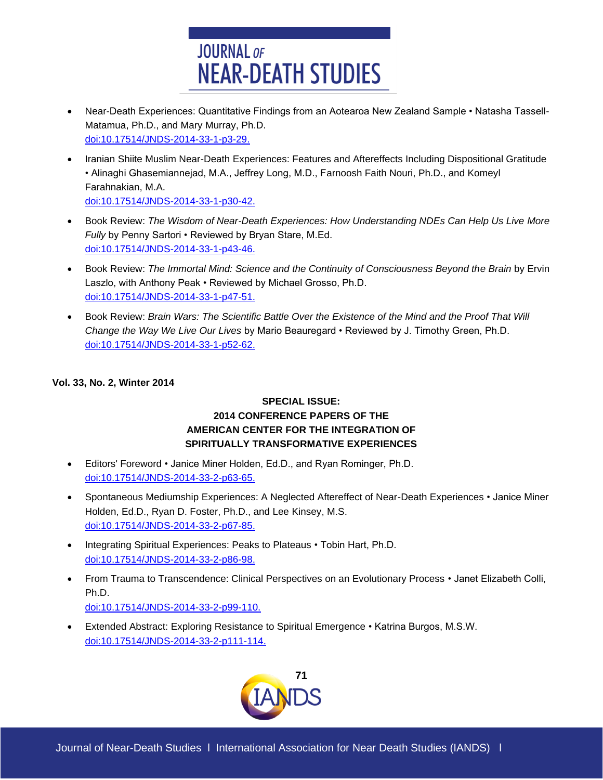

- Near-Death Experiences: Quantitative Findings from an Aotearoa New Zealand Sample Natasha Tassell-Matamua, Ph.D., and Mary Murray, Ph.D. [doi:10.17514/JNDS-2014-33-1-p3-29.](https://digital.library.unt.edu/ark:/67531/metadc948112/)
- Iranian Shiite Muslim Near-Death Experiences: Features and Aftereffects Including Dispositional Gratitude • Alinaghi Ghasemiannejad, M.A., Jeffrey Long, M.D., Farnoosh Faith Nouri, Ph.D., and Komeyl Farahnakian, M.A.

[doi:10.17514/JNDS-2014-33-1-p30-42.](https://digital.library.unt.edu/ark:/67531/metadc948116/)

- Book Review: *The Wisdom of Near-Death Experiences: How Understanding NDEs Can Help Us Live More Fully* by Penny Sartori • Reviewed by Bryan Stare, M.Ed. [doi:10.17514/JNDS-2014-33-1-p43-46.](https://digital.library.unt.edu/ark:/67531/metadc948082/)
- Book Review: *The Immortal Mind: Science and the Continuity of Consciousness Beyond the Brain* by Ervin Laszlo, with Anthony Peak • Reviewed by Michael Grosso, Ph.D. [doi:10.17514/JNDS-2014-33-1-p47-51.](https://digital.library.unt.edu/ark:/67531/metadc948076/)
- Book Review: *Brain Wars: The Scientific Battle Over the Existence of the Mind and the Proof That Will Change the Way We Live Our Lives* by Mario Beauregard • Reviewed by J. Timothy Green, Ph.D. [doi:10.17514/JNDS-2014-33-1-p52-62.](https://digital.library.unt.edu/ark:/67531/metadc948122/)

## **Vol. 33, No. 2, Winter 2014**

# **SPECIAL ISSUE: 2014 CONFERENCE PAPERS OF THE AMERICAN CENTER FOR THE INTEGRATION OF SPIRITUALLY TRANSFORMATIVE EXPERIENCES**

- Editors' Foreword Janice Miner Holden, Ed.D., and Ryan Rominger, Ph.D. [doi:10.17514/JNDS-2014-33-2-p63-65.](https://digital.library.unt.edu/ark:/67531/metadc948103/)
- Spontaneous Mediumship Experiences: A Neglected Aftereffect of Near-Death Experiences Janice Miner Holden, Ed.D., Ryan D. Foster, Ph.D., and Lee Kinsey, M.S. [doi:10.17514/JNDS-2014-33-2-p67-85.](https://digital.library.unt.edu/ark:/67531/metadc948111/)
- Integrating Spiritual Experiences: Peaks to Plateaus Tobin Hart, Ph.D. [doi:10.17514/JNDS-2014-33-2-p86-98.](https://digital.library.unt.edu/ark:/67531/metadc948099/)
- From Trauma to Transcendence: Clinical Perspectives on an Evolutionary Process Janet Elizabeth Colli, Ph.D. [doi:10.17514/JNDS-2014-33-2-p99-110.](https://digital.library.unt.edu/ark:/67531/metadc948120/)
- Extended Abstract: Exploring Resistance to Spiritual Emergence Katrina Burgos, M.S.W. [doi:10.17514/JNDS-2014-33-2-p111-114.](https://digital.library.unt.edu/ark:/67531/metadc948118/)

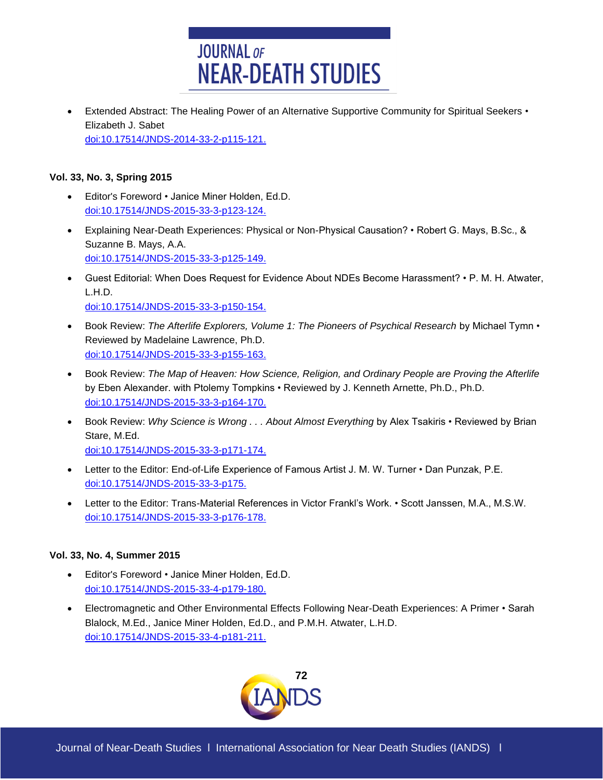

• Extended Abstract: The Healing Power of an Alternative Supportive Community for Spiritual Seekers • Elizabeth J. Sabet [doi:10.17514/JNDS-2014-33-2-p115-121.](https://digital.library.unt.edu/ark:/67531/metadc948093/)

### **Vol. 33, No. 3, Spring 2015**

- Editor's Foreword Janice Miner Holden, Ed.D. [doi:10.17514/JNDS-2015-33-3-p123-124.](https://digital.library.unt.edu/ark:/67531/metadc948105/)
- Explaining Near-Death Experiences: Physical or Non-Physical Causation? Robert G. Mays, B.Sc., & Suzanne B. Mays, A.A. [doi:10.17514/JNDS-2015-33-3-p125-149.](http://digital.library.unt.edu/ark:/67531/metadc948124/)
- Guest Editorial: When Does Request for Evidence About NDEs Become Harassment? P. M. H. Atwater, L.H.D. [doi:10.17514/JNDS-2015-33-3-p150-154.](http://digital.library.unt.edu/ark:/67531/metadc948075/)
- Book Review: *The Afterlife Explorers, Volume 1: The Pioneers of Psychical Research* by Michael Tymn Reviewed by Madelaine Lawrence, Ph.D. [doi:10.17514/JNDS-2015-33-3-p155-163.](http://digital.library.unt.edu/ark:/67531/metadc948089/)
- Book Review: *The Map of Heaven: How Science, Religion, and Ordinary People are Proving the Afterlife* by Eben Alexander. with Ptolemy Tompkins • Reviewed by J. Kenneth Arnette, Ph.D., Ph.D. [doi:10.17514/JNDS-2015-33-3-p164-170.](http://digital.library.unt.edu/ark:/67531/metadc948080/)
- Book Review: *Why Science is Wrong . . . About Almost Everything* by Alex Tsakiris Reviewed by Brian Stare, M.Ed. [doi:10.17514/JNDS-2015-33-3-p171-174.](http://digital.library.unt.edu/ark:/67531/metadc948092/)
- Letter to the Editor: End-of-Life Experience of Famous Artist J. M. W. Turner Dan Punzak, P.E. [doi:10.17514/JNDS-2015-33-3-p175.](http://digital.library.unt.edu/ark:/67531/metadc948100/)
- Letter to the Editor: Trans-Material References in Victor Frankl's Work. Scott Janssen, M.A., M.S.W. [doi:10.17514/JNDS-2015-33-3-p176-178.](http://digital.library.unt.edu/ark:/67531/metadc948104/)

# **Vol. 33, No. 4, Summer 2015**

- Editor's Foreword Janice Miner Holden, Ed.D. [doi:10.17514/JNDS-2015-33-4-p179-180.](https://digital.library.unt.edu/ark:/67531/metadc948095/)
- Electromagnetic and Other Environmental Effects Following Near-Death Experiences: A Primer Sarah Blalock, M.Ed., Janice Miner Holden, Ed.D., and P.M.H. Atwater, L.H.D. [doi:10.17514/JNDS-2015-33-4-p181-211.](http://digital.library.unt.edu/ark:/67531/metadc948079/)

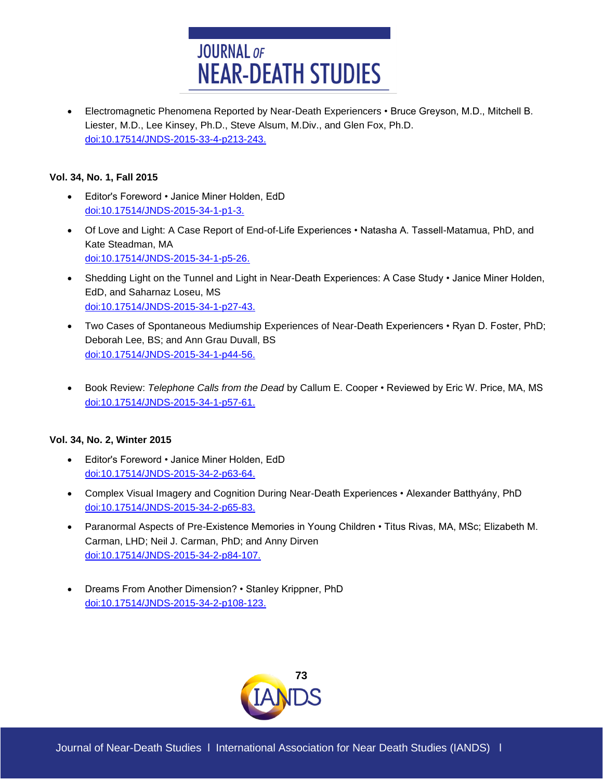

• Electromagnetic Phenomena Reported by Near-Death Experiencers • Bruce Greyson, M.D., Mitchell B. Liester, M.D., Lee Kinsey, Ph.D., Steve Alsum, M.Div., and Glen Fox, Ph.D. [doi:10.17514/JNDS-2015-33-4-p213-243.](http://digital.library.unt.edu/ark:/67531/metadc948106/)

### **Vol. 34, No. 1, Fall 2015**

- Editor's Foreword Janice Miner Holden, EdD [doi:10.17514/JNDS-2015-34-1-p1-3.](http://digital.library.unt.edu/ark:/67531/metadc948121/)
- Of Love and Light: A Case Report of End-of-Life Experiences Natasha A. Tassell-Matamua, PhD, and Kate Steadman, MA [doi:10.17514/JNDS-2015-34-1-p5-26.](http://digital.library.unt.edu/ark:/67531/metadc948098/)
- Shedding Light on the Tunnel and Light in Near-Death Experiences: A Case Study Janice Miner Holden, EdD, and Saharnaz Loseu, MS [doi:10.17514/JNDS-2015-34-1-p27-43.](http://digital.library.unt.edu/ark:/67531/metadc948094/)
- Two Cases of Spontaneous Mediumship Experiences of Near-Death Experiencers Ryan D. Foster, PhD; Deborah Lee, BS; and Ann Grau Duvall, BS [doi:10.17514/JNDS-2015-34-1-p44-56.](http://digital.library.unt.edu/ark:/67531/metadc948113/)
- Book Review: *Telephone Calls from the Dead* by Callum E. Cooper Reviewed by Eric W. Price, MA, MS [doi:10.17514/JNDS-2015-34-1-p57-61.](http://digital.library.unt.edu/ark:/67531/metadc948077/)

# **Vol. 34, No. 2, Winter 2015**

- Editor's Foreword Janice Miner Holden, EdD [doi:10.17514/JNDS-2015-34-2-p63-64.](http://digital.library.unt.edu/ark:/67531/metadc948102/)
- Complex Visual Imagery and Cognition During Near-Death Experiences Alexander Batthyány, PhD [doi:10.17514/JNDS-2015-34-2-p65-83.](http://digital.library.unt.edu/ark:/67531/metadc948110/)
- Paranormal Aspects of Pre-Existence Memories in Young Children Titus Rivas, MA, MSc; Elizabeth M. Carman, LHD; Neil J. Carman, PhD; and Anny Dirven [doi:10.17514/JNDS-2015-34-2-p84-107.](http://digital.library.unt.edu/ark:/67531/metadc948119/)
- Dreams From Another Dimension? Stanley Krippner, PhD [doi:10.17514/JNDS-2015-34-2-p108-123.](http://digital.library.unt.edu/ark:/67531/metadc948123/)

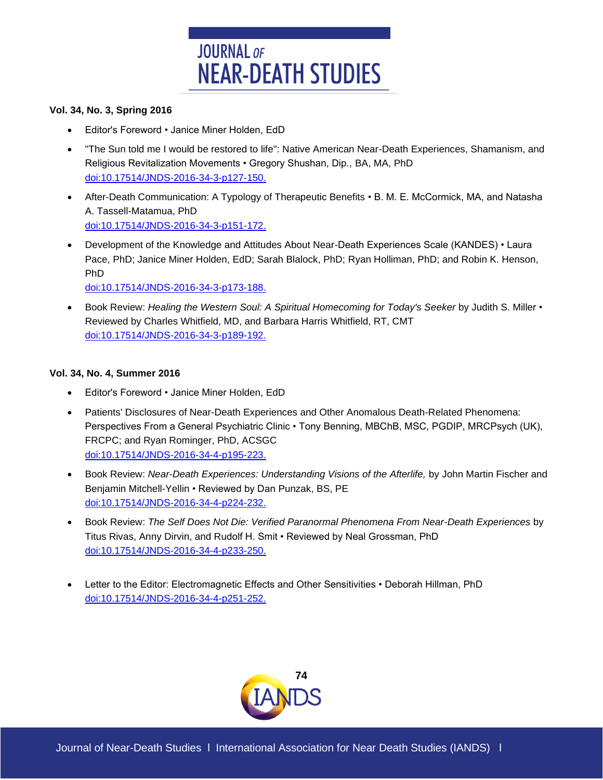

### **Vol. 34, No. 3, Spring 2016**

- Editor's Foreword Janice Miner Holden, EdD
- "The Sun told me I would be restored to life": Native American Near-Death Experiences, Shamanism, and Religious Revitalization Movements • Gregory Shushan, Dip., BA, MA, PhD [doi:10.17514/JNDS-2016-34-3-p127-150.](https://digital.library.unt.edu/ark:/67531/metadc1125196/)
- After-Death Communication: A Typology of Therapeutic Benefits B. M. E. McCormick, MA, and Natasha A. Tassell-Matamua, PhD [doi:10.17514/JNDS-2016-34-3-p151-172.](https://digital.library.unt.edu/ark:/67531/metadc1125220/)
- Development of the Knowledge and Attitudes About Near-Death Experiences Scale (KANDES) Laura Pace, PhD; Janice Miner Holden, EdD; Sarah Blalock, PhD; Ryan Holliman, PhD; and Robin K. Henson, PhD

[doi:10.17514/JNDS-2016-34-3-p173-188.](https://digital.library.unt.edu/ark:/67531/metadc1125672/)

• Book Review: *Healing the Western Soul: A Spiritual Homecoming for Today's Seeker* by Judith S. Miller • Reviewed by Charles Whitfield, MD, and Barbara Harris Whitfield, RT, CMT [doi:10.17514/JNDS-2016-34-3-p189-192.](https://digital.library.unt.edu/ark:/67531/metadc1125425/)

### **Vol. 34, No. 4, Summer 2016**

- Editor's Foreword Janice Miner Holden, EdD
- Patients' Disclosures of Near-Death Experiences and Other Anomalous Death-Related Phenomena: Perspectives From a General Psychiatric Clinic • Tony Benning, MBChB, MSC, PGDIP, MRCPsych (UK), FRCPC; and Ryan Rominger, PhD, ACSGC [doi:10.17514/JNDS-2016-34-4-p195-223.](https://digital.library.unt.edu/ark:/67531/metadc1125124/)
- Book Review: *Near-Death Experiences: Understanding Visions of the Afterlife, by John Martin Fischer and* Benjamin Mitchell-Yellin • Reviewed by Dan Punzak, BS, PE [doi:10.17514/JNDS-2016-34-4-p224-232.](https://digital.library.unt.edu/ark:/67531/metadc1125581/)
- Book Review: *The Self Does Not Die: Verified Paranormal Phenomena From Near-Death Experiences* by Titus Rivas, Anny Dirvin, and Rudolf H. Smit • Reviewed by Neal Grossman, PhD [doi:10.17514/JNDS-2016-34-4-p233-250.](https://digital.library.unt.edu/ark:/67531/metadc1125029/)
- Letter to the Editor: Electromagnetic Effects and Other Sensitivities Deborah Hillman, PhD [doi:10.17514/JNDS-2016-34-4-p251-252.](https://digital.library.unt.edu/ark:/67531/metadc1125365/)

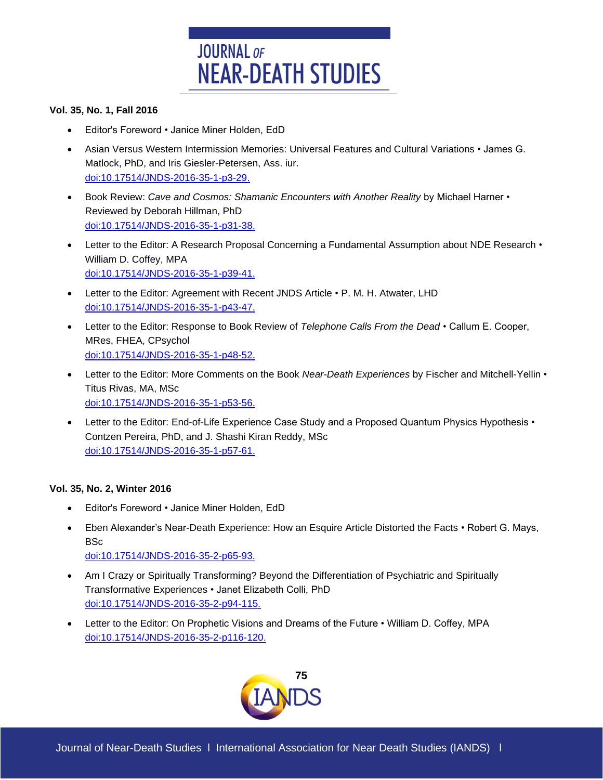

### **Vol. 35, No. 1, Fall 2016**

- Editor's Foreword Janice Miner Holden, EdD
- Asian Versus Western Intermission Memories: Universal Features and Cultural Variations James G. Matlock, PhD, and Iris Giesler-Petersen, Ass. iur. [doi:10.17514/JNDS-2016-35-1-p3-29.](https://digital.library.unt.edu/ark:/67531/metadc1125651/)
- Book Review: *Cave and Cosmos: Shamanic Encounters with Another Reality* by Michael Harner Reviewed by Deborah Hillman, PhD [doi:10.17514/JNDS-2016-35-1-p31-38.](https://digital.library.unt.edu/ark:/67531/metadc1125166/)
- Letter to the Editor: A Research Proposal Concerning a Fundamental Assumption about NDE Research William D. Coffey, MPA [doi:10.17514/JNDS-2016-35-1-p39-41.](https://digital.library.unt.edu/ark:/67531/metadc1125246/)
- Letter to the Editor: Agreement with Recent JNDS Article P. M. H. Atwater, LHD [doi:10.17514/JNDS-2016-35-1-p43-47.](https://digital.library.unt.edu/ark:/67531/metadc1125030/)
- Letter to the Editor: Response to Book Review of *Telephone Calls From the Dead* Callum E. Cooper, MRes, FHEA, CPsychol [doi:10.17514/JNDS-2016-35-1-p48-52.](https://digital.library.unt.edu/ark:/67531/metadc1125279/)
- Letter to the Editor: More Comments on the Book *Near-Death Experiences* by Fischer and Mitchell-Yellin Titus Rivas, MA, MSc [doi:10.17514/JNDS-2016-35-1-p53-56.](https://digital.library.unt.edu/ark:/67531/metadc1125578/)
- Letter to the Editor: End-of-Life Experience Case Study and a Proposed Quantum Physics Hypothesis Contzen Pereira, PhD, and J. Shashi Kiran Reddy, MSc [doi:10.17514/JNDS-2016-35-1-p57-61.](https://digital.library.unt.edu/ark:/67531/metadc1125248/)

# **Vol. 35, No. 2, Winter 2016**

- Editor's Foreword Janice Miner Holden, EdD
- Eben Alexander's Near-Death Experience: How an Esquire Article Distorted the Facts Robert G. Mays, BSc
	- [doi:10.17514/JNDS-2016-35-2-p65-93.](https://digital.library.unt.edu/ark:/67531/metadc1125118/)
- Am I Crazy or Spiritually Transforming? Beyond the Differentiation of Psychiatric and Spiritually Transformative Experiences • Janet Elizabeth Colli, PhD [doi:10.17514/JNDS-2016-35-2-p94-115.](https://digital.library.unt.edu/ark:/67531/metadc1125733/)
- Letter to the Editor: On Prophetic Visions and Dreams of the Future William D. Coffey, MPA [doi:10.17514/JNDS-2016-35-2-p116-120.](https://digital.library.unt.edu/ark:/67531/metadc1125689/)

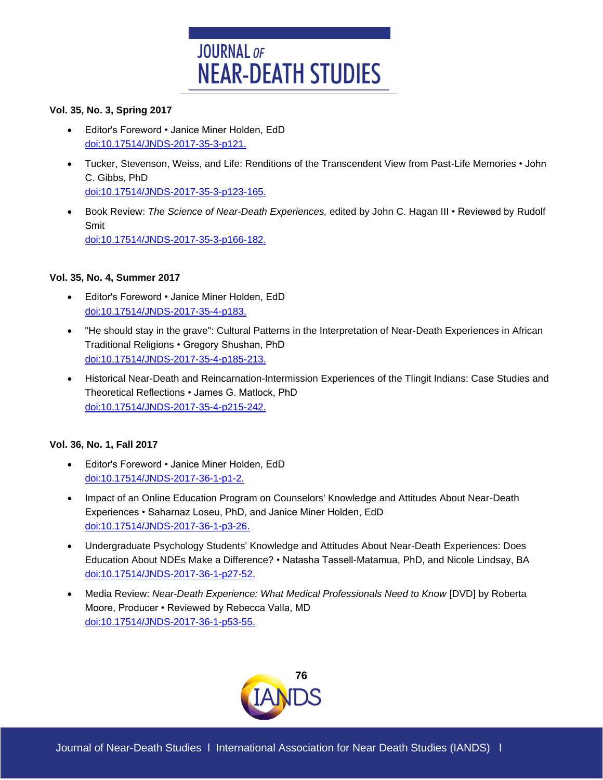

### **Vol. 35, No. 3, Spring 2017**

- Editor's Foreword Janice Miner Holden, EdD [doi:10.17514/JNDS-2017-35-3-p121.](https://digital.library.unt.edu/ark:/67531/metadc1505498/)
- Tucker, Stevenson, Weiss, and Life: Renditions of the Transcendent View from Past-Life Memories John C. Gibbs, PhD [doi:10.17514/JNDS-2017-35-3-p123-165.](https://digital.library.unt.edu/ark:/67531/metadc1125149/)
- Book Review: *The Science of Near-Death Experiences,* edited by John C. Hagan III Reviewed by Rudolf Smit [doi:10.17514/JNDS-2017-35-3-p166-182.](https://digital.library.unt.edu/ark:/67531/metadc1125723/)

### **Vol. 35, No. 4, Summer 2017**

- Editor's Foreword Janice Miner Holden, EdD [doi:10.17514/JNDS-2017-35-4-p183.](https://digital.library.unt.edu/ark:/67531/metadc1505486/)
- "He should stay in the grave": Cultural Patterns in the Interpretation of Near-Death Experiences in African Traditional Religions • Gregory Shushan, PhD [doi:10.17514/JNDS-2017-35-4-p185-213.](https://digital.library.unt.edu/ark:/67531/metadc1505490/?q=journal%20of%20near-death%20studies)
- Historical Near-Death and Reincarnation-Intermission Experiences of the Tlingit Indians: Case Studies and Theoretical Reflections • James G. Matlock, PhD [doi:10.17514/JNDS-2017-35-4-p215-242.](https://digital.library.unt.edu/ark:/67531/metadc1505508/?q=journal%20of%20near-death%20studies)

# **Vol. 36, No. 1, Fall 2017**

- Editor's Foreword Janice Miner Holden, EdD [doi:10.17514/JNDS-2017-36-1-p1-2.](https://digital.library.unt.edu/ark:/67531/metadc1505479/)
- Impact of an Online Education Program on Counselors' Knowledge and Attitudes About Near-Death Experiences • Saharnaz Loseu, PhD, and Janice Miner Holden, EdD [doi:10.17514/JNDS-2017-36-1-p3-26.](https://digital.library.unt.edu/ark:/67531/metadc1505502/?q=journal%20of%20near-death%20studies)
- Undergraduate Psychology Students' Knowledge and Attitudes About Near-Death Experiences: Does Education About NDEs Make a Difference? • Natasha Tassell-Matamua, PhD, and Nicole Lindsay, BA [doi:10.17514/JNDS-2017-36-1-p27-52.](https://digital.library.unt.edu/ark:/67531/metadc1505484/?q=journal%20of%20near-death%20studies)
- Media Review: *Near-Death Experience: What Medical Professionals Need to Know* [DVD] by Roberta Moore, Producer • Reviewed by Rebecca Valla, MD [doi:10.17514/JNDS-2017-36-1-p53-55.](https://digital.library.unt.edu/ark:/67531/metadc1505509/)

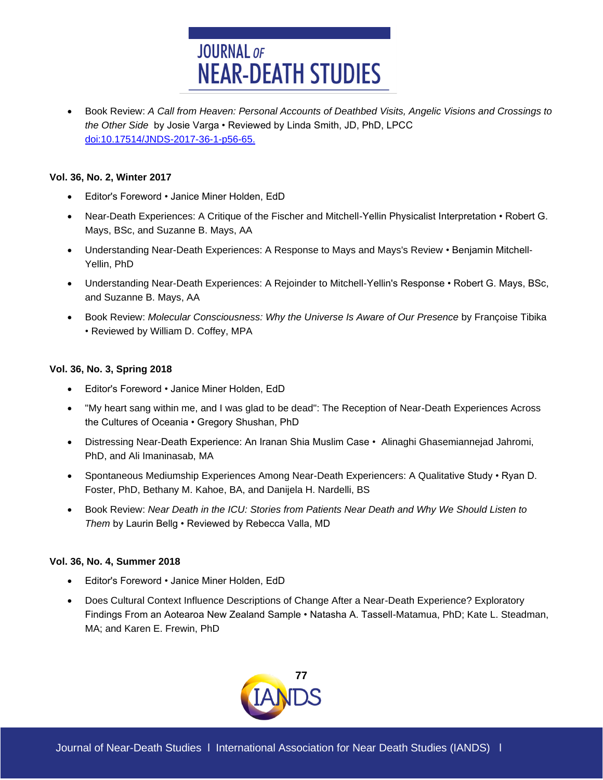

• Book Review: *A Call from Heaven: Personal Accounts of Deathbed Visits, Angelic Visions and Crossings to the Other Side* by Josie Varga • Reviewed by Linda Smith, JD, PhD, LPCC [doi:10.17514/JNDS-2017-36-1-p56-65.](https://digital.library.unt.edu/ark:/67531/metadc1505501/)

### **Vol. 36, No. 2, Winter 2017**

- Editor's Foreword Janice Miner Holden, EdD
- Near-Death Experiences: A Critique of the Fischer and Mitchell-Yellin Physicalist Interpretation Robert G. Mays, BSc, and Suzanne B. Mays, AA
- Understanding Near-Death Experiences: A Response to Mays and Mays's Review Benjamin Mitchell-Yellin, PhD
- Understanding Near-Death Experiences: A Rejoinder to Mitchell-Yellin's Response Robert G. Mays, BSc, and Suzanne B. Mays, AA
- Book Review: *Molecular Consciousness: Why the Universe Is Aware of Our Presence* by Françoise Tibika *•* Reviewed by William D. Coffey, MPA

# **Vol. 36, No. 3, Spring 2018**

- Editor's Foreword Janice Miner Holden, EdD
- "My heart sang within me, and I was glad to be dead": The Reception of Near-Death Experiences Across the Cultures of Oceania • Gregory Shushan, PhD
- Distressing Near-Death Experience: An Iranan Shia Muslim Case Alinaghi Ghasemiannejad Jahromi, PhD, and Ali Imaninasab, MA
- Spontaneous Mediumship Experiences Among Near-Death Experiencers: A Qualitative Study Ryan D. Foster, PhD, Bethany M. Kahoe, BA, and Danijela H. Nardelli, BS
- Book Review: *Near Death in the ICU: Stories from Patients Near Death and Why We Should Listen to Them* by Laurin Bellg • Reviewed by Rebecca Valla, MD

# **Vol. 36, No. 4, Summer 2018**

- Editor's Foreword Janice Miner Holden, EdD
- Does Cultural Context Influence Descriptions of Change After a Near-Death Experience? Exploratory Findings From an Aotearoa New Zealand Sample • Natasha A. Tassell-Matamua, PhD; Kate L. Steadman, MA; and Karen E. Frewin, PhD

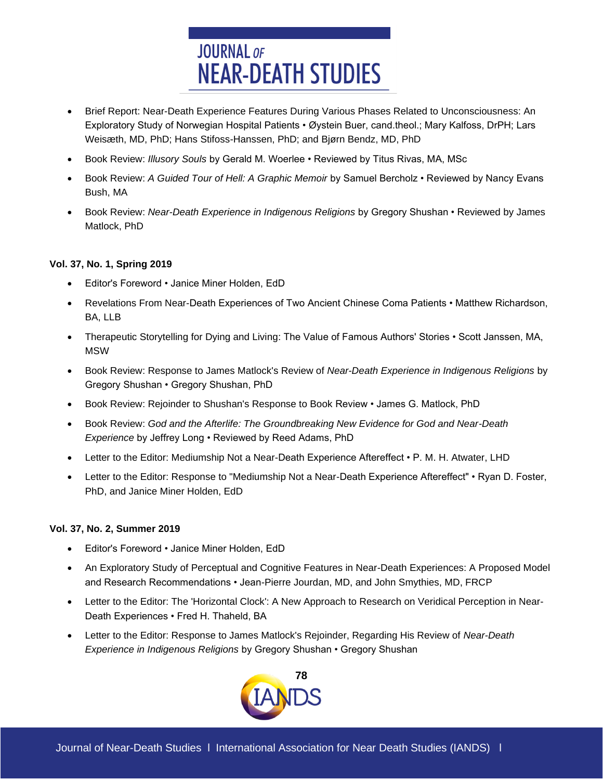

- Brief Report: Near-Death Experience Features During Various Phases Related to Unconsciousness: An Exploratory Study of Norwegian Hospital Patients • Øystein Buer, cand.theol.; Mary Kalfoss, DrPH; Lars Weisæth, MD, PhD; Hans Stifoss-Hanssen, PhD; and Bjørn Bendz, MD, PhD
- Book Review: *Illusory Souls* by Gerald M. Woerlee Reviewed by Titus Rivas, MA, MSc
- Book Review: *A Guided Tour of Hell: A Graphic Memoir* by Samuel Bercholz Reviewed by Nancy Evans Bush, MA
- Book Review: *Near-Death Experience in Indigenous Religions* by Gregory Shushan Reviewed by James Matlock, PhD

#### **Vol. 37, No. 1, Spring 2019**

- Editor's Foreword Janice Miner Holden, EdD
- Revelations From Near-Death Experiences of Two Ancient Chinese Coma Patients Matthew Richardson, BA, LLB
- Therapeutic Storytelling for Dying and Living: The Value of Famous Authors' Stories Scott Janssen, MA, MSW
- Book Review: Response to James Matlock's Review of *Near-Death Experience in Indigenous Religions* by Gregory Shushan • Gregory Shushan, PhD
- Book Review: Rejoinder to Shushan's Response to Book Review James G. Matlock, PhD
- Book Review: *God and the Afterlife: The Groundbreaking New Evidence for God and Near-Death Experience* by Jeffrey Long • Reviewed by Reed Adams, PhD
- Letter to the Editor: Mediumship Not a Near-Death Experience Aftereffect P. M. H. Atwater, LHD
- Letter to the Editor: Response to "Mediumship Not a Near-Death Experience Aftereffect" Ryan D. Foster, PhD, and Janice Miner Holden, EdD

#### **Vol. 37, No. 2, Summer 2019**

- Editor's Foreword Janice Miner Holden, EdD
- An Exploratory Study of Perceptual and Cognitive Features in Near-Death Experiences: A Proposed Model and Research Recommendations • Jean-Pierre Jourdan, MD, and John Smythies, MD, FRCP
- Letter to the Editor: The 'Horizontal Clock': A New Approach to Research on Veridical Perception in Near-Death Experiences • Fred H. Thaheld, BA
- Letter to the Editor: Response to James Matlock's Rejoinder, Regarding His Review of *Near-Death Experience in Indigenous Religions* by Gregory Shushan • Gregory Shushan

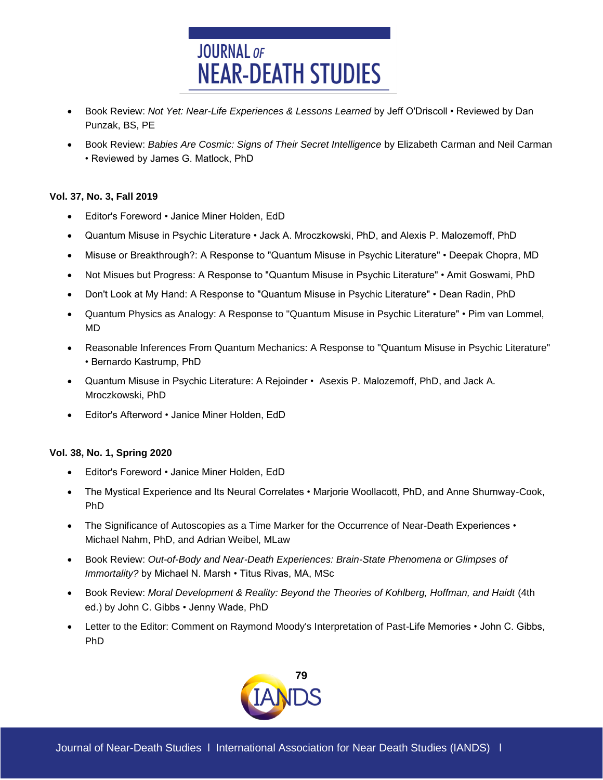

- Book Review: *Not Yet: Near-Life Experiences & Lessons Learned* by Jeff O'Driscoll Reviewed by Dan Punzak, BS, PE
- Book Review: *Babies Are Cosmic: Signs of Their Secret Intelligence* by Elizabeth Carman and Neil Carman • Reviewed by James G. Matlock, PhD

# **Vol. 37, No. 3, Fall 2019**

- Editor's Foreword Janice Miner Holden, EdD
- Quantum Misuse in Psychic Literature Jack A. Mroczkowski, PhD, and Alexis P. Malozemoff, PhD
- Misuse or Breakthrough?: A Response to "Quantum Misuse in Psychic Literature" Deepak Chopra, MD
- Not Misues but Progress: A Response to "Quantum Misuse in Psychic Literature" Amit Goswami, PhD
- Don't Look at My Hand: A Response to "Quantum Misuse in Psychic Literature" Dean Radin, PhD
- Quantum Physics as Analogy: A Response to "Quantum Misuse in Psychic Literature" Pim van Lommel, MD
- Reasonable Inferences From Quantum Mechanics: A Response to "Quantum Misuse in Psychic Literature" • Bernardo Kastrump, PhD
- Quantum Misuse in Psychic Literature: A Rejoinder Asexis P. Malozemoff, PhD, and Jack A. Mroczkowski, PhD
- Editor's Afterword Janice Miner Holden, EdD

#### **Vol. 38, No. 1, Spring 2020**

- Editor's Foreword Janice Miner Holden, EdD
- The Mystical Experience and Its Neural Correlates Marjorie Woollacott, PhD, and Anne Shumway-Cook, PhD
- The Significance of Autoscopies as a Time Marker for the Occurrence of Near-Death Experiences Michael Nahm, PhD, and Adrian Weibel, MLaw
- Book Review: *Out-of-Body and Near-Death Experiences: Brain-State Phenomena or Glimpses of Immortality?* by Michael N. Marsh • Titus Rivas, MA, MSc
- Book Review: *Moral Development & Reality: Beyond the Theories of Kohlberg, Hoffman, and Haidt* (4th ed.) by John C. Gibbs • Jenny Wade, PhD
- Letter to the Editor: Comment on Raymond Moody's Interpretation of Past-Life Memories John C. Gibbs, PhD